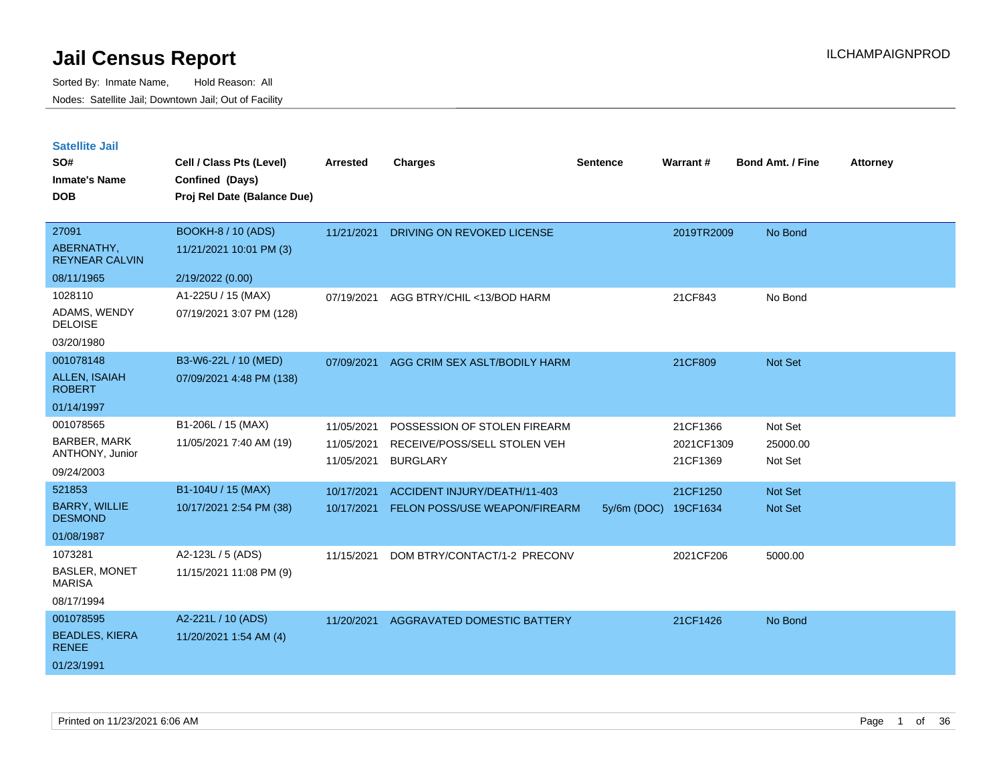| <b>Satellite Jail</b> |  |  |
|-----------------------|--|--|
|-----------------------|--|--|

| 27091<br><b>BOOKH-8 / 10 (ADS)</b><br>11/21/2021<br>DRIVING ON REVOKED LICENSE<br>2019TR2009<br>No Bond                                                         |  |
|-----------------------------------------------------------------------------------------------------------------------------------------------------------------|--|
| ABERNATHY,<br>11/21/2021 10:01 PM (3)<br><b>REYNEAR CALVIN</b>                                                                                                  |  |
| 08/11/1965<br>2/19/2022 (0.00)                                                                                                                                  |  |
| 1028110<br>A1-225U / 15 (MAX)<br>AGG BTRY/CHIL <13/BOD HARM<br>21CF843<br>No Bond<br>07/19/2021                                                                 |  |
| ADAMS, WENDY<br>07/19/2021 3:07 PM (128)<br><b>DELOISE</b>                                                                                                      |  |
| 03/20/1980                                                                                                                                                      |  |
| 001078148<br>B3-W6-22L / 10 (MED)<br>Not Set<br>07/09/2021<br>AGG CRIM SEX ASLT/BODILY HARM<br>21CF809                                                          |  |
| ALLEN, ISAIAH<br>07/09/2021 4:48 PM (138)<br><b>ROBERT</b>                                                                                                      |  |
| 01/14/1997                                                                                                                                                      |  |
| 001078565<br>B1-206L / 15 (MAX)<br>Not Set<br>11/05/2021<br>POSSESSION OF STOLEN FIREARM<br>21CF1366                                                            |  |
| <b>BARBER, MARK</b><br>11/05/2021 7:40 AM (19)<br>2021CF1309<br>11/05/2021<br>RECEIVE/POSS/SELL STOLEN VEH<br>25000.00                                          |  |
| ANTHONY, Junior<br>Not Set<br>11/05/2021<br><b>BURGLARY</b><br>21CF1369                                                                                         |  |
| 09/24/2003                                                                                                                                                      |  |
| 521853<br>B1-104U / 15 (MAX)<br>10/17/2021<br>ACCIDENT INJURY/DEATH/11-403<br>21CF1250<br>Not Set                                                               |  |
| <b>BARRY, WILLIE</b><br>10/17/2021 2:54 PM (38)<br>10/17/2021<br>FELON POSS/USE WEAPON/FIREARM<br>$5y/6m$ (DOC)<br>19CF1634<br><b>Not Set</b><br><b>DESMOND</b> |  |
| 01/08/1987                                                                                                                                                      |  |
| 1073281<br>A2-123L / 5 (ADS)<br>2021CF206<br>11/15/2021<br>DOM BTRY/CONTACT/1-2 PRECONV<br>5000.00                                                              |  |
| <b>BASLER, MONET</b><br>11/15/2021 11:08 PM (9)<br><b>MARISA</b>                                                                                                |  |
| 08/17/1994                                                                                                                                                      |  |
| 001078595<br>A2-221L / 10 (ADS)<br>21CF1426<br>11/20/2021<br><b>AGGRAVATED DOMESTIC BATTERY</b><br>No Bond                                                      |  |
| <b>BEADLES, KIERA</b><br>11/20/2021 1:54 AM (4)<br><b>RENEE</b>                                                                                                 |  |
| 01/23/1991                                                                                                                                                      |  |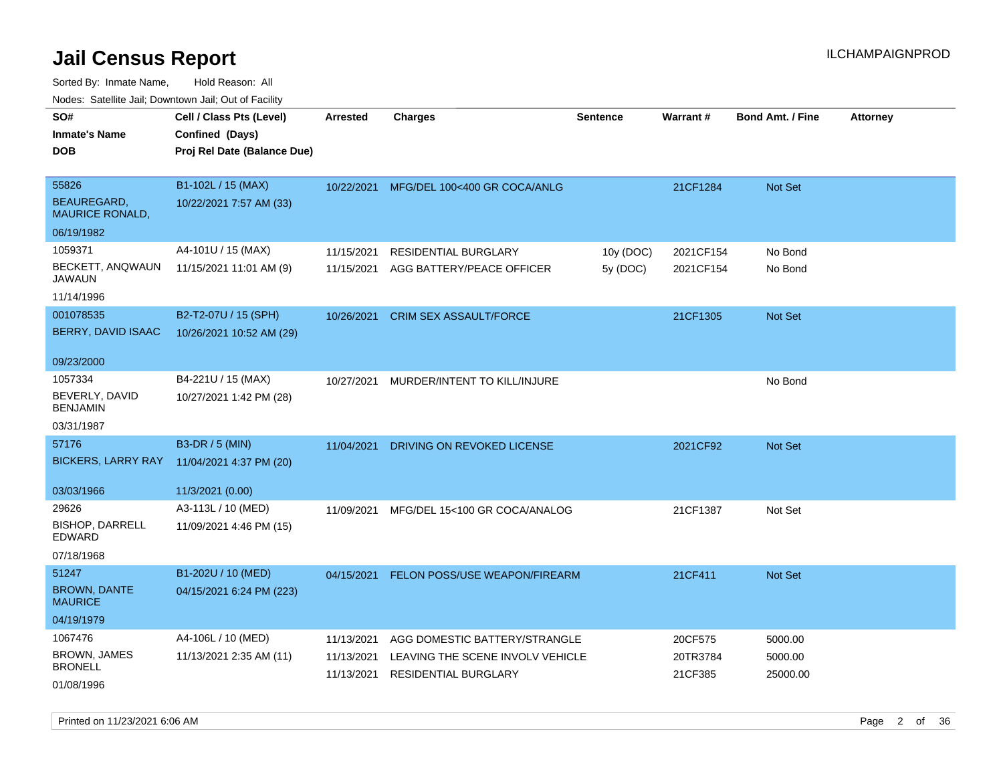Sorted By: Inmate Name, Hold Reason: All Nodes: Satellite Jail; Downtown Jail; Out of Facility

| rouco. Calcinic Jan, Downtown Jan, Out of Facility |                             |                 |                                         |                 |           |                         |                 |
|----------------------------------------------------|-----------------------------|-----------------|-----------------------------------------|-----------------|-----------|-------------------------|-----------------|
| SO#                                                | Cell / Class Pts (Level)    | <b>Arrested</b> | <b>Charges</b>                          | <b>Sentence</b> | Warrant#  | <b>Bond Amt. / Fine</b> | <b>Attorney</b> |
| Inmate's Name                                      | Confined (Days)             |                 |                                         |                 |           |                         |                 |
| <b>DOB</b>                                         | Proj Rel Date (Balance Due) |                 |                                         |                 |           |                         |                 |
|                                                    |                             |                 |                                         |                 |           |                         |                 |
| 55826                                              | B1-102L / 15 (MAX)          |                 | 10/22/2021 MFG/DEL 100<400 GR COCA/ANLG |                 | 21CF1284  | Not Set                 |                 |
| BEAUREGARD.<br><b>MAURICE RONALD,</b>              | 10/22/2021 7:57 AM (33)     |                 |                                         |                 |           |                         |                 |
| 06/19/1982                                         |                             |                 |                                         |                 |           |                         |                 |
| 1059371                                            | A4-101U / 15 (MAX)          | 11/15/2021      | <b>RESIDENTIAL BURGLARY</b>             | 10y (DOC)       | 2021CF154 | No Bond                 |                 |
| BECKETT, ANQWAUN<br>JAWAUN                         | 11/15/2021 11:01 AM (9)     | 11/15/2021      | AGG BATTERY/PEACE OFFICER               | 5y (DOC)        | 2021CF154 | No Bond                 |                 |
| 11/14/1996                                         |                             |                 |                                         |                 |           |                         |                 |
| 001078535                                          | B2-T2-07U / 15 (SPH)        | 10/26/2021      | <b>CRIM SEX ASSAULT/FORCE</b>           |                 | 21CF1305  | Not Set                 |                 |
| <b>BERRY, DAVID ISAAC</b>                          | 10/26/2021 10:52 AM (29)    |                 |                                         |                 |           |                         |                 |
| 09/23/2000                                         |                             |                 |                                         |                 |           |                         |                 |
| 1057334                                            | B4-221U / 15 (MAX)          | 10/27/2021      | MURDER/INTENT TO KILL/INJURE            |                 |           | No Bond                 |                 |
| BEVERLY, DAVID<br>BENJAMIN                         | 10/27/2021 1:42 PM (28)     |                 |                                         |                 |           |                         |                 |
| 03/31/1987                                         |                             |                 |                                         |                 |           |                         |                 |
| 57176                                              | B3-DR / 5 (MIN)             | 11/04/2021      | DRIVING ON REVOKED LICENSE              |                 | 2021CF92  | <b>Not Set</b>          |                 |
| BICKERS, LARRY RAY                                 | 11/04/2021 4:37 PM (20)     |                 |                                         |                 |           |                         |                 |
| 03/03/1966                                         | 11/3/2021 (0.00)            |                 |                                         |                 |           |                         |                 |
| 29626                                              | A3-113L / 10 (MED)          | 11/09/2021      | MFG/DEL 15<100 GR COCA/ANALOG           |                 | 21CF1387  | Not Set                 |                 |
| <b>BISHOP, DARRELL</b><br>EDWARD                   | 11/09/2021 4:46 PM (15)     |                 |                                         |                 |           |                         |                 |
| 07/18/1968                                         |                             |                 |                                         |                 |           |                         |                 |
| 51247                                              | B1-202U / 10 (MED)          | 04/15/2021      | FELON POSS/USE WEAPON/FIREARM           |                 | 21CF411   | <b>Not Set</b>          |                 |
| <b>BROWN, DANTE</b><br><b>MAURICE</b>              | 04/15/2021 6:24 PM (223)    |                 |                                         |                 |           |                         |                 |
| 04/19/1979                                         |                             |                 |                                         |                 |           |                         |                 |
| 1067476                                            | A4-106L / 10 (MED)          | 11/13/2021      | AGG DOMESTIC BATTERY/STRANGLE           |                 | 20CF575   | 5000.00                 |                 |
| <b>BROWN, JAMES</b>                                | 11/13/2021 2:35 AM (11)     | 11/13/2021      | LEAVING THE SCENE INVOLV VEHICLE        |                 | 20TR3784  | 5000.00                 |                 |
| BRONELL                                            |                             | 11/13/2021      | <b>RESIDENTIAL BURGLARY</b>             |                 | 21CF385   | 25000.00                |                 |
| 01/08/1996                                         |                             |                 |                                         |                 |           |                         |                 |

Printed on 11/23/2021 6:06 AM Page 2 of 36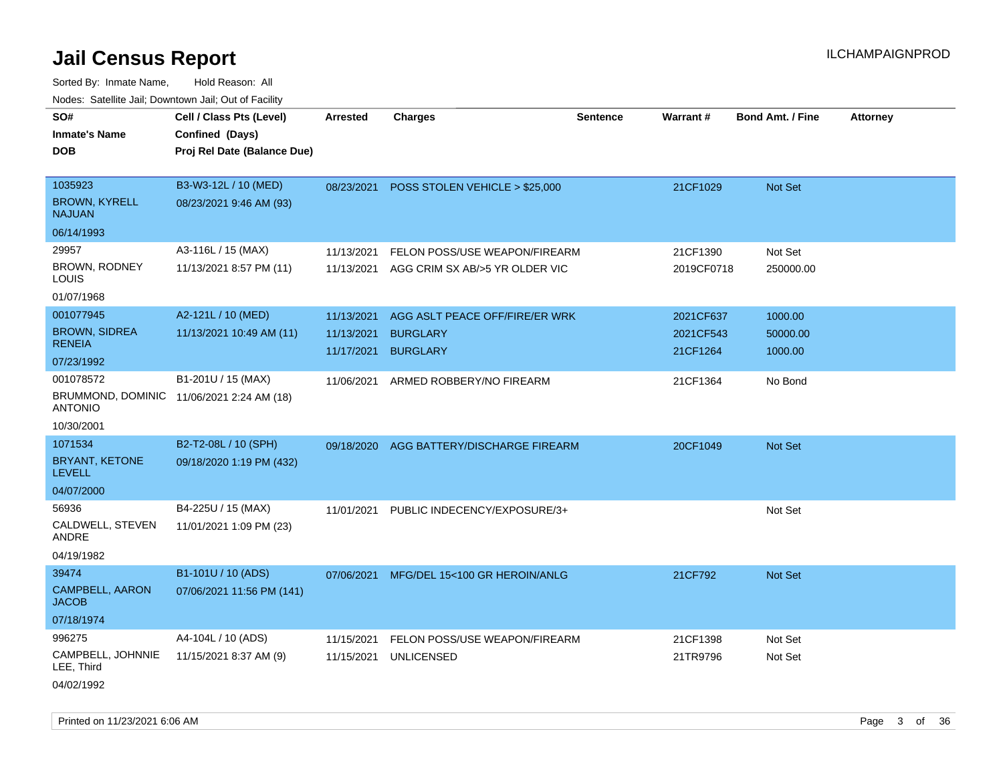| ivuutta. Saltiilitti valli, Duwilluwii Jalli, Out ol Facility |                                           |            |                                |                 |            |                         |                 |
|---------------------------------------------------------------|-------------------------------------------|------------|--------------------------------|-----------------|------------|-------------------------|-----------------|
| SO#                                                           | Cell / Class Pts (Level)                  | Arrested   | <b>Charges</b>                 | <b>Sentence</b> | Warrant#   | <b>Bond Amt. / Fine</b> | <b>Attorney</b> |
| <b>Inmate's Name</b>                                          | Confined (Days)                           |            |                                |                 |            |                         |                 |
| <b>DOB</b>                                                    | Proj Rel Date (Balance Due)               |            |                                |                 |            |                         |                 |
|                                                               |                                           |            |                                |                 |            |                         |                 |
| 1035923                                                       | B3-W3-12L / 10 (MED)                      | 08/23/2021 | POSS STOLEN VEHICLE > \$25,000 |                 | 21CF1029   | Not Set                 |                 |
| <b>BROWN, KYRELL</b><br><b>NAJUAN</b>                         | 08/23/2021 9:46 AM (93)                   |            |                                |                 |            |                         |                 |
| 06/14/1993                                                    |                                           |            |                                |                 |            |                         |                 |
| 29957                                                         | A3-116L / 15 (MAX)                        | 11/13/2021 | FELON POSS/USE WEAPON/FIREARM  |                 | 21CF1390   | Not Set                 |                 |
| <b>BROWN, RODNEY</b><br>LOUIS                                 | 11/13/2021 8:57 PM (11)                   | 11/13/2021 | AGG CRIM SX AB/>5 YR OLDER VIC |                 | 2019CF0718 | 250000.00               |                 |
| 01/07/1968                                                    |                                           |            |                                |                 |            |                         |                 |
| 001077945                                                     | A2-121L / 10 (MED)                        | 11/13/2021 | AGG ASLT PEACE OFF/FIRE/ER WRK |                 | 2021CF637  | 1000.00                 |                 |
| <b>BROWN, SIDREA</b>                                          | 11/13/2021 10:49 AM (11)                  | 11/13/2021 | <b>BURGLARY</b>                |                 | 2021CF543  | 50000.00                |                 |
| <b>RENEIA</b>                                                 |                                           | 11/17/2021 | <b>BURGLARY</b>                |                 | 21CF1264   | 1000.00                 |                 |
| 07/23/1992                                                    |                                           |            |                                |                 |            |                         |                 |
| 001078572                                                     | B1-201U / 15 (MAX)                        | 11/06/2021 | ARMED ROBBERY/NO FIREARM       |                 | 21CF1364   | No Bond                 |                 |
| <b>ANTONIO</b>                                                | BRUMMOND, DOMINIC 11/06/2021 2:24 AM (18) |            |                                |                 |            |                         |                 |
| 10/30/2001                                                    |                                           |            |                                |                 |            |                         |                 |
| 1071534                                                       | B2-T2-08L / 10 (SPH)                      | 09/18/2020 | AGG BATTERY/DISCHARGE FIREARM  |                 | 20CF1049   | Not Set                 |                 |
| BRYANT, KETONE<br><b>LEVELL</b>                               | 09/18/2020 1:19 PM (432)                  |            |                                |                 |            |                         |                 |
| 04/07/2000                                                    |                                           |            |                                |                 |            |                         |                 |
| 56936                                                         | B4-225U / 15 (MAX)                        | 11/01/2021 | PUBLIC INDECENCY/EXPOSURE/3+   |                 |            | Not Set                 |                 |
| CALDWELL, STEVEN<br>ANDRE                                     | 11/01/2021 1:09 PM (23)                   |            |                                |                 |            |                         |                 |
| 04/19/1982                                                    |                                           |            |                                |                 |            |                         |                 |
| 39474                                                         | B1-101U / 10 (ADS)                        | 07/06/2021 | MFG/DEL 15<100 GR HEROIN/ANLG  |                 | 21CF792    | <b>Not Set</b>          |                 |
| CAMPBELL, AARON<br><b>JACOB</b>                               | 07/06/2021 11:56 PM (141)                 |            |                                |                 |            |                         |                 |
| 07/18/1974                                                    |                                           |            |                                |                 |            |                         |                 |
| 996275                                                        | A4-104L / 10 (ADS)                        | 11/15/2021 | FELON POSS/USE WEAPON/FIREARM  |                 | 21CF1398   | Not Set                 |                 |
| CAMPBELL, JOHNNIE<br>LEE, Third                               | 11/15/2021 8:37 AM (9)                    | 11/15/2021 | <b>UNLICENSED</b>              |                 | 21TR9796   | Not Set                 |                 |
| 04/02/1992                                                    |                                           |            |                                |                 |            |                         |                 |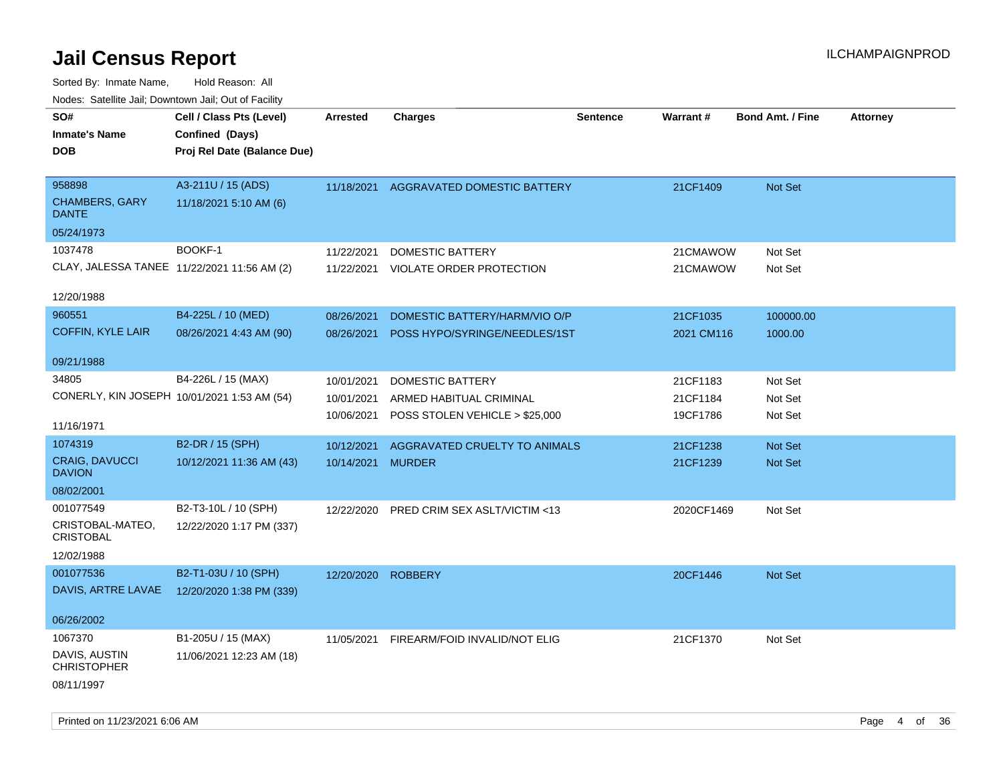| roaco. Oatomto dan, Downtown dan, Oat or Fability |                             |                   |                                          |                 |                 |                         |                 |
|---------------------------------------------------|-----------------------------|-------------------|------------------------------------------|-----------------|-----------------|-------------------------|-----------------|
| SO#                                               | Cell / Class Pts (Level)    | <b>Arrested</b>   | <b>Charges</b>                           | <b>Sentence</b> | <b>Warrant#</b> | <b>Bond Amt. / Fine</b> | <b>Attorney</b> |
| <b>Inmate's Name</b>                              | Confined (Days)             |                   |                                          |                 |                 |                         |                 |
| <b>DOB</b>                                        | Proj Rel Date (Balance Due) |                   |                                          |                 |                 |                         |                 |
|                                                   |                             |                   |                                          |                 |                 |                         |                 |
| 958898                                            | A3-211U / 15 (ADS)          | 11/18/2021        | AGGRAVATED DOMESTIC BATTERY              |                 | 21CF1409        | Not Set                 |                 |
| <b>CHAMBERS, GARY</b><br><b>DANTE</b>             | 11/18/2021 5:10 AM (6)      |                   |                                          |                 |                 |                         |                 |
| 05/24/1973                                        |                             |                   |                                          |                 |                 |                         |                 |
| 1037478                                           | BOOKF-1                     | 11/22/2021        | <b>DOMESTIC BATTERY</b>                  |                 | 21CMAWOW        | Not Set                 |                 |
| CLAY, JALESSA TANEE 11/22/2021 11:56 AM (2)       |                             | 11/22/2021        | VIOLATE ORDER PROTECTION                 |                 | 21CMAWOW        | Not Set                 |                 |
|                                                   |                             |                   |                                          |                 |                 |                         |                 |
| 12/20/1988                                        |                             |                   |                                          |                 |                 |                         |                 |
| 960551                                            | B4-225L / 10 (MED)          | 08/26/2021        | DOMESTIC BATTERY/HARM/VIO O/P            |                 | 21CF1035        | 100000.00               |                 |
| COFFIN, KYLE LAIR                                 | 08/26/2021 4:43 AM (90)     | 08/26/2021        | POSS HYPO/SYRINGE/NEEDLES/1ST            |                 | 2021 CM116      | 1000.00                 |                 |
|                                                   |                             |                   |                                          |                 |                 |                         |                 |
| 09/21/1988                                        |                             |                   |                                          |                 |                 |                         |                 |
| 34805                                             | B4-226L / 15 (MAX)          | 10/01/2021        | <b>DOMESTIC BATTERY</b>                  |                 | 21CF1183        | Not Set                 |                 |
| CONERLY, KIN JOSEPH 10/01/2021 1:53 AM (54)       |                             | 10/01/2021        | ARMED HABITUAL CRIMINAL                  |                 | 21CF1184        | Not Set                 |                 |
|                                                   |                             | 10/06/2021        | POSS STOLEN VEHICLE > \$25,000           |                 | 19CF1786        | Not Set                 |                 |
| 11/16/1971                                        |                             |                   |                                          |                 |                 |                         |                 |
| 1074319                                           | B2-DR / 15 (SPH)            | 10/12/2021        | AGGRAVATED CRUELTY TO ANIMALS            |                 | 21CF1238        | <b>Not Set</b>          |                 |
| CRAIG, DAVUCCI<br><b>DAVION</b>                   | 10/12/2021 11:36 AM (43)    | 10/14/2021 MURDER |                                          |                 | 21CF1239        | Not Set                 |                 |
| 08/02/2001                                        |                             |                   |                                          |                 |                 |                         |                 |
| 001077549                                         | B2-T3-10L / 10 (SPH)        |                   | 12/22/2020 PRED CRIM SEX ASLT/VICTIM <13 |                 | 2020CF1469      | Not Set                 |                 |
| CRISTOBAL-MATEO,<br><b>CRISTOBAL</b>              | 12/22/2020 1:17 PM (337)    |                   |                                          |                 |                 |                         |                 |
| 12/02/1988                                        |                             |                   |                                          |                 |                 |                         |                 |
| 001077536                                         | B2-T1-03U / 10 (SPH)        | 12/20/2020        | <b>ROBBERY</b>                           |                 | 20CF1446        | Not Set                 |                 |
| DAVIS, ARTRE LAVAE                                | 12/20/2020 1:38 PM (339)    |                   |                                          |                 |                 |                         |                 |
|                                                   |                             |                   |                                          |                 |                 |                         |                 |
| 06/26/2002                                        |                             |                   |                                          |                 |                 |                         |                 |
| 1067370                                           | B1-205U / 15 (MAX)          | 11/05/2021        | FIREARM/FOID INVALID/NOT ELIG            |                 | 21CF1370        | Not Set                 |                 |
| DAVIS, AUSTIN<br><b>CHRISTOPHER</b>               | 11/06/2021 12:23 AM (18)    |                   |                                          |                 |                 |                         |                 |
| 08/11/1997                                        |                             |                   |                                          |                 |                 |                         |                 |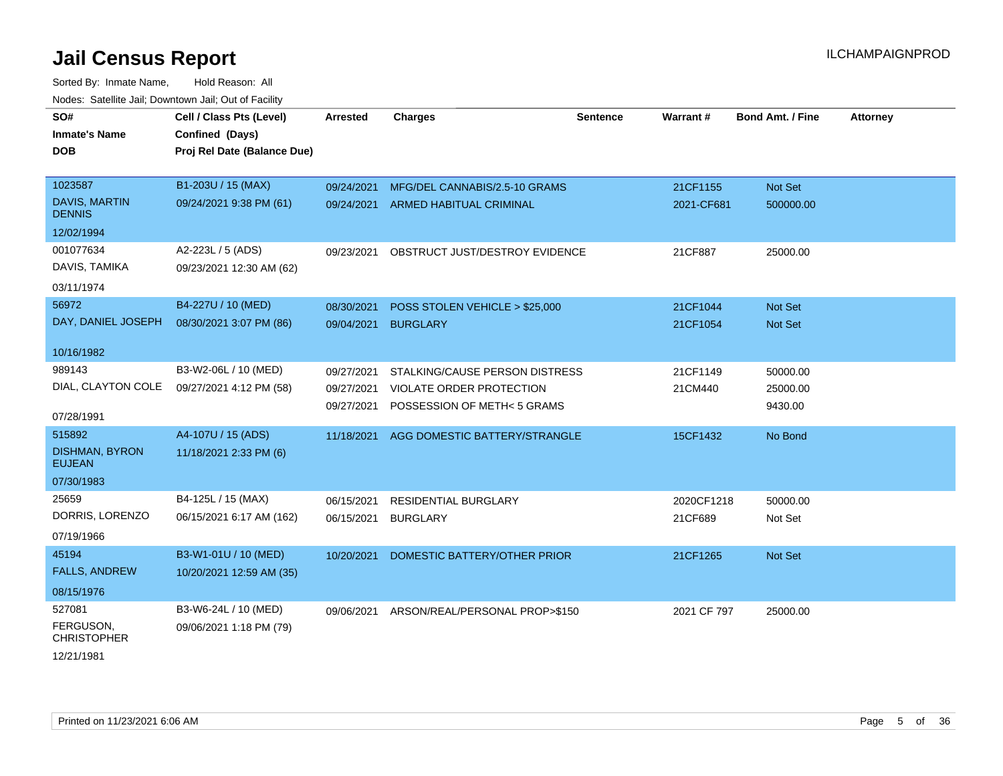Sorted By: Inmate Name, Hold Reason: All Nodes: Satellite Jail; Downtown Jail; Out of Facility

| SO#                                    | Cell / Class Pts (Level)    | Arrested   | <b>Charges</b>                     | <b>Sentence</b> | Warrant #   | <b>Bond Amt. / Fine</b> | <b>Attorney</b> |
|----------------------------------------|-----------------------------|------------|------------------------------------|-----------------|-------------|-------------------------|-----------------|
| <b>Inmate's Name</b>                   | Confined (Days)             |            |                                    |                 |             |                         |                 |
| <b>DOB</b>                             | Proj Rel Date (Balance Due) |            |                                    |                 |             |                         |                 |
|                                        |                             |            |                                    |                 |             |                         |                 |
| 1023587                                | B1-203U / 15 (MAX)          | 09/24/2021 | MFG/DEL CANNABIS/2.5-10 GRAMS      |                 | 21CF1155    | Not Set                 |                 |
| DAVIS, MARTIN<br><b>DENNIS</b>         | 09/24/2021 9:38 PM (61)     |            | 09/24/2021 ARMED HABITUAL CRIMINAL |                 | 2021-CF681  | 500000.00               |                 |
| 12/02/1994                             |                             |            |                                    |                 |             |                         |                 |
| 001077634                              | A2-223L / 5 (ADS)           | 09/23/2021 | OBSTRUCT JUST/DESTROY EVIDENCE     |                 | 21CF887     | 25000.00                |                 |
| DAVIS, TAMIKA                          | 09/23/2021 12:30 AM (62)    |            |                                    |                 |             |                         |                 |
| 03/11/1974                             |                             |            |                                    |                 |             |                         |                 |
| 56972                                  | B4-227U / 10 (MED)          | 08/30/2021 | POSS STOLEN VEHICLE > \$25,000     |                 | 21CF1044    | Not Set                 |                 |
| DAY, DANIEL JOSEPH                     | 08/30/2021 3:07 PM (86)     | 09/04/2021 | <b>BURGLARY</b>                    |                 | 21CF1054    | <b>Not Set</b>          |                 |
|                                        |                             |            |                                    |                 |             |                         |                 |
| 10/16/1982                             |                             |            |                                    |                 |             |                         |                 |
| 989143                                 | B3-W2-06L / 10 (MED)        | 09/27/2021 | STALKING/CAUSE PERSON DISTRESS     |                 | 21CF1149    | 50000.00                |                 |
| DIAL, CLAYTON COLE                     | 09/27/2021 4:12 PM (58)     | 09/27/2021 | <b>VIOLATE ORDER PROTECTION</b>    |                 | 21CM440     | 25000.00                |                 |
| 07/28/1991                             |                             | 09/27/2021 | POSSESSION OF METH<5 GRAMS         |                 |             | 9430.00                 |                 |
| 515892                                 |                             |            |                                    |                 |             |                         |                 |
|                                        | A4-107U / 15 (ADS)          | 11/18/2021 | AGG DOMESTIC BATTERY/STRANGLE      |                 | 15CF1432    | No Bond                 |                 |
| <b>DISHMAN, BYRON</b><br><b>EUJEAN</b> | 11/18/2021 2:33 PM (6)      |            |                                    |                 |             |                         |                 |
| 07/30/1983                             |                             |            |                                    |                 |             |                         |                 |
| 25659                                  | B4-125L / 15 (MAX)          | 06/15/2021 | <b>RESIDENTIAL BURGLARY</b>        |                 | 2020CF1218  | 50000.00                |                 |
| DORRIS, LORENZO                        | 06/15/2021 6:17 AM (162)    | 06/15/2021 | <b>BURGLARY</b>                    |                 | 21CF689     | Not Set                 |                 |
| 07/19/1966                             |                             |            |                                    |                 |             |                         |                 |
| 45194                                  | B3-W1-01U / 10 (MED)        | 10/20/2021 | DOMESTIC BATTERY/OTHER PRIOR       |                 | 21CF1265    | Not Set                 |                 |
| <b>FALLS, ANDREW</b>                   | 10/20/2021 12:59 AM (35)    |            |                                    |                 |             |                         |                 |
| 08/15/1976                             |                             |            |                                    |                 |             |                         |                 |
|                                        |                             |            |                                    |                 |             |                         |                 |
| 527081                                 | B3-W6-24L / 10 (MED)        | 09/06/2021 | ARSON/REAL/PERSONAL PROP>\$150     |                 | 2021 CF 797 | 25000.00                |                 |
| FERGUSON,<br><b>CHRISTOPHER</b>        | 09/06/2021 1:18 PM (79)     |            |                                    |                 |             |                         |                 |
| 10/21/202                              |                             |            |                                    |                 |             |                         |                 |

12/21/1981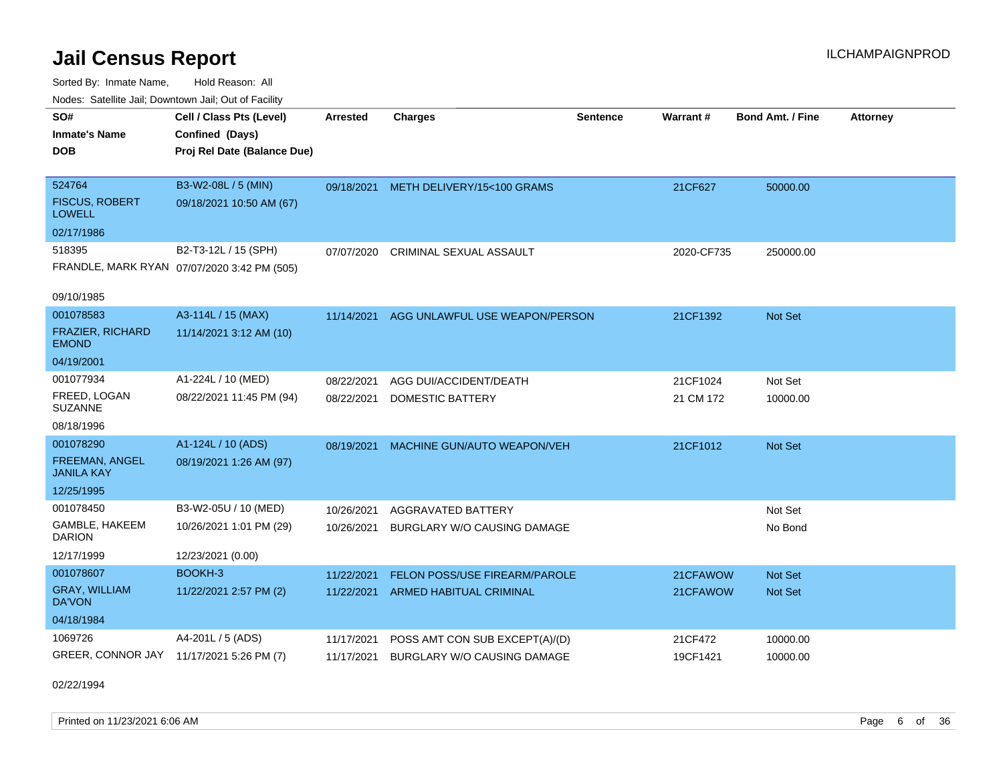Sorted By: Inmate Name, Hold Reason: All Nodes: Satellite Jail; Downtown Jail; Out of Facility

| Noues. Salenne Jan, Downtown Jan, Out of Facility |                                             |            |                                       |                 |            |                         |                 |
|---------------------------------------------------|---------------------------------------------|------------|---------------------------------------|-----------------|------------|-------------------------|-----------------|
| SO#                                               | Cell / Class Pts (Level)                    | Arrested   | <b>Charges</b>                        | <b>Sentence</b> | Warrant#   | <b>Bond Amt. / Fine</b> | <b>Attorney</b> |
| <b>Inmate's Name</b>                              | Confined (Days)                             |            |                                       |                 |            |                         |                 |
| <b>DOB</b>                                        | Proj Rel Date (Balance Due)                 |            |                                       |                 |            |                         |                 |
|                                                   |                                             |            |                                       |                 |            |                         |                 |
| 524764                                            | B3-W2-08L / 5 (MIN)                         |            | 09/18/2021 METH DELIVERY/15<100 GRAMS |                 | 21CF627    | 50000.00                |                 |
| <b>FISCUS, ROBERT</b><br><b>LOWELL</b>            | 09/18/2021 10:50 AM (67)                    |            |                                       |                 |            |                         |                 |
| 02/17/1986                                        |                                             |            |                                       |                 |            |                         |                 |
| 518395                                            | B2-T3-12L / 15 (SPH)                        | 07/07/2020 | <b>CRIMINAL SEXUAL ASSAULT</b>        |                 | 2020-CF735 | 250000.00               |                 |
|                                                   | FRANDLE, MARK RYAN 07/07/2020 3:42 PM (505) |            |                                       |                 |            |                         |                 |
|                                                   |                                             |            |                                       |                 |            |                         |                 |
| 09/10/1985                                        |                                             |            |                                       |                 |            |                         |                 |
| 001078583                                         | A3-114L / 15 (MAX)                          | 11/14/2021 | AGG UNLAWFUL USE WEAPON/PERSON        |                 | 21CF1392   | Not Set                 |                 |
| <b>FRAZIER, RICHARD</b><br><b>EMOND</b>           | 11/14/2021 3:12 AM (10)                     |            |                                       |                 |            |                         |                 |
| 04/19/2001                                        |                                             |            |                                       |                 |            |                         |                 |
| 001077934                                         | A1-224L / 10 (MED)                          | 08/22/2021 | AGG DUI/ACCIDENT/DEATH                |                 | 21CF1024   | Not Set                 |                 |
| FREED, LOGAN<br><b>SUZANNE</b>                    | 08/22/2021 11:45 PM (94)                    | 08/22/2021 | <b>DOMESTIC BATTERY</b>               |                 | 21 CM 172  | 10000.00                |                 |
| 08/18/1996                                        |                                             |            |                                       |                 |            |                         |                 |
| 001078290                                         | A1-124L / 10 (ADS)                          | 08/19/2021 | MACHINE GUN/AUTO WEAPON/VEH           |                 | 21CF1012   | Not Set                 |                 |
| FREEMAN, ANGEL<br><b>JANILA KAY</b>               | 08/19/2021 1:26 AM (97)                     |            |                                       |                 |            |                         |                 |
| 12/25/1995                                        |                                             |            |                                       |                 |            |                         |                 |
| 001078450                                         | B3-W2-05U / 10 (MED)                        | 10/26/2021 | <b>AGGRAVATED BATTERY</b>             |                 |            | Not Set                 |                 |
| GAMBLE, HAKEEM<br><b>DARION</b>                   | 10/26/2021 1:01 PM (29)                     | 10/26/2021 | BURGLARY W/O CAUSING DAMAGE           |                 |            | No Bond                 |                 |
| 12/17/1999                                        | 12/23/2021 (0.00)                           |            |                                       |                 |            |                         |                 |
| 001078607                                         | BOOKH-3                                     | 11/22/2021 | <b>FELON POSS/USE FIREARM/PAROLE</b>  |                 | 21CFAWOW   | <b>Not Set</b>          |                 |
| <b>GRAY, WILLIAM</b><br>DA'VON                    | 11/22/2021 2:57 PM (2)                      | 11/22/2021 | ARMED HABITUAL CRIMINAL               |                 | 21CFAWOW   | <b>Not Set</b>          |                 |
| 04/18/1984                                        |                                             |            |                                       |                 |            |                         |                 |
| 1069726                                           | A4-201L / 5 (ADS)                           | 11/17/2021 | POSS AMT CON SUB EXCEPT(A)/(D)        |                 | 21CF472    | 10000.00                |                 |
| GREER, CONNOR JAY 11/17/2021 5:26 PM (7)          |                                             | 11/17/2021 | <b>BURGLARY W/O CAUSING DAMAGE</b>    |                 | 19CF1421   | 10000.00                |                 |

02/22/1994

Printed on 11/23/2021 6:06 AM Page 6 of 36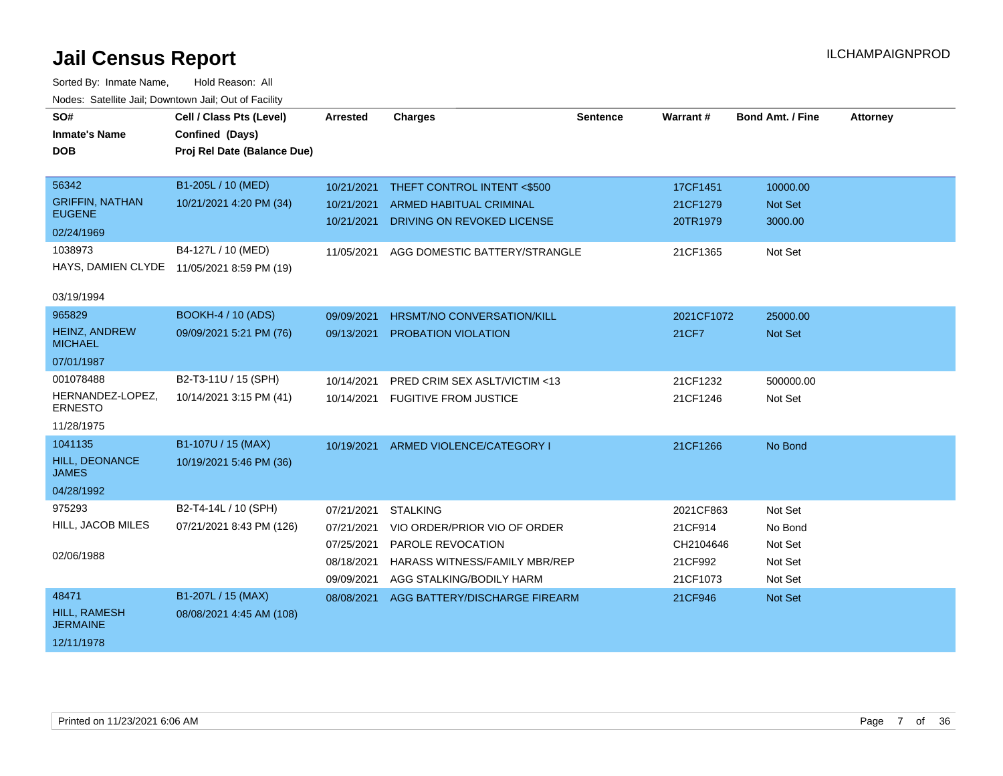| SO#                                     | Cell / Class Pts (Level)                   | Arrested   | <b>Charges</b>                 | <b>Sentence</b> | Warrant#   | <b>Bond Amt. / Fine</b> | <b>Attorney</b> |
|-----------------------------------------|--------------------------------------------|------------|--------------------------------|-----------------|------------|-------------------------|-----------------|
| <b>Inmate's Name</b>                    | Confined (Days)                            |            |                                |                 |            |                         |                 |
| <b>DOB</b>                              | Proj Rel Date (Balance Due)                |            |                                |                 |            |                         |                 |
|                                         |                                            |            |                                |                 |            |                         |                 |
| 56342                                   | B1-205L / 10 (MED)                         | 10/21/2021 | THEFT CONTROL INTENT <\$500    |                 | 17CF1451   | 10000.00                |                 |
| <b>GRIFFIN, NATHAN</b><br><b>EUGENE</b> | 10/21/2021 4:20 PM (34)                    | 10/21/2021 | <b>ARMED HABITUAL CRIMINAL</b> |                 | 21CF1279   | Not Set                 |                 |
| 02/24/1969                              |                                            | 10/21/2021 | DRIVING ON REVOKED LICENSE     |                 | 20TR1979   | 3000.00                 |                 |
| 1038973                                 | B4-127L / 10 (MED)                         | 11/05/2021 | AGG DOMESTIC BATTERY/STRANGLE  |                 | 21CF1365   | Not Set                 |                 |
|                                         | HAYS, DAMIEN CLYDE 11/05/2021 8:59 PM (19) |            |                                |                 |            |                         |                 |
| 03/19/1994                              |                                            |            |                                |                 |            |                         |                 |
| 965829                                  | <b>BOOKH-4 / 10 (ADS)</b>                  | 09/09/2021 | HRSMT/NO CONVERSATION/KILL     |                 | 2021CF1072 | 25000.00                |                 |
| HEINZ, ANDREW<br><b>MICHAEL</b>         | 09/09/2021 5:21 PM (76)                    | 09/13/2021 | PROBATION VIOLATION            |                 | 21CF7      | Not Set                 |                 |
| 07/01/1987                              |                                            |            |                                |                 |            |                         |                 |
| 001078488                               | B2-T3-11U / 15 (SPH)                       | 10/14/2021 | PRED CRIM SEX ASLT/VICTIM <13  |                 | 21CF1232   | 500000.00               |                 |
| HERNANDEZ-LOPEZ,<br><b>ERNESTO</b>      | 10/14/2021 3:15 PM (41)                    | 10/14/2021 | <b>FUGITIVE FROM JUSTICE</b>   |                 | 21CF1246   | Not Set                 |                 |
| 11/28/1975                              |                                            |            |                                |                 |            |                         |                 |
| 1041135                                 | B1-107U / 15 (MAX)                         | 10/19/2021 | ARMED VIOLENCE/CATEGORY I      |                 | 21CF1266   | No Bond                 |                 |
| <b>HILL, DEONANCE</b><br><b>JAMES</b>   | 10/19/2021 5:46 PM (36)                    |            |                                |                 |            |                         |                 |
| 04/28/1992                              |                                            |            |                                |                 |            |                         |                 |
| 975293                                  | B2-T4-14L / 10 (SPH)                       | 07/21/2021 | <b>STALKING</b>                |                 | 2021CF863  | Not Set                 |                 |
| HILL, JACOB MILES                       | 07/21/2021 8:43 PM (126)                   | 07/21/2021 | VIO ORDER/PRIOR VIO OF ORDER   |                 | 21CF914    | No Bond                 |                 |
|                                         |                                            | 07/25/2021 | PAROLE REVOCATION              |                 | CH2104646  | Not Set                 |                 |
| 02/06/1988                              |                                            | 08/18/2021 | HARASS WITNESS/FAMILY MBR/REP  |                 | 21CF992    | Not Set                 |                 |
|                                         |                                            | 09/09/2021 | AGG STALKING/BODILY HARM       |                 | 21CF1073   | Not Set                 |                 |
| 48471                                   | B1-207L / 15 (MAX)                         | 08/08/2021 | AGG BATTERY/DISCHARGE FIREARM  |                 | 21CF946    | Not Set                 |                 |
| <b>HILL, RAMESH</b><br><b>JERMAINE</b>  | 08/08/2021 4:45 AM (108)                   |            |                                |                 |            |                         |                 |
| 12/11/1978                              |                                            |            |                                |                 |            |                         |                 |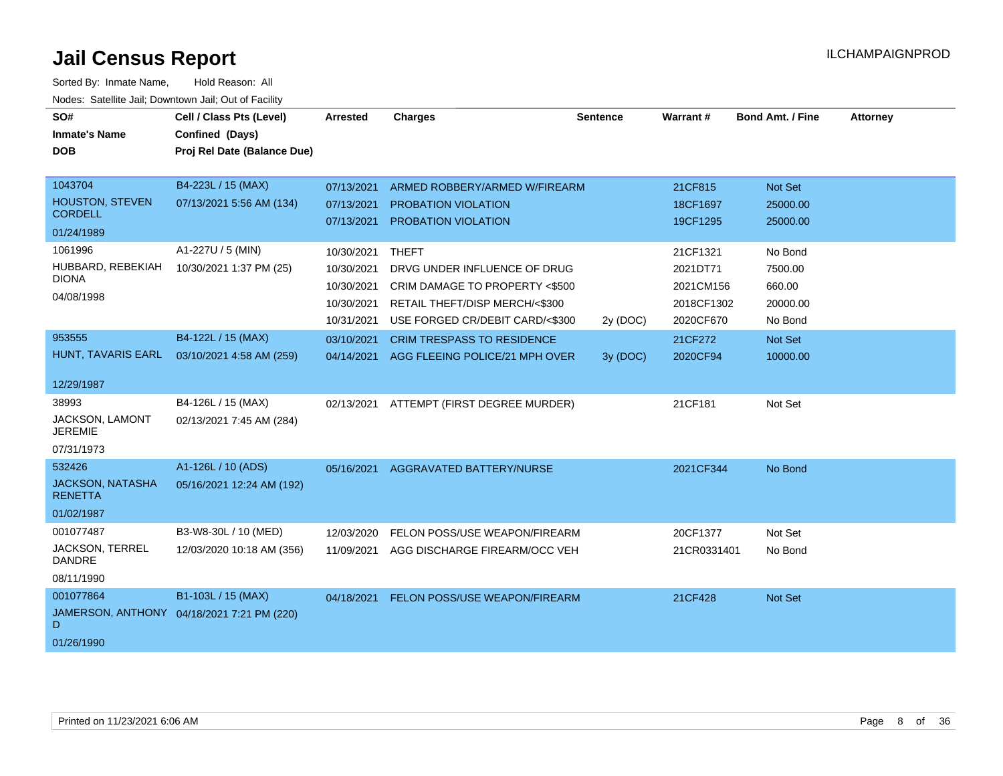| SO#<br><b>Inmate's Name</b><br><b>DOB</b> | Cell / Class Pts (Level)<br>Confined (Days)<br>Proj Rel Date (Balance Due) | <b>Arrested</b> | <b>Charges</b>                       | <b>Sentence</b> | Warrant#    | Bond Amt. / Fine | <b>Attorney</b> |
|-------------------------------------------|----------------------------------------------------------------------------|-----------------|--------------------------------------|-----------------|-------------|------------------|-----------------|
|                                           |                                                                            |                 |                                      |                 |             |                  |                 |
| 1043704                                   | B4-223L / 15 (MAX)                                                         | 07/13/2021      | ARMED ROBBERY/ARMED W/FIREARM        |                 | 21CF815     | Not Set          |                 |
| <b>HOUSTON, STEVEN</b><br><b>CORDELL</b>  | 07/13/2021 5:56 AM (134)                                                   | 07/13/2021      | <b>PROBATION VIOLATION</b>           |                 | 18CF1697    | 25000.00         |                 |
| 01/24/1989                                |                                                                            | 07/13/2021      | <b>PROBATION VIOLATION</b>           |                 | 19CF1295    | 25000.00         |                 |
| 1061996                                   | A1-227U / 5 (MIN)                                                          | 10/30/2021      | <b>THEFT</b>                         |                 | 21CF1321    | No Bond          |                 |
| HUBBARD, REBEKIAH                         | 10/30/2021 1:37 PM (25)                                                    | 10/30/2021      | DRVG UNDER INFLUENCE OF DRUG         |                 | 2021DT71    | 7500.00          |                 |
| <b>DIONA</b>                              |                                                                            | 10/30/2021      | CRIM DAMAGE TO PROPERTY <\$500       |                 | 2021CM156   | 660.00           |                 |
| 04/08/1998                                |                                                                            | 10/30/2021      | RETAIL THEFT/DISP MERCH/<\$300       |                 | 2018CF1302  | 20000.00         |                 |
|                                           |                                                                            | 10/31/2021      | USE FORGED CR/DEBIT CARD/<\$300      | 2y (DOC)        | 2020CF670   | No Bond          |                 |
| 953555                                    | B4-122L / 15 (MAX)                                                         | 03/10/2021      | <b>CRIM TRESPASS TO RESIDENCE</b>    |                 | 21CF272     | Not Set          |                 |
| HUNT, TAVARIS EARL                        | 03/10/2021 4:58 AM (259)                                                   | 04/14/2021      | AGG FLEEING POLICE/21 MPH OVER       | 3y (DOC)        | 2020CF94    | 10000.00         |                 |
| 12/29/1987                                |                                                                            |                 |                                      |                 |             |                  |                 |
| 38993                                     | B4-126L / 15 (MAX)                                                         | 02/13/2021      | ATTEMPT (FIRST DEGREE MURDER)        |                 | 21CF181     | Not Set          |                 |
| <b>JACKSON, LAMONT</b><br><b>JEREMIE</b>  | 02/13/2021 7:45 AM (284)                                                   |                 |                                      |                 |             |                  |                 |
| 07/31/1973                                |                                                                            |                 |                                      |                 |             |                  |                 |
| 532426                                    | A1-126L / 10 (ADS)                                                         | 05/16/2021      | AGGRAVATED BATTERY/NURSE             |                 | 2021CF344   | No Bond          |                 |
| <b>JACKSON, NATASHA</b><br><b>RENETTA</b> | 05/16/2021 12:24 AM (192)                                                  |                 |                                      |                 |             |                  |                 |
| 01/02/1987                                |                                                                            |                 |                                      |                 |             |                  |                 |
| 001077487                                 | B3-W8-30L / 10 (MED)                                                       | 12/03/2020      | FELON POSS/USE WEAPON/FIREARM        |                 | 20CF1377    | Not Set          |                 |
| <b>JACKSON, TERREL</b><br><b>DANDRE</b>   | 12/03/2020 10:18 AM (356)                                                  | 11/09/2021      | AGG DISCHARGE FIREARM/OCC VEH        |                 | 21CR0331401 | No Bond          |                 |
| 08/11/1990                                |                                                                            |                 |                                      |                 |             |                  |                 |
| 001077864                                 | B1-103L / 15 (MAX)                                                         | 04/18/2021      | <b>FELON POSS/USE WEAPON/FIREARM</b> |                 | 21CF428     | <b>Not Set</b>   |                 |
| D                                         | JAMERSON, ANTHONY 04/18/2021 7:21 PM (220)                                 |                 |                                      |                 |             |                  |                 |
| 01/26/1990                                |                                                                            |                 |                                      |                 |             |                  |                 |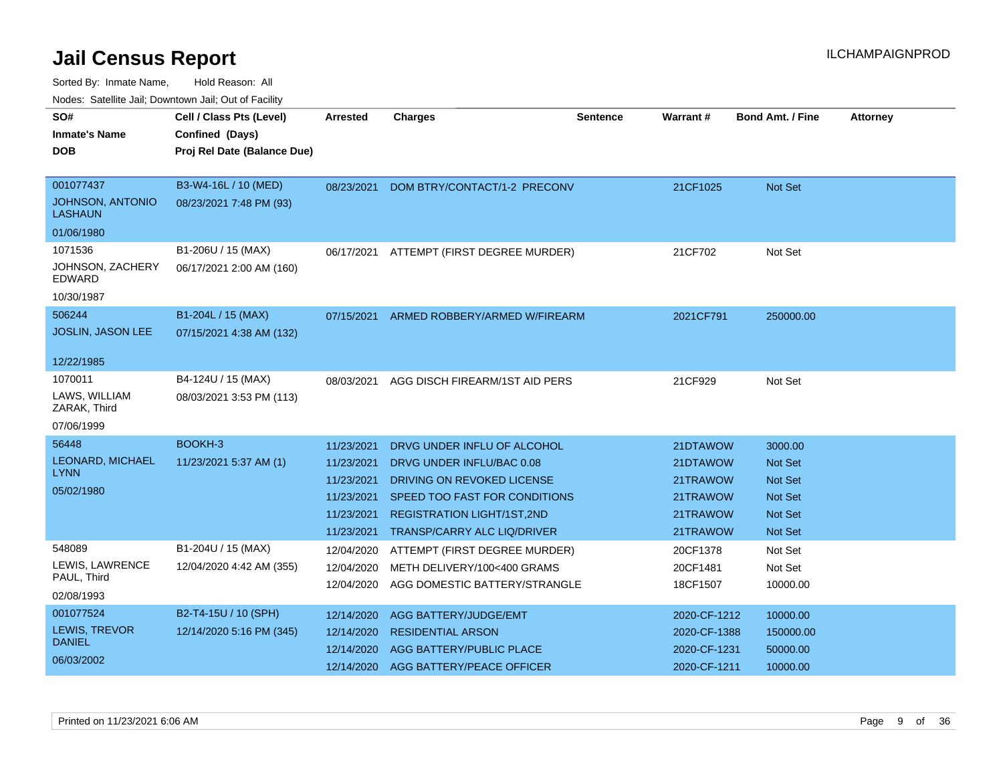| SO#                                | Cell / Class Pts (Level)    | <b>Arrested</b> | <b>Charges</b>                     | <b>Sentence</b> | <b>Warrant#</b> | <b>Bond Amt. / Fine</b> | <b>Attorney</b> |
|------------------------------------|-----------------------------|-----------------|------------------------------------|-----------------|-----------------|-------------------------|-----------------|
| <b>Inmate's Name</b>               | Confined (Days)             |                 |                                    |                 |                 |                         |                 |
| DOB                                | Proj Rel Date (Balance Due) |                 |                                    |                 |                 |                         |                 |
|                                    |                             |                 |                                    |                 |                 |                         |                 |
| 001077437                          | B3-W4-16L / 10 (MED)        | 08/23/2021      | DOM BTRY/CONTACT/1-2 PRECONV       |                 | 21CF1025        | Not Set                 |                 |
| JOHNSON, ANTONIO<br><b>LASHAUN</b> | 08/23/2021 7:48 PM (93)     |                 |                                    |                 |                 |                         |                 |
| 01/06/1980                         |                             |                 |                                    |                 |                 |                         |                 |
| 1071536                            | B1-206U / 15 (MAX)          | 06/17/2021      | ATTEMPT (FIRST DEGREE MURDER)      |                 | 21CF702         | Not Set                 |                 |
| JOHNSON, ZACHERY<br><b>EDWARD</b>  | 06/17/2021 2:00 AM (160)    |                 |                                    |                 |                 |                         |                 |
| 10/30/1987                         |                             |                 |                                    |                 |                 |                         |                 |
| 506244                             | B1-204L / 15 (MAX)          | 07/15/2021      | ARMED ROBBERY/ARMED W/FIREARM      |                 | 2021CF791       | 250000.00               |                 |
| <b>JOSLIN, JASON LEE</b>           | 07/15/2021 4:38 AM (132)    |                 |                                    |                 |                 |                         |                 |
|                                    |                             |                 |                                    |                 |                 |                         |                 |
| 12/22/1985                         |                             |                 |                                    |                 |                 |                         |                 |
| 1070011                            | B4-124U / 15 (MAX)          | 08/03/2021      | AGG DISCH FIREARM/1ST AID PERS     |                 | 21CF929         | Not Set                 |                 |
| LAWS, WILLIAM<br>ZARAK, Third      | 08/03/2021 3:53 PM (113)    |                 |                                    |                 |                 |                         |                 |
| 07/06/1999                         |                             |                 |                                    |                 |                 |                         |                 |
| 56448                              | BOOKH-3                     | 11/23/2021      | DRVG UNDER INFLU OF ALCOHOL        |                 | 21DTAWOW        | 3000.00                 |                 |
| LEONARD, MICHAEL                   | 11/23/2021 5:37 AM (1)      | 11/23/2021      | DRVG UNDER INFLU/BAC 0.08          |                 | 21DTAWOW        | Not Set                 |                 |
| <b>LYNN</b>                        |                             | 11/23/2021      | DRIVING ON REVOKED LICENSE         |                 | 21TRAWOW        | <b>Not Set</b>          |                 |
| 05/02/1980                         |                             | 11/23/2021      | SPEED TOO FAST FOR CONDITIONS      |                 | 21TRAWOW        | <b>Not Set</b>          |                 |
|                                    |                             | 11/23/2021      | <b>REGISTRATION LIGHT/1ST,2ND</b>  |                 | 21TRAWOW        | <b>Not Set</b>          |                 |
|                                    |                             | 11/23/2021      | <b>TRANSP/CARRY ALC LIQ/DRIVER</b> |                 | 21TRAWOW        | <b>Not Set</b>          |                 |
| 548089                             | B1-204U / 15 (MAX)          | 12/04/2020      | ATTEMPT (FIRST DEGREE MURDER)      |                 | 20CF1378        | Not Set                 |                 |
| LEWIS, LAWRENCE                    | 12/04/2020 4:42 AM (355)    | 12/04/2020      | METH DELIVERY/100<400 GRAMS        |                 | 20CF1481        | Not Set                 |                 |
| PAUL, Third                        |                             | 12/04/2020      | AGG DOMESTIC BATTERY/STRANGLE      |                 | 18CF1507        | 10000.00                |                 |
| 02/08/1993                         |                             |                 |                                    |                 |                 |                         |                 |
| 001077524                          | B2-T4-15U / 10 (SPH)        | 12/14/2020      | AGG BATTERY/JUDGE/EMT              |                 | 2020-CF-1212    | 10000.00                |                 |
| LEWIS, TREVOR                      | 12/14/2020 5:16 PM (345)    | 12/14/2020      | <b>RESIDENTIAL ARSON</b>           |                 | 2020-CF-1388    | 150000.00               |                 |
| <b>DANIEL</b>                      |                             | 12/14/2020      | AGG BATTERY/PUBLIC PLACE           |                 | 2020-CF-1231    | 50000.00                |                 |
| 06/03/2002                         |                             | 12/14/2020      | AGG BATTERY/PEACE OFFICER          |                 | 2020-CF-1211    | 10000.00                |                 |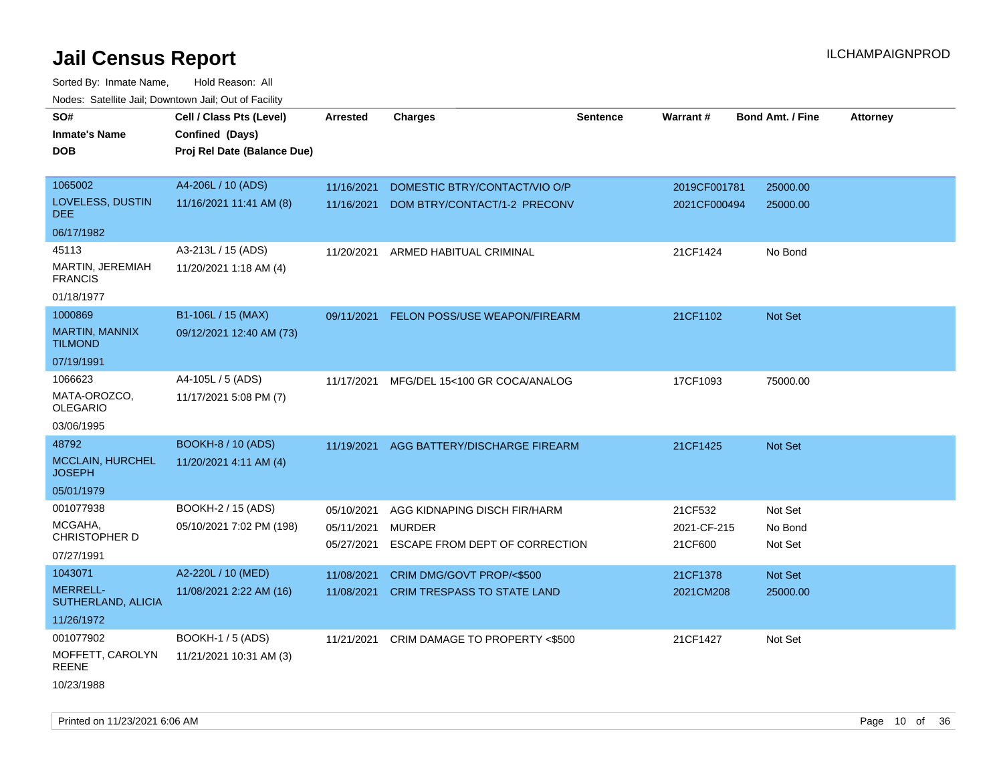Sorted By: Inmate Name, Hold Reason: All Nodes: Satellite Jail; Downtown Jail; Out of Facility

| SO#<br><b>Inmate's Name</b><br>DOB                  | Cell / Class Pts (Level)<br>Confined (Days)<br>Proj Rel Date (Balance Due) | <b>Arrested</b>                        | <b>Charges</b>                                                                  | <b>Sentence</b> | Warrant#                          | <b>Bond Amt. / Fine</b>       | <b>Attorney</b> |
|-----------------------------------------------------|----------------------------------------------------------------------------|----------------------------------------|---------------------------------------------------------------------------------|-----------------|-----------------------------------|-------------------------------|-----------------|
| 1065002<br>LOVELESS, DUSTIN<br><b>DEE</b>           | A4-206L / 10 (ADS)<br>11/16/2021 11:41 AM (8)                              | 11/16/2021<br>11/16/2021               | DOMESTIC BTRY/CONTACT/VIO O/P<br>DOM BTRY/CONTACT/1-2 PRECONV                   |                 | 2019CF001781<br>2021CF000494      | 25000.00<br>25000.00          |                 |
| 06/17/1982                                          |                                                                            |                                        |                                                                                 |                 |                                   |                               |                 |
| 45113<br>MARTIN, JEREMIAH<br><b>FRANCIS</b>         | A3-213L / 15 (ADS)<br>11/20/2021 1:18 AM (4)                               | 11/20/2021                             | ARMED HABITUAL CRIMINAL                                                         |                 | 21CF1424                          | No Bond                       |                 |
| 01/18/1977                                          |                                                                            |                                        |                                                                                 |                 |                                   |                               |                 |
| 1000869<br><b>MARTIN, MANNIX</b><br><b>TILMOND</b>  | B1-106L / 15 (MAX)<br>09/12/2021 12:40 AM (73)                             | 09/11/2021                             | FELON POSS/USE WEAPON/FIREARM                                                   |                 | 21CF1102                          | Not Set                       |                 |
| 07/19/1991                                          |                                                                            |                                        |                                                                                 |                 |                                   |                               |                 |
| 1066623<br>MATA-OROZCO,<br><b>OLEGARIO</b>          | A4-105L / 5 (ADS)<br>11/17/2021 5:08 PM (7)                                | 11/17/2021                             | MFG/DEL 15<100 GR COCA/ANALOG                                                   |                 | 17CF1093                          | 75000.00                      |                 |
| 03/06/1995<br>48792                                 | <b>BOOKH-8 / 10 (ADS)</b>                                                  |                                        |                                                                                 |                 |                                   |                               |                 |
| <b>MCCLAIN, HURCHEL</b><br><b>JOSEPH</b>            | 11/20/2021 4:11 AM (4)                                                     | 11/19/2021                             | AGG BATTERY/DISCHARGE FIREARM                                                   |                 | 21CF1425                          | Not Set                       |                 |
| 05/01/1979                                          |                                                                            |                                        |                                                                                 |                 |                                   |                               |                 |
| 001077938<br>MCGAHA,<br>CHRISTOPHER D<br>07/27/1991 | BOOKH-2 / 15 (ADS)<br>05/10/2021 7:02 PM (198)                             | 05/10/2021<br>05/11/2021<br>05/27/2021 | AGG KIDNAPING DISCH FIR/HARM<br><b>MURDER</b><br>ESCAPE FROM DEPT OF CORRECTION |                 | 21CF532<br>2021-CF-215<br>21CF600 | Not Set<br>No Bond<br>Not Set |                 |
| 1043071                                             | A2-220L / 10 (MED)                                                         | 11/08/2021                             | CRIM DMG/GOVT PROP/<\$500                                                       |                 | 21CF1378                          | Not Set                       |                 |
| <b>MERRELL-</b><br>SUTHERLAND, ALICIA               | 11/08/2021 2:22 AM (16)                                                    | 11/08/2021                             | <b>CRIM TRESPASS TO STATE LAND</b>                                              |                 | 2021CM208                         | 25000.00                      |                 |
| 11/26/1972                                          |                                                                            |                                        |                                                                                 |                 |                                   |                               |                 |
| 001077902                                           | <b>BOOKH-1 / 5 (ADS)</b>                                                   | 11/21/2021                             | CRIM DAMAGE TO PROPERTY <\$500                                                  |                 | 21CF1427                          | Not Set                       |                 |
| MOFFETT, CAROLYN<br>REENE                           | 11/21/2021 10:31 AM (3)                                                    |                                        |                                                                                 |                 |                                   |                               |                 |
| 10/23/1988                                          |                                                                            |                                        |                                                                                 |                 |                                   |                               |                 |

Printed on 11/23/2021 6:06 AM **Page 10** of 36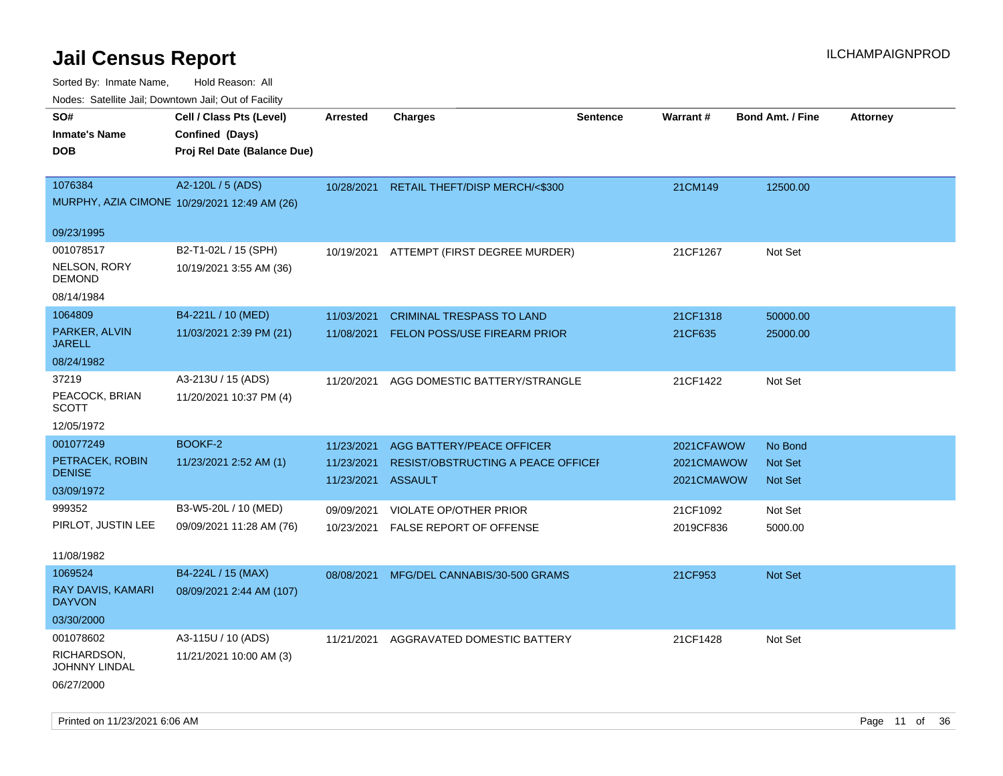| rouco. Calcillo Jali, Downtown Jali, Out of Facility |                                              |                    |                                           |                 |                 |                         |                 |
|------------------------------------------------------|----------------------------------------------|--------------------|-------------------------------------------|-----------------|-----------------|-------------------------|-----------------|
| SO#<br><b>Inmate's Name</b>                          | Cell / Class Pts (Level)<br>Confined (Days)  | <b>Arrested</b>    | <b>Charges</b>                            | <b>Sentence</b> | <b>Warrant#</b> | <b>Bond Amt. / Fine</b> | <b>Attorney</b> |
| DOB                                                  | Proj Rel Date (Balance Due)                  |                    |                                           |                 |                 |                         |                 |
|                                                      |                                              |                    |                                           |                 |                 |                         |                 |
| 1076384                                              | A2-120L / 5 (ADS)                            |                    | 10/28/2021 RETAIL THEFT/DISP MERCH/<\$300 |                 | 21CM149         | 12500.00                |                 |
|                                                      | MURPHY, AZIA CIMONE 10/29/2021 12:49 AM (26) |                    |                                           |                 |                 |                         |                 |
| 09/23/1995                                           |                                              |                    |                                           |                 |                 |                         |                 |
| 001078517                                            | B2-T1-02L / 15 (SPH)                         | 10/19/2021         | ATTEMPT (FIRST DEGREE MURDER)             |                 | 21CF1267        | Not Set                 |                 |
| NELSON, RORY<br>DEMOND                               | 10/19/2021 3:55 AM (36)                      |                    |                                           |                 |                 |                         |                 |
| 08/14/1984                                           |                                              |                    |                                           |                 |                 |                         |                 |
| 1064809                                              | B4-221L / 10 (MED)                           | 11/03/2021         | <b>CRIMINAL TRESPASS TO LAND</b>          |                 | 21CF1318        | 50000.00                |                 |
| PARKER, ALVIN<br>JARELL                              | 11/03/2021 2:39 PM (21)                      | 11/08/2021         | <b>FELON POSS/USE FIREARM PRIOR</b>       |                 | 21CF635         | 25000.00                |                 |
| 08/24/1982                                           |                                              |                    |                                           |                 |                 |                         |                 |
| 37219                                                | A3-213U / 15 (ADS)                           | 11/20/2021         | AGG DOMESTIC BATTERY/STRANGLE             |                 | 21CF1422        | Not Set                 |                 |
| PEACOCK, BRIAN<br>SCOTT                              | 11/20/2021 10:37 PM (4)                      |                    |                                           |                 |                 |                         |                 |
| 12/05/1972                                           |                                              |                    |                                           |                 |                 |                         |                 |
| 001077249                                            | BOOKF-2                                      | 11/23/2021         | AGG BATTERY/PEACE OFFICER                 |                 | 2021CFAWOW      | No Bond                 |                 |
| PETRACEK, ROBIN<br><b>DENISE</b>                     | 11/23/2021 2:52 AM (1)                       | 11/23/2021         | RESIST/OBSTRUCTING A PEACE OFFICEF        |                 | 2021CMAWOW      | <b>Not Set</b>          |                 |
| 03/09/1972                                           |                                              | 11/23/2021 ASSAULT |                                           |                 | 2021CMAWOW      | <b>Not Set</b>          |                 |
| 999352                                               | B3-W5-20L / 10 (MED)                         | 09/09/2021         | <b>VIOLATE OP/OTHER PRIOR</b>             |                 | 21CF1092        | Not Set                 |                 |
| PIRLOT, JUSTIN LEE                                   | 09/09/2021 11:28 AM (76)                     | 10/23/2021         | <b>FALSE REPORT OF OFFENSE</b>            |                 | 2019CF836       | 5000.00                 |                 |
| 11/08/1982                                           |                                              |                    |                                           |                 |                 |                         |                 |
| 1069524                                              | B4-224L / 15 (MAX)                           | 08/08/2021         | MFG/DEL CANNABIS/30-500 GRAMS             |                 | 21CF953         | <b>Not Set</b>          |                 |
| RAY DAVIS, KAMARI<br><b>DAYVON</b>                   | 08/09/2021 2:44 AM (107)                     |                    |                                           |                 |                 |                         |                 |
| 03/30/2000                                           |                                              |                    |                                           |                 |                 |                         |                 |
| 001078602                                            | A3-115U / 10 (ADS)                           | 11/21/2021         | AGGRAVATED DOMESTIC BATTERY               |                 | 21CF1428        | Not Set                 |                 |
| RICHARDSON,<br>JOHNNY LINDAL                         | 11/21/2021 10:00 AM (3)                      |                    |                                           |                 |                 |                         |                 |
| 06/27/2000                                           |                                              |                    |                                           |                 |                 |                         |                 |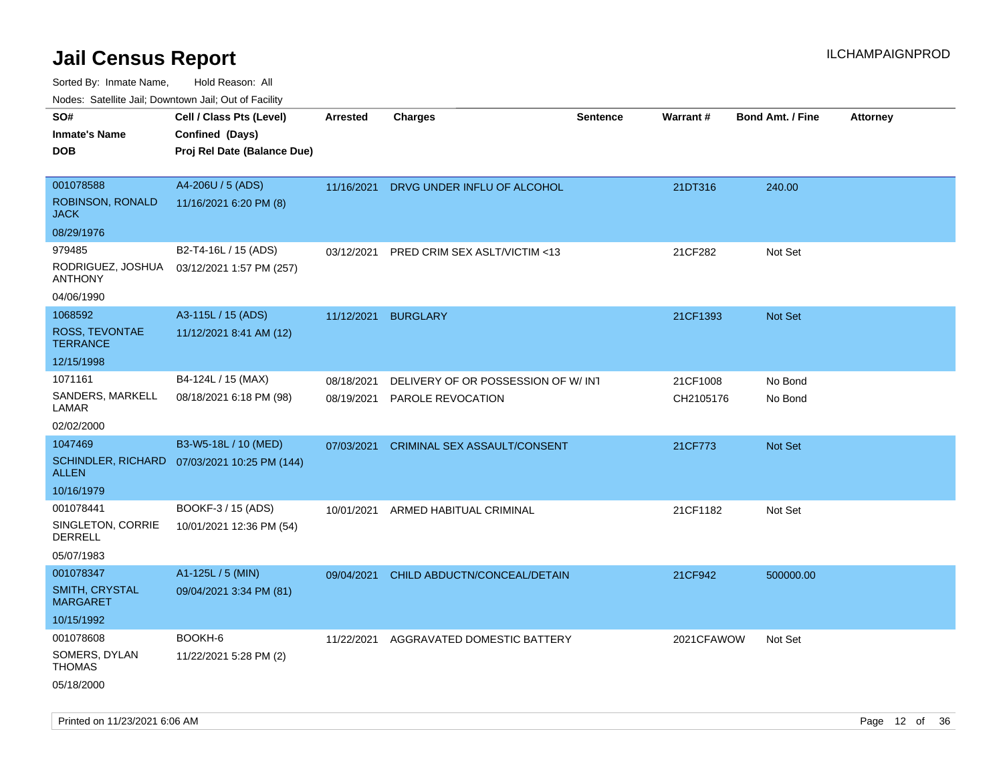Sorted By: Inmate Name, Hold Reason: All

Nodes: Satellite Jail; Downtown Jail; Out of Facility

| rougs. Calcinic Jan, Downtown Jan, Out of Facility |                                              |            |                                    |                 |            |                         |                 |
|----------------------------------------------------|----------------------------------------------|------------|------------------------------------|-----------------|------------|-------------------------|-----------------|
| SO#                                                | Cell / Class Pts (Level)                     | Arrested   | <b>Charges</b>                     | <b>Sentence</b> | Warrant#   | <b>Bond Amt. / Fine</b> | <b>Attorney</b> |
| <b>Inmate's Name</b>                               | Confined (Days)                              |            |                                    |                 |            |                         |                 |
| <b>DOB</b>                                         | Proj Rel Date (Balance Due)                  |            |                                    |                 |            |                         |                 |
|                                                    |                                              |            |                                    |                 |            |                         |                 |
| 001078588                                          | A4-206U / 5 (ADS)                            | 11/16/2021 | DRVG UNDER INFLU OF ALCOHOL        |                 | 21DT316    | 240.00                  |                 |
| ROBINSON, RONALD<br><b>JACK</b>                    | 11/16/2021 6:20 PM (8)                       |            |                                    |                 |            |                         |                 |
| 08/29/1976                                         |                                              |            |                                    |                 |            |                         |                 |
| 979485                                             | B2-T4-16L / 15 (ADS)                         | 03/12/2021 | PRED CRIM SEX ASLT/VICTIM <13      |                 | 21CF282    | Not Set                 |                 |
| RODRIGUEZ, JOSHUA<br><b>ANTHONY</b>                | 03/12/2021 1:57 PM (257)                     |            |                                    |                 |            |                         |                 |
| 04/06/1990                                         |                                              |            |                                    |                 |            |                         |                 |
| 1068592                                            | A3-115L / 15 (ADS)                           | 11/12/2021 | <b>BURGLARY</b>                    |                 | 21CF1393   | Not Set                 |                 |
| ROSS, TEVONTAE<br><b>TERRANCE</b>                  | 11/12/2021 8:41 AM (12)                      |            |                                    |                 |            |                         |                 |
| 12/15/1998                                         |                                              |            |                                    |                 |            |                         |                 |
| 1071161                                            | B4-124L / 15 (MAX)                           | 08/18/2021 | DELIVERY OF OR POSSESSION OF W/INT |                 | 21CF1008   | No Bond                 |                 |
| SANDERS, MARKELL<br>LAMAR                          | 08/18/2021 6:18 PM (98)                      | 08/19/2021 | PAROLE REVOCATION                  |                 | CH2105176  | No Bond                 |                 |
| 02/02/2000                                         |                                              |            |                                    |                 |            |                         |                 |
| 1047469                                            | B3-W5-18L / 10 (MED)                         | 07/03/2021 | CRIMINAL SEX ASSAULT/CONSENT       |                 | 21CF773    | Not Set                 |                 |
| <b>ALLEN</b>                                       | SCHINDLER, RICHARD 07/03/2021 10:25 PM (144) |            |                                    |                 |            |                         |                 |
| 10/16/1979                                         |                                              |            |                                    |                 |            |                         |                 |
| 001078441                                          | BOOKF-3 / 15 (ADS)                           | 10/01/2021 | ARMED HABITUAL CRIMINAL            |                 | 21CF1182   | Not Set                 |                 |
| SINGLETON, CORRIE<br>DERRELL                       | 10/01/2021 12:36 PM (54)                     |            |                                    |                 |            |                         |                 |
| 05/07/1983                                         |                                              |            |                                    |                 |            |                         |                 |
| 001078347                                          | A1-125L / 5 (MIN)                            | 09/04/2021 | CHILD ABDUCTN/CONCEAL/DETAIN       |                 | 21CF942    | 500000.00               |                 |
| SMITH, CRYSTAL<br><b>MARGARET</b>                  | 09/04/2021 3:34 PM (81)                      |            |                                    |                 |            |                         |                 |
| 10/15/1992                                         |                                              |            |                                    |                 |            |                         |                 |
| 001078608                                          | BOOKH-6                                      | 11/22/2021 | AGGRAVATED DOMESTIC BATTERY        |                 | 2021CFAWOW | Not Set                 |                 |
| SOMERS, DYLAN<br><b>THOMAS</b>                     | 11/22/2021 5:28 PM (2)                       |            |                                    |                 |            |                         |                 |
| 05/18/2000                                         |                                              |            |                                    |                 |            |                         |                 |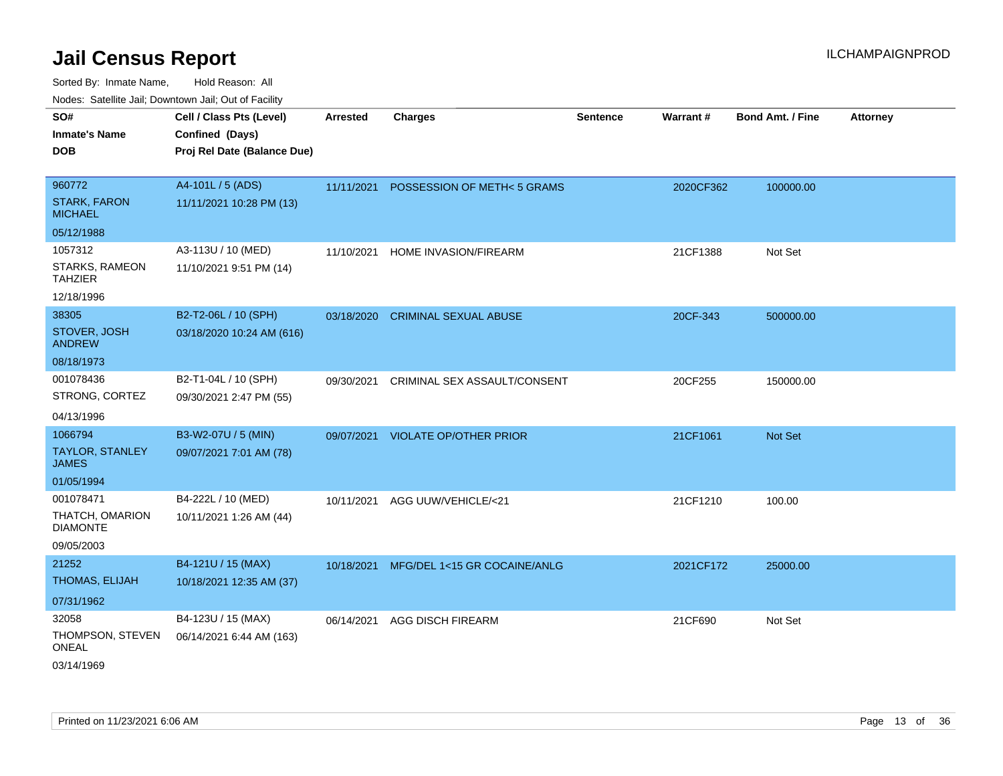Sorted By: Inmate Name, Hold Reason: All Nodes: Satellite Jail; Downtown Jail; Out of Facility

| roaco. Catolino cali, Domntonn cali, Out of Facility |                             |                 |                                         |                 |           |                         |                 |
|------------------------------------------------------|-----------------------------|-----------------|-----------------------------------------|-----------------|-----------|-------------------------|-----------------|
| SO#                                                  | Cell / Class Pts (Level)    | <b>Arrested</b> | <b>Charges</b>                          | <b>Sentence</b> | Warrant#  | <b>Bond Amt. / Fine</b> | <b>Attorney</b> |
| <b>Inmate's Name</b>                                 | Confined (Days)             |                 |                                         |                 |           |                         |                 |
| <b>DOB</b>                                           | Proj Rel Date (Balance Due) |                 |                                         |                 |           |                         |                 |
|                                                      |                             |                 |                                         |                 |           |                         |                 |
| 960772                                               | A4-101L / 5 (ADS)           | 11/11/2021      | POSSESSION OF METH<5 GRAMS              |                 | 2020CF362 | 100000.00               |                 |
| <b>STARK, FARON</b><br><b>MICHAEL</b>                | 11/11/2021 10:28 PM (13)    |                 |                                         |                 |           |                         |                 |
| 05/12/1988                                           |                             |                 |                                         |                 |           |                         |                 |
| 1057312                                              | A3-113U / 10 (MED)          | 11/10/2021      | HOME INVASION/FIREARM                   |                 | 21CF1388  | Not Set                 |                 |
| STARKS, RAMEON<br><b>TAHZIER</b>                     | 11/10/2021 9:51 PM (14)     |                 |                                         |                 |           |                         |                 |
| 12/18/1996                                           |                             |                 |                                         |                 |           |                         |                 |
| 38305                                                | B2-T2-06L / 10 (SPH)        |                 | 03/18/2020 CRIMINAL SEXUAL ABUSE        |                 | 20CF-343  | 500000.00               |                 |
| STOVER, JOSH<br><b>ANDREW</b>                        | 03/18/2020 10:24 AM (616)   |                 |                                         |                 |           |                         |                 |
| 08/18/1973                                           |                             |                 |                                         |                 |           |                         |                 |
| 001078436                                            | B2-T1-04L / 10 (SPH)        | 09/30/2021      | CRIMINAL SEX ASSAULT/CONSENT            |                 | 20CF255   | 150000.00               |                 |
| STRONG, CORTEZ                                       | 09/30/2021 2:47 PM (55)     |                 |                                         |                 |           |                         |                 |
| 04/13/1996                                           |                             |                 |                                         |                 |           |                         |                 |
| 1066794                                              | B3-W2-07U / 5 (MIN)         |                 | 09/07/2021 VIOLATE OP/OTHER PRIOR       |                 | 21CF1061  | Not Set                 |                 |
| <b>TAYLOR, STANLEY</b><br><b>JAMES</b>               | 09/07/2021 7:01 AM (78)     |                 |                                         |                 |           |                         |                 |
| 01/05/1994                                           |                             |                 |                                         |                 |           |                         |                 |
| 001078471                                            | B4-222L / 10 (MED)          | 10/11/2021      | AGG UUW/VEHICLE/<21                     |                 | 21CF1210  | 100.00                  |                 |
| THATCH, OMARION<br><b>DIAMONTE</b>                   | 10/11/2021 1:26 AM (44)     |                 |                                         |                 |           |                         |                 |
| 09/05/2003                                           |                             |                 |                                         |                 |           |                         |                 |
| 21252                                                | B4-121U / 15 (MAX)          |                 | 10/18/2021 MFG/DEL 1<15 GR COCAINE/ANLG |                 | 2021CF172 | 25000.00                |                 |
| THOMAS, ELIJAH                                       | 10/18/2021 12:35 AM (37)    |                 |                                         |                 |           |                         |                 |
| 07/31/1962                                           |                             |                 |                                         |                 |           |                         |                 |
| 32058                                                | B4-123U / 15 (MAX)          | 06/14/2021      | <b>AGG DISCH FIREARM</b>                |                 | 21CF690   | Not Set                 |                 |
| THOMPSON, STEVEN<br><b>ONEAL</b>                     | 06/14/2021 6:44 AM (163)    |                 |                                         |                 |           |                         |                 |
| 03/14/1969                                           |                             |                 |                                         |                 |           |                         |                 |

Printed on 11/23/2021 6:06 AM Page 13 of 36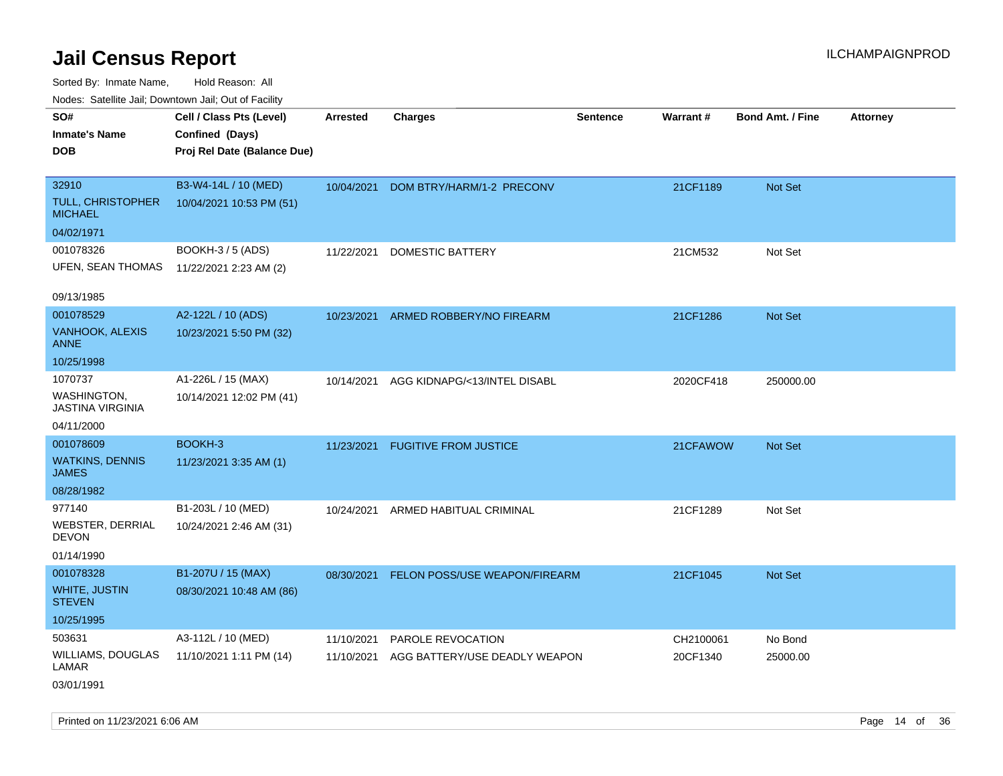| roaco. Calcinio dan, Downtown dan, Oal or Fability |                                             |                 |                                          |                 |           |                         |                 |
|----------------------------------------------------|---------------------------------------------|-----------------|------------------------------------------|-----------------|-----------|-------------------------|-----------------|
| SO#<br>Inmate's Name                               | Cell / Class Pts (Level)<br>Confined (Days) | <b>Arrested</b> | <b>Charges</b>                           | <b>Sentence</b> | Warrant#  | <b>Bond Amt. / Fine</b> | <b>Attorney</b> |
| DOB                                                | Proj Rel Date (Balance Due)                 |                 |                                          |                 |           |                         |                 |
| 32910                                              | B3-W4-14L / 10 (MED)                        | 10/04/2021      | DOM BTRY/HARM/1-2 PRECONV                |                 | 21CF1189  | Not Set                 |                 |
| TULL, CHRISTOPHER<br>MICHAEL                       | 10/04/2021 10:53 PM (51)                    |                 |                                          |                 |           |                         |                 |
| 04/02/1971                                         |                                             |                 |                                          |                 |           |                         |                 |
| 001078326                                          | BOOKH-3 / 5 (ADS)                           | 11/22/2021      | DOMESTIC BATTERY                         |                 | 21CM532   | Not Set                 |                 |
| UFEN, SEAN THOMAS                                  | 11/22/2021 2:23 AM (2)                      |                 |                                          |                 |           |                         |                 |
| 09/13/1985                                         |                                             |                 |                                          |                 |           |                         |                 |
| 001078529                                          | A2-122L / 10 (ADS)                          |                 | 10/23/2021 ARMED ROBBERY/NO FIREARM      |                 | 21CF1286  | <b>Not Set</b>          |                 |
| <b>VANHOOK, ALEXIS</b><br>ANNE                     | 10/23/2021 5:50 PM (32)                     |                 |                                          |                 |           |                         |                 |
| 10/25/1998                                         |                                             |                 |                                          |                 |           |                         |                 |
| 1070737                                            | A1-226L / 15 (MAX)                          | 10/14/2021      | AGG KIDNAPG/<13/INTEL DISABL             |                 | 2020CF418 | 250000.00               |                 |
| WASHINGTON.<br>JASTINA VIRGINIA                    | 10/14/2021 12:02 PM (41)                    |                 |                                          |                 |           |                         |                 |
| 04/11/2000                                         |                                             |                 |                                          |                 |           |                         |                 |
| 001078609                                          | BOOKH-3                                     |                 | 11/23/2021 FUGITIVE FROM JUSTICE         |                 | 21CFAWOW  | <b>Not Set</b>          |                 |
| WATKINS, DENNIS<br>JAMES                           | 11/23/2021 3:35 AM (1)                      |                 |                                          |                 |           |                         |                 |
| 08/28/1982                                         |                                             |                 |                                          |                 |           |                         |                 |
| 977140                                             | B1-203L / 10 (MED)                          | 10/24/2021      | ARMED HABITUAL CRIMINAL                  |                 | 21CF1289  | Not Set                 |                 |
| WEBSTER, DERRIAL<br>DEVON                          | 10/24/2021 2:46 AM (31)                     |                 |                                          |                 |           |                         |                 |
| 01/14/1990                                         |                                             |                 |                                          |                 |           |                         |                 |
| 001078328                                          | B1-207U / 15 (MAX)                          |                 | 08/30/2021 FELON POSS/USE WEAPON/FIREARM |                 | 21CF1045  | <b>Not Set</b>          |                 |
| <b>WHITE, JUSTIN</b><br><b>STEVEN</b>              | 08/30/2021 10:48 AM (86)                    |                 |                                          |                 |           |                         |                 |
| 10/25/1995                                         |                                             |                 |                                          |                 |           |                         |                 |
| 503631                                             | A3-112L / 10 (MED)                          | 11/10/2021      | PAROLE REVOCATION                        |                 | CH2100061 | No Bond                 |                 |
| WILLIAMS, DOUGLAS<br>LAMAR                         | 11/10/2021 1:11 PM (14)                     | 11/10/2021      | AGG BATTERY/USE DEADLY WEAPON            |                 | 20CF1340  | 25000.00                |                 |
| 03/01/1991                                         |                                             |                 |                                          |                 |           |                         |                 |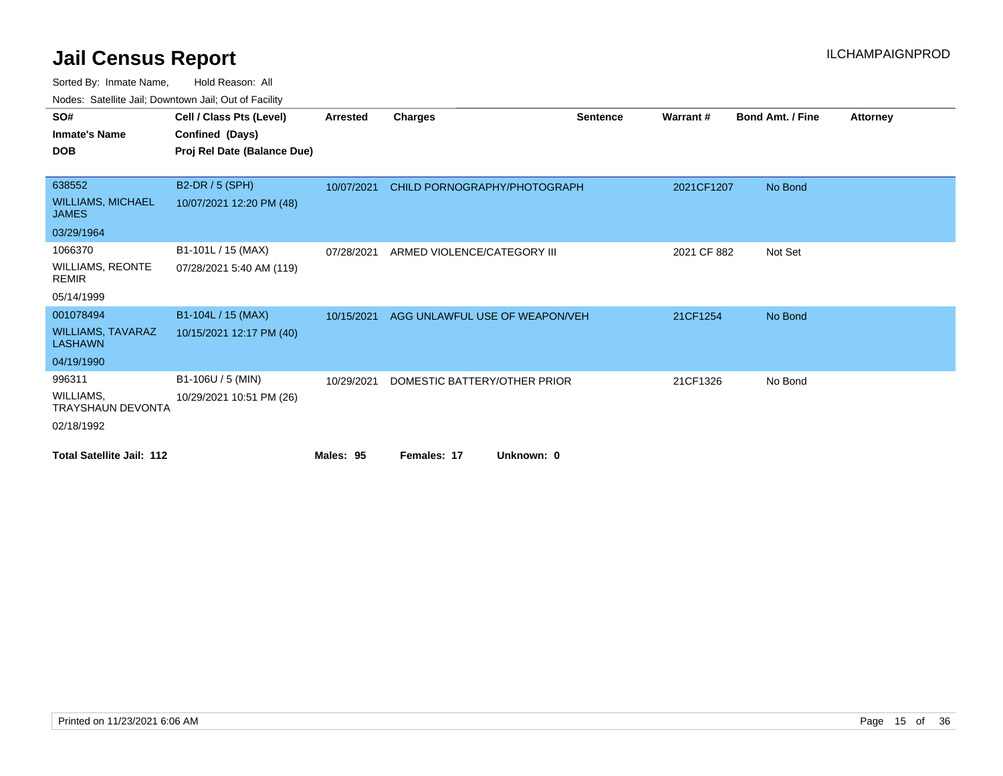| SO#                                        | Cell / Class Pts (Level)    | <b>Arrested</b> | <b>Charges</b>                 | <b>Sentence</b> | Warrant#    | <b>Bond Amt. / Fine</b> | <b>Attorney</b> |
|--------------------------------------------|-----------------------------|-----------------|--------------------------------|-----------------|-------------|-------------------------|-----------------|
| <b>Inmate's Name</b>                       | Confined (Days)             |                 |                                |                 |             |                         |                 |
| <b>DOB</b>                                 | Proj Rel Date (Balance Due) |                 |                                |                 |             |                         |                 |
|                                            |                             |                 |                                |                 |             |                         |                 |
| 638552                                     | B2-DR / 5 (SPH)             | 10/07/2021      | CHILD PORNOGRAPHY/PHOTOGRAPH   |                 | 2021CF1207  | No Bond                 |                 |
| <b>WILLIAMS, MICHAEL</b><br><b>JAMES</b>   | 10/07/2021 12:20 PM (48)    |                 |                                |                 |             |                         |                 |
| 03/29/1964                                 |                             |                 |                                |                 |             |                         |                 |
| 1066370                                    | B1-101L / 15 (MAX)          | 07/28/2021      | ARMED VIOLENCE/CATEGORY III    |                 | 2021 CF 882 | Not Set                 |                 |
| <b>WILLIAMS, REONTE</b><br><b>REMIR</b>    | 07/28/2021 5:40 AM (119)    |                 |                                |                 |             |                         |                 |
| 05/14/1999                                 |                             |                 |                                |                 |             |                         |                 |
| 001078494                                  | B1-104L / 15 (MAX)          | 10/15/2021      | AGG UNLAWFUL USE OF WEAPON/VEH |                 | 21CF1254    | No Bond                 |                 |
| <b>WILLIAMS, TAVARAZ</b><br><b>LASHAWN</b> | 10/15/2021 12:17 PM (40)    |                 |                                |                 |             |                         |                 |
| 04/19/1990                                 |                             |                 |                                |                 |             |                         |                 |
| 996311                                     | B1-106U / 5 (MIN)           | 10/29/2021      | DOMESTIC BATTERY/OTHER PRIOR   |                 | 21CF1326    | No Bond                 |                 |
| WILLIAMS,<br><b>TRAYSHAUN DEVONTA</b>      | 10/29/2021 10:51 PM (26)    |                 |                                |                 |             |                         |                 |
| 02/18/1992                                 |                             |                 |                                |                 |             |                         |                 |
| <b>Total Satellite Jail: 112</b>           |                             | Males: 95       | Females: 17                    | Unknown: 0      |             |                         |                 |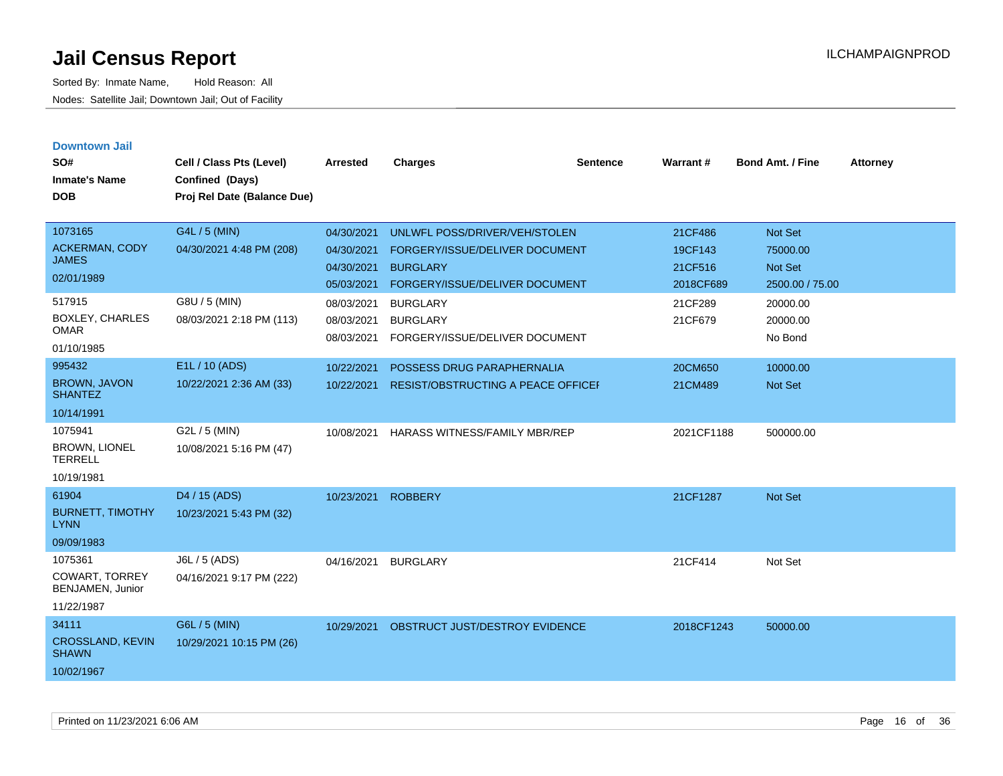| <b>Downtown Jail</b><br>SO#<br><b>Inmate's Name</b><br><b>DOB</b>  | Cell / Class Pts (Level)<br>Confined (Days)<br>Proj Rel Date (Balance Due) | <b>Arrested</b> | <b>Charges</b>                            | <b>Sentence</b> | Warrant#   | Bond Amt. / Fine | <b>Attorney</b> |
|--------------------------------------------------------------------|----------------------------------------------------------------------------|-----------------|-------------------------------------------|-----------------|------------|------------------|-----------------|
| 1073165                                                            | G4L / 5 (MIN)                                                              | 04/30/2021      | UNLWFL POSS/DRIVER/VEH/STOLEN             |                 | 21CF486    | Not Set          |                 |
| ACKERMAN, CODY<br><b>JAMES</b>                                     | 04/30/2021 4:48 PM (208)                                                   | 04/30/2021      | FORGERY/ISSUE/DELIVER DOCUMENT            |                 | 19CF143    | 75000.00         |                 |
| 02/01/1989                                                         |                                                                            | 04/30/2021      | <b>BURGLARY</b>                           |                 | 21CF516    | Not Set          |                 |
|                                                                    |                                                                            | 05/03/2021      | FORGERY/ISSUE/DELIVER DOCUMENT            |                 | 2018CF689  | 2500.00 / 75.00  |                 |
| 517915                                                             | G8U / 5 (MIN)                                                              | 08/03/2021      | <b>BURGLARY</b>                           |                 | 21CF289    | 20000.00         |                 |
| <b>BOXLEY, CHARLES</b><br><b>OMAR</b>                              | 08/03/2021 2:18 PM (113)                                                   | 08/03/2021      | <b>BURGLARY</b>                           |                 | 21CF679    | 20000.00         |                 |
| 01/10/1985                                                         |                                                                            | 08/03/2021      | FORGERY/ISSUE/DELIVER DOCUMENT            |                 |            | No Bond          |                 |
| 995432                                                             | E1L / 10 (ADS)                                                             | 10/22/2021      | POSSESS DRUG PARAPHERNALIA                |                 | 20CM650    | 10000.00         |                 |
| <b>BROWN, JAVON</b><br><b>SHANTEZ</b>                              | 10/22/2021 2:36 AM (33)                                                    | 10/22/2021      | RESIST/OBSTRUCTING A PEACE OFFICEI        |                 | 21CM489    | Not Set          |                 |
| 10/14/1991                                                         |                                                                            |                 |                                           |                 |            |                  |                 |
| 1075941<br><b>BROWN, LIONEL</b><br><b>TERRELL</b>                  | G2L / 5 (MIN)<br>10/08/2021 5:16 PM (47)                                   | 10/08/2021      | <b>HARASS WITNESS/FAMILY MBR/REP</b>      |                 | 2021CF1188 | 500000.00        |                 |
| 10/19/1981                                                         |                                                                            |                 |                                           |                 |            |                  |                 |
| 61904<br><b>BURNETT, TIMOTHY</b><br><b>LYNN</b>                    | D <sub>4</sub> / 15 (ADS)<br>10/23/2021 5:43 PM (32)                       | 10/23/2021      | <b>ROBBERY</b>                            |                 | 21CF1287   | <b>Not Set</b>   |                 |
| 09/09/1983                                                         |                                                                            |                 |                                           |                 |            |                  |                 |
| 1075361<br><b>COWART, TORREY</b><br>BENJAMEN, Junior<br>11/22/1987 | J6L / 5 (ADS)<br>04/16/2021 9:17 PM (222)                                  | 04/16/2021      | <b>BURGLARY</b>                           |                 | 21CF414    | Not Set          |                 |
| 34111<br><b>CROSSLAND, KEVIN</b><br><b>SHAWN</b><br>10/02/1967     | G6L / 5 (MIN)<br>10/29/2021 10:15 PM (26)                                  |                 | 10/29/2021 OBSTRUCT JUST/DESTROY EVIDENCE |                 | 2018CF1243 | 50000.00         |                 |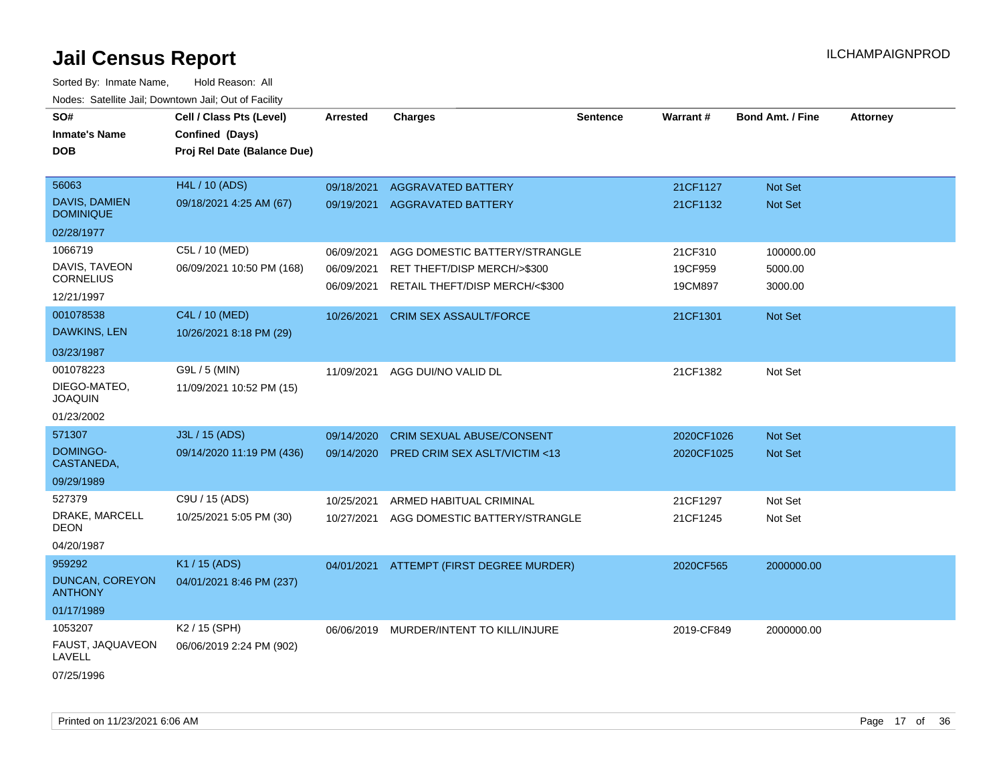Sorted By: Inmate Name, Hold Reason: All Nodes: Satellite Jail; Downtown Jail; Out of Facility

| SO#                               | Cell / Class Pts (Level)    | <b>Arrested</b> | <b>Charges</b>                   | <b>Sentence</b> | Warrant#   | <b>Bond Amt. / Fine</b> | <b>Attorney</b> |
|-----------------------------------|-----------------------------|-----------------|----------------------------------|-----------------|------------|-------------------------|-----------------|
| <b>Inmate's Name</b>              | Confined (Days)             |                 |                                  |                 |            |                         |                 |
| <b>DOB</b>                        | Proj Rel Date (Balance Due) |                 |                                  |                 |            |                         |                 |
|                                   |                             |                 |                                  |                 |            |                         |                 |
| 56063                             | H4L / 10 (ADS)              | 09/18/2021      | <b>AGGRAVATED BATTERY</b>        |                 | 21CF1127   | Not Set                 |                 |
| DAVIS, DAMIEN<br><b>DOMINIQUE</b> | 09/18/2021 4:25 AM (67)     | 09/19/2021      | <b>AGGRAVATED BATTERY</b>        |                 | 21CF1132   | Not Set                 |                 |
| 02/28/1977                        |                             |                 |                                  |                 |            |                         |                 |
| 1066719                           | C5L / 10 (MED)              | 06/09/2021      | AGG DOMESTIC BATTERY/STRANGLE    |                 | 21CF310    | 100000.00               |                 |
| DAVIS, TAVEON                     | 06/09/2021 10:50 PM (168)   | 06/09/2021      | RET THEFT/DISP MERCH/>\$300      |                 | 19CF959    | 5000.00                 |                 |
| <b>CORNELIUS</b>                  |                             | 06/09/2021      | RETAIL THEFT/DISP MERCH/<\$300   |                 | 19CM897    | 3000.00                 |                 |
| 12/21/1997                        |                             |                 |                                  |                 |            |                         |                 |
| 001078538                         | C4L / 10 (MED)              | 10/26/2021      | <b>CRIM SEX ASSAULT/FORCE</b>    |                 | 21CF1301   | <b>Not Set</b>          |                 |
| DAWKINS, LEN                      | 10/26/2021 8:18 PM (29)     |                 |                                  |                 |            |                         |                 |
| 03/23/1987                        |                             |                 |                                  |                 |            |                         |                 |
| 001078223                         | G9L / 5 (MIN)               | 11/09/2021      | AGG DUI/NO VALID DL              |                 | 21CF1382   | Not Set                 |                 |
| DIEGO-MATEO,<br><b>JOAQUIN</b>    | 11/09/2021 10:52 PM (15)    |                 |                                  |                 |            |                         |                 |
| 01/23/2002                        |                             |                 |                                  |                 |            |                         |                 |
| 571307                            | J3L / 15 (ADS)              | 09/14/2020      | <b>CRIM SEXUAL ABUSE/CONSENT</b> |                 | 2020CF1026 | <b>Not Set</b>          |                 |
| DOMINGO-<br>CASTANEDA,            | 09/14/2020 11:19 PM (436)   | 09/14/2020      | PRED CRIM SEX ASLT/VICTIM <13    |                 | 2020CF1025 | <b>Not Set</b>          |                 |
| 09/29/1989                        |                             |                 |                                  |                 |            |                         |                 |
| 527379                            | C9U / 15 (ADS)              | 10/25/2021      | ARMED HABITUAL CRIMINAL          |                 | 21CF1297   | Not Set                 |                 |
| DRAKE, MARCELL<br>DEON            | 10/25/2021 5:05 PM (30)     | 10/27/2021      | AGG DOMESTIC BATTERY/STRANGLE    |                 | 21CF1245   | Not Set                 |                 |
| 04/20/1987                        |                             |                 |                                  |                 |            |                         |                 |
| 959292                            | K1 / 15 (ADS)               | 04/01/2021      | ATTEMPT (FIRST DEGREE MURDER)    |                 | 2020CF565  | 2000000.00              |                 |
| DUNCAN, COREYON<br><b>ANTHONY</b> | 04/01/2021 8:46 PM (237)    |                 |                                  |                 |            |                         |                 |
| 01/17/1989                        |                             |                 |                                  |                 |            |                         |                 |
| 1053207                           | K <sub>2</sub> / 15 (SPH)   | 06/06/2019      | MURDER/INTENT TO KILL/INJURE     |                 | 2019-CF849 | 2000000.00              |                 |
| FAUST, JAQUAVEON<br>LAVELL        | 06/06/2019 2:24 PM (902)    |                 |                                  |                 |            |                         |                 |
|                                   |                             |                 |                                  |                 |            |                         |                 |

07/25/1996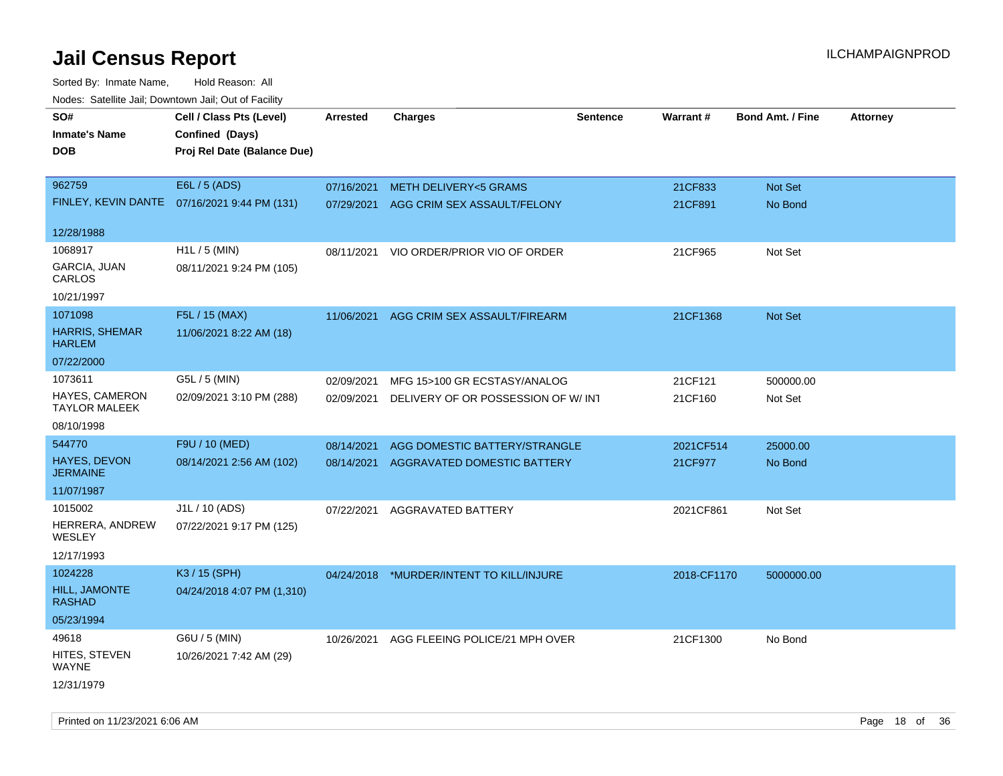| rougs. Calcing Jan, Downtown Jan, Out of Facility |                                              |                 |                                           |                 |             |                         |                 |
|---------------------------------------------------|----------------------------------------------|-----------------|-------------------------------------------|-----------------|-------------|-------------------------|-----------------|
| SO#                                               | Cell / Class Pts (Level)                     | <b>Arrested</b> | <b>Charges</b>                            | <b>Sentence</b> | Warrant#    | <b>Bond Amt. / Fine</b> | <b>Attorney</b> |
| <b>Inmate's Name</b>                              | Confined (Days)                              |                 |                                           |                 |             |                         |                 |
| <b>DOB</b>                                        | Proj Rel Date (Balance Due)                  |                 |                                           |                 |             |                         |                 |
|                                                   |                                              |                 |                                           |                 |             |                         |                 |
| 962759                                            | E6L / 5 (ADS)                                | 07/16/2021      | <b>METH DELIVERY&lt;5 GRAMS</b>           |                 | 21CF833     | Not Set                 |                 |
|                                                   | FINLEY, KEVIN DANTE 07/16/2021 9:44 PM (131) | 07/29/2021      | AGG CRIM SEX ASSAULT/FELONY               |                 | 21CF891     | No Bond                 |                 |
|                                                   |                                              |                 |                                           |                 |             |                         |                 |
| 12/28/1988                                        |                                              |                 |                                           |                 |             |                         |                 |
| 1068917                                           | H1L / 5 (MIN)                                | 08/11/2021      | VIO ORDER/PRIOR VIO OF ORDER              |                 | 21CF965     | Not Set                 |                 |
| GARCIA, JUAN<br>CARLOS                            | 08/11/2021 9:24 PM (105)                     |                 |                                           |                 |             |                         |                 |
| 10/21/1997                                        |                                              |                 |                                           |                 |             |                         |                 |
| 1071098                                           | F5L / 15 (MAX)                               | 11/06/2021      | AGG CRIM SEX ASSAULT/FIREARM              |                 | 21CF1368    | Not Set                 |                 |
| <b>HARRIS, SHEMAR</b><br><b>HARLEM</b>            | 11/06/2021 8:22 AM (18)                      |                 |                                           |                 |             |                         |                 |
| 07/22/2000                                        |                                              |                 |                                           |                 |             |                         |                 |
| 1073611                                           | G5L / 5 (MIN)                                | 02/09/2021      | MFG 15>100 GR ECSTASY/ANALOG              |                 | 21CF121     | 500000.00               |                 |
| <b>HAYES, CAMERON</b><br><b>TAYLOR MALEEK</b>     | 02/09/2021 3:10 PM (288)                     | 02/09/2021      | DELIVERY OF OR POSSESSION OF W/ INT       |                 | 21CF160     | Not Set                 |                 |
| 08/10/1998                                        |                                              |                 |                                           |                 |             |                         |                 |
| 544770                                            | F9U / 10 (MED)                               | 08/14/2021      | AGG DOMESTIC BATTERY/STRANGLE             |                 | 2021CF514   | 25000.00                |                 |
| <b>HAYES, DEVON</b><br><b>JERMAINE</b>            | 08/14/2021 2:56 AM (102)                     | 08/14/2021      | AGGRAVATED DOMESTIC BATTERY               |                 | 21CF977     | No Bond                 |                 |
| 11/07/1987                                        |                                              |                 |                                           |                 |             |                         |                 |
| 1015002                                           | J1L / 10 (ADS)                               | 07/22/2021      | <b>AGGRAVATED BATTERY</b>                 |                 | 2021CF861   | Not Set                 |                 |
| HERRERA, ANDREW<br>WESLEY                         | 07/22/2021 9:17 PM (125)                     |                 |                                           |                 |             |                         |                 |
| 12/17/1993                                        |                                              |                 |                                           |                 |             |                         |                 |
| 1024228                                           | K3 / 15 (SPH)                                |                 | 04/24/2018 *MURDER/INTENT TO KILL/INJURE  |                 | 2018-CF1170 | 5000000.00              |                 |
| <b>HILL, JAMONTE</b><br><b>RASHAD</b>             | 04/24/2018 4:07 PM (1,310)                   |                 |                                           |                 |             |                         |                 |
| 05/23/1994                                        |                                              |                 |                                           |                 |             |                         |                 |
| 49618                                             | G6U / 5 (MIN)                                |                 | 10/26/2021 AGG FLEEING POLICE/21 MPH OVER |                 | 21CF1300    | No Bond                 |                 |
| HITES, STEVEN<br>WAYNE                            | 10/26/2021 7:42 AM (29)                      |                 |                                           |                 |             |                         |                 |
| 12/31/1979                                        |                                              |                 |                                           |                 |             |                         |                 |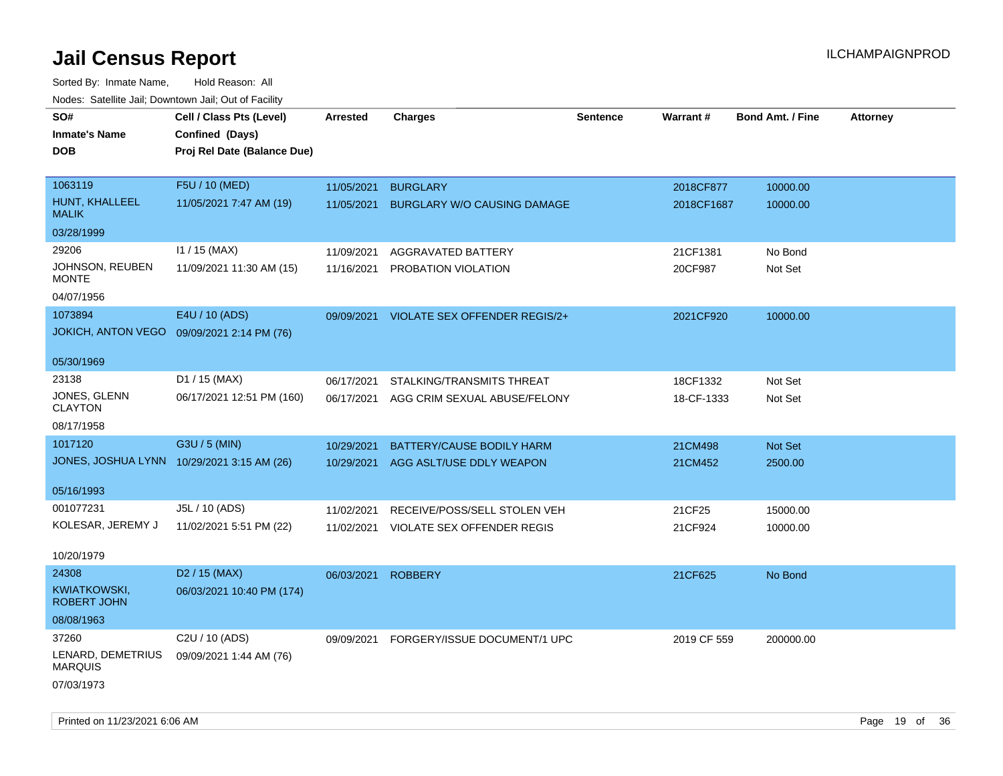| Noues. Salemie Jan, Downlown Jan, Out of Facility |                                            |            |                                    |                 |                 |                         |                 |
|---------------------------------------------------|--------------------------------------------|------------|------------------------------------|-----------------|-----------------|-------------------------|-----------------|
| SO#                                               | Cell / Class Pts (Level)                   | Arrested   | <b>Charges</b>                     | <b>Sentence</b> | <b>Warrant#</b> | <b>Bond Amt. / Fine</b> | <b>Attorney</b> |
| <b>Inmate's Name</b>                              | Confined (Days)                            |            |                                    |                 |                 |                         |                 |
| <b>DOB</b>                                        | Proj Rel Date (Balance Due)                |            |                                    |                 |                 |                         |                 |
|                                                   |                                            |            |                                    |                 |                 |                         |                 |
| 1063119                                           | F5U / 10 (MED)                             | 11/05/2021 | <b>BURGLARY</b>                    |                 | 2018CF877       | 10000.00                |                 |
| HUNT, KHALLEEL<br><b>MALIK</b>                    | 11/05/2021 7:47 AM (19)                    | 11/05/2021 | <b>BURGLARY W/O CAUSING DAMAGE</b> |                 | 2018CF1687      | 10000.00                |                 |
| 03/28/1999                                        |                                            |            |                                    |                 |                 |                         |                 |
| 29206                                             | $11 / 15$ (MAX)                            | 11/09/2021 | AGGRAVATED BATTERY                 |                 | 21CF1381        | No Bond                 |                 |
| JOHNSON, REUBEN<br><b>MONTE</b>                   | 11/09/2021 11:30 AM (15)                   | 11/16/2021 | PROBATION VIOLATION                |                 | 20CF987         | Not Set                 |                 |
| 04/07/1956                                        |                                            |            |                                    |                 |                 |                         |                 |
| 1073894                                           | E4U / 10 (ADS)                             | 09/09/2021 | VIOLATE SEX OFFENDER REGIS/2+      |                 | 2021CF920       | 10000.00                |                 |
| JOKICH, ANTON VEGO  09/09/2021 2:14 PM (76)       |                                            |            |                                    |                 |                 |                         |                 |
|                                                   |                                            |            |                                    |                 |                 |                         |                 |
| 05/30/1969                                        |                                            |            |                                    |                 |                 |                         |                 |
| 23138                                             | D1 / 15 (MAX)                              | 06/17/2021 | STALKING/TRANSMITS THREAT          |                 | 18CF1332        | Not Set                 |                 |
| JONES, GLENN<br><b>CLAYTON</b>                    | 06/17/2021 12:51 PM (160)                  | 06/17/2021 | AGG CRIM SEXUAL ABUSE/FELONY       |                 | 18-CF-1333      | Not Set                 |                 |
| 08/17/1958                                        |                                            |            |                                    |                 |                 |                         |                 |
| 1017120                                           | G3U / 5 (MIN)                              | 10/29/2021 | BATTERY/CAUSE BODILY HARM          |                 | 21CM498         | Not Set                 |                 |
|                                                   | JONES, JOSHUA LYNN 10/29/2021 3:15 AM (26) | 10/29/2021 | AGG ASLT/USE DDLY WEAPON           |                 | 21CM452         | 2500.00                 |                 |
|                                                   |                                            |            |                                    |                 |                 |                         |                 |
| 05/16/1993                                        |                                            |            |                                    |                 |                 |                         |                 |
| 001077231                                         | J5L / 10 (ADS)                             | 11/02/2021 | RECEIVE/POSS/SELL STOLEN VEH       |                 | 21CF25          | 15000.00                |                 |
| KOLESAR, JEREMY J                                 | 11/02/2021 5:51 PM (22)                    | 11/02/2021 | VIOLATE SEX OFFENDER REGIS         |                 | 21CF924         | 10000.00                |                 |
| 10/20/1979                                        |                                            |            |                                    |                 |                 |                         |                 |
| 24308                                             | D <sub>2</sub> / 15 (MAX)                  | 06/03/2021 | <b>ROBBERY</b>                     |                 | 21CF625         | No Bond                 |                 |
| KWIATKOWSKI,<br>ROBERT JOHN                       | 06/03/2021 10:40 PM (174)                  |            |                                    |                 |                 |                         |                 |
| 08/08/1963                                        |                                            |            |                                    |                 |                 |                         |                 |
| 37260                                             | C2U / 10 (ADS)                             | 09/09/2021 | FORGERY/ISSUE DOCUMENT/1 UPC       |                 | 2019 CF 559     | 200000.00               |                 |
| LENARD, DEMETRIUS<br><b>MARQUIS</b>               | 09/09/2021 1:44 AM (76)                    |            |                                    |                 |                 |                         |                 |
| 07/03/1973                                        |                                            |            |                                    |                 |                 |                         |                 |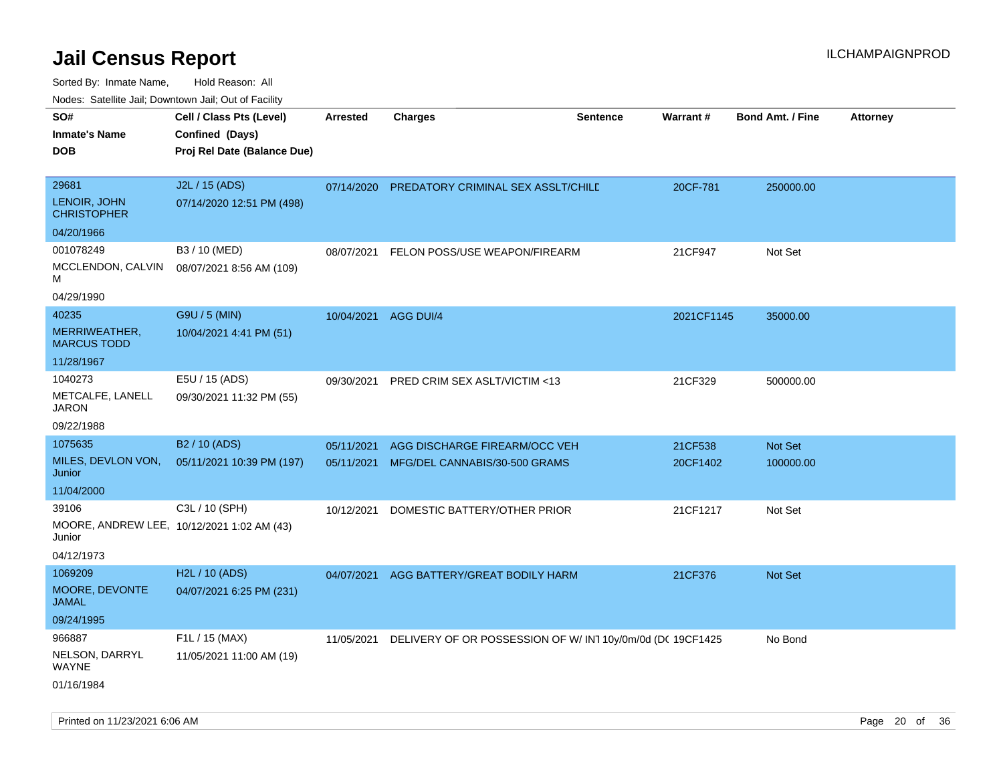| i vuuto. Talelille Jall, Dowlltowii Jall, Out of Facility |                             |                 |                                                            |                 |            |                         |                 |
|-----------------------------------------------------------|-----------------------------|-----------------|------------------------------------------------------------|-----------------|------------|-------------------------|-----------------|
| SO#                                                       | Cell / Class Pts (Level)    | <b>Arrested</b> | <b>Charges</b>                                             | <b>Sentence</b> | Warrant#   | <b>Bond Amt. / Fine</b> | <b>Attorney</b> |
| Inmate's Name                                             | Confined (Days)             |                 |                                                            |                 |            |                         |                 |
| <b>DOB</b>                                                | Proj Rel Date (Balance Due) |                 |                                                            |                 |            |                         |                 |
|                                                           |                             |                 |                                                            |                 |            |                         |                 |
| 29681                                                     | J2L / 15 (ADS)              | 07/14/2020      | PREDATORY CRIMINAL SEX ASSLT/CHILE                         |                 | 20CF-781   | 250000.00               |                 |
| LENOIR, JOHN<br><b>CHRISTOPHER</b>                        | 07/14/2020 12:51 PM (498)   |                 |                                                            |                 |            |                         |                 |
| 04/20/1966                                                |                             |                 |                                                            |                 |            |                         |                 |
| 001078249                                                 | B3 / 10 (MED)               | 08/07/2021      | FELON POSS/USE WEAPON/FIREARM                              |                 | 21CF947    | Not Set                 |                 |
| MCCLENDON, CALVIN<br>М                                    | 08/07/2021 8:56 AM (109)    |                 |                                                            |                 |            |                         |                 |
| 04/29/1990                                                |                             |                 |                                                            |                 |            |                         |                 |
| 40235                                                     | G9U / 5 (MIN)               | 10/04/2021      | AGG DUI/4                                                  |                 | 2021CF1145 | 35000.00                |                 |
| MERRIWEATHER,<br><b>MARCUS TODD</b>                       | 10/04/2021 4:41 PM (51)     |                 |                                                            |                 |            |                         |                 |
| 11/28/1967                                                |                             |                 |                                                            |                 |            |                         |                 |
| 1040273                                                   | E5U / 15 (ADS)              | 09/30/2021      | PRED CRIM SEX ASLT/VICTIM <13                              |                 | 21CF329    | 500000.00               |                 |
| METCALFE, LANELL<br><b>JARON</b>                          | 09/30/2021 11:32 PM (55)    |                 |                                                            |                 |            |                         |                 |
| 09/22/1988                                                |                             |                 |                                                            |                 |            |                         |                 |
| 1075635                                                   | B <sub>2</sub> / 10 (ADS)   | 05/11/2021      | AGG DISCHARGE FIREARM/OCC VEH                              |                 | 21CF538    | Not Set                 |                 |
| MILES, DEVLON VON,<br>Junior                              | 05/11/2021 10:39 PM (197)   | 05/11/2021      | MFG/DEL CANNABIS/30-500 GRAMS                              |                 | 20CF1402   | 100000.00               |                 |
| 11/04/2000                                                |                             |                 |                                                            |                 |            |                         |                 |
| 39106                                                     | C3L / 10 (SPH)              | 10/12/2021      | DOMESTIC BATTERY/OTHER PRIOR                               |                 | 21CF1217   | Not Set                 |                 |
| MOORE, ANDREW LEE, 10/12/2021 1:02 AM (43)<br>Junior      |                             |                 |                                                            |                 |            |                         |                 |
| 04/12/1973                                                |                             |                 |                                                            |                 |            |                         |                 |
| 1069209                                                   | H <sub>2</sub> L / 10 (ADS) | 04/07/2021      | AGG BATTERY/GREAT BODILY HARM                              |                 | 21CF376    | Not Set                 |                 |
| MOORE, DEVONTE<br><b>JAMAL</b>                            | 04/07/2021 6:25 PM (231)    |                 |                                                            |                 |            |                         |                 |
| 09/24/1995                                                |                             |                 |                                                            |                 |            |                         |                 |
| 966887                                                    | F1L / 15 (MAX)              | 11/05/2021      | DELIVERY OF OR POSSESSION OF W/ IN1 10y/0m/0d (DC 19CF1425 |                 |            | No Bond                 |                 |
| NELSON, DARRYL<br><b>WAYNE</b>                            | 11/05/2021 11:00 AM (19)    |                 |                                                            |                 |            |                         |                 |
| 01/16/1984                                                |                             |                 |                                                            |                 |            |                         |                 |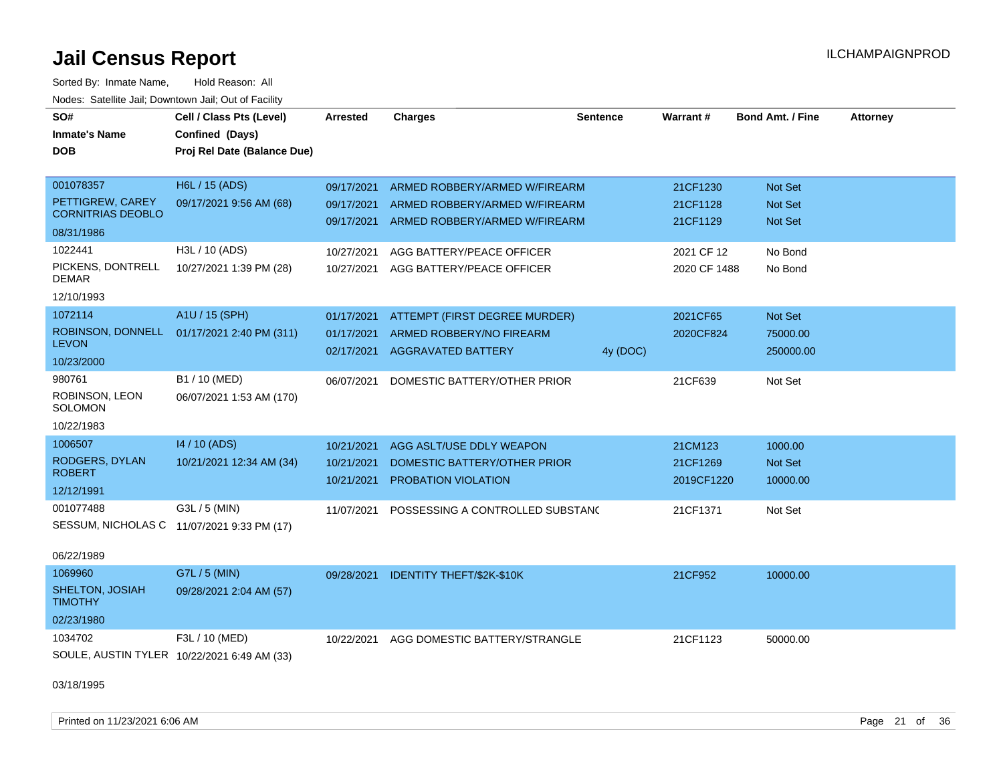Sorted By: Inmate Name, Hold Reason: All Nodes: Satellite Jail; Downtown Jail; Out of Facility

| SO#                                          | Cell / Class Pts (Level)                    | <b>Arrested</b> | <b>Charges</b>                   | <b>Sentence</b> | Warrant#     | <b>Bond Amt. / Fine</b> | <b>Attorney</b> |
|----------------------------------------------|---------------------------------------------|-----------------|----------------------------------|-----------------|--------------|-------------------------|-----------------|
| <b>Inmate's Name</b>                         | Confined (Days)                             |                 |                                  |                 |              |                         |                 |
| <b>DOB</b>                                   | Proj Rel Date (Balance Due)                 |                 |                                  |                 |              |                         |                 |
|                                              |                                             |                 |                                  |                 |              |                         |                 |
| 001078357                                    | H6L / 15 (ADS)                              | 09/17/2021      | ARMED ROBBERY/ARMED W/FIREARM    |                 | 21CF1230     | Not Set                 |                 |
| PETTIGREW, CAREY<br><b>CORNITRIAS DEOBLO</b> | 09/17/2021 9:56 AM (68)                     | 09/17/2021      | ARMED ROBBERY/ARMED W/FIREARM    |                 | 21CF1128     | <b>Not Set</b>          |                 |
| 08/31/1986                                   |                                             | 09/17/2021      | ARMED ROBBERY/ARMED W/FIREARM    |                 | 21CF1129     | <b>Not Set</b>          |                 |
| 1022441                                      | H3L / 10 (ADS)                              | 10/27/2021      | AGG BATTERY/PEACE OFFICER        |                 | 2021 CF 12   | No Bond                 |                 |
| PICKENS, DONTRELL<br>DEMAR                   | 10/27/2021 1:39 PM (28)                     | 10/27/2021      | AGG BATTERY/PEACE OFFICER        |                 | 2020 CF 1488 | No Bond                 |                 |
| 12/10/1993                                   |                                             |                 |                                  |                 |              |                         |                 |
| 1072114                                      | A1U / 15 (SPH)                              | 01/17/2021      | ATTEMPT (FIRST DEGREE MURDER)    |                 | 2021CF65     | Not Set                 |                 |
|                                              | ROBINSON, DONNELL 01/17/2021 2:40 PM (311)  | 01/17/2021      | ARMED ROBBERY/NO FIREARM         |                 | 2020CF824    | 75000.00                |                 |
| <b>LEVON</b>                                 |                                             | 02/17/2021      | <b>AGGRAVATED BATTERY</b>        | 4y (DOC)        |              | 250000.00               |                 |
| 10/23/2000                                   |                                             |                 |                                  |                 |              |                         |                 |
| 980761                                       | B1 / 10 (MED)                               | 06/07/2021      | DOMESTIC BATTERY/OTHER PRIOR     |                 | 21CF639      | Not Set                 |                 |
| ROBINSON, LEON<br>SOLOMON                    | 06/07/2021 1:53 AM (170)                    |                 |                                  |                 |              |                         |                 |
| 10/22/1983                                   |                                             |                 |                                  |                 |              |                         |                 |
| 1006507                                      | 14 / 10 (ADS)                               | 10/21/2021      | AGG ASLT/USE DDLY WEAPON         |                 | 21CM123      | 1000.00                 |                 |
| RODGERS, DYLAN                               | 10/21/2021 12:34 AM (34)                    | 10/21/2021      | DOMESTIC BATTERY/OTHER PRIOR     |                 | 21CF1269     | Not Set                 |                 |
| <b>ROBERT</b>                                |                                             | 10/21/2021      | <b>PROBATION VIOLATION</b>       |                 | 2019CF1220   | 10000.00                |                 |
| 12/12/1991                                   |                                             |                 |                                  |                 |              |                         |                 |
| 001077488                                    | G3L / 5 (MIN)                               | 11/07/2021      | POSSESSING A CONTROLLED SUBSTAND |                 | 21CF1371     | Not Set                 |                 |
|                                              | SESSUM, NICHOLAS C 11/07/2021 9:33 PM (17)  |                 |                                  |                 |              |                         |                 |
| 06/22/1989                                   |                                             |                 |                                  |                 |              |                         |                 |
| 1069960                                      | G7L / 5 (MIN)                               | 09/28/2021      | <b>IDENTITY THEFT/\$2K-\$10K</b> |                 | 21CF952      | 10000.00                |                 |
| <b>SHELTON, JOSIAH</b><br><b>TIMOTHY</b>     | 09/28/2021 2:04 AM (57)                     |                 |                                  |                 |              |                         |                 |
| 02/23/1980                                   |                                             |                 |                                  |                 |              |                         |                 |
| 1034702                                      | F3L / 10 (MED)                              | 10/22/2021      | AGG DOMESTIC BATTERY/STRANGLE    |                 | 21CF1123     | 50000.00                |                 |
|                                              | SOULE, AUSTIN TYLER 10/22/2021 6:49 AM (33) |                 |                                  |                 |              |                         |                 |
| 03/18/1995                                   |                                             |                 |                                  |                 |              |                         |                 |

Printed on 11/23/2021 6:06 AM Page 21 of 36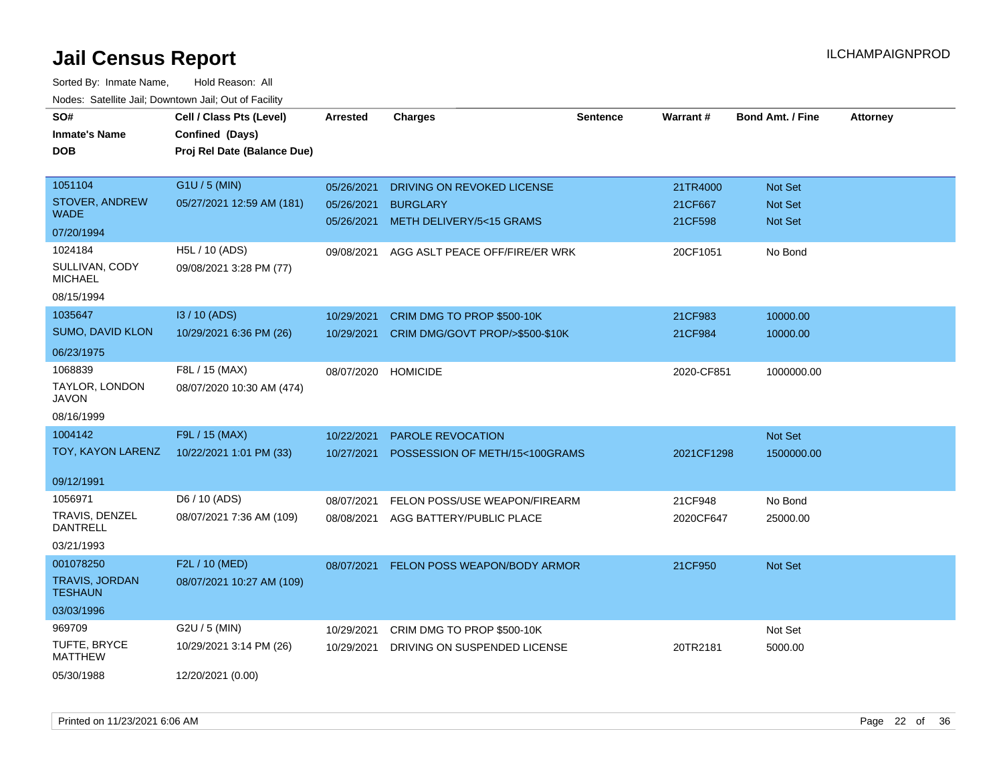| SO#                                     | Cell / Class Pts (Level)                       | Arrested   | <b>Charges</b>                  | <b>Sentence</b> | Warrant#   | <b>Bond Amt. / Fine</b> | <b>Attorney</b> |
|-----------------------------------------|------------------------------------------------|------------|---------------------------------|-----------------|------------|-------------------------|-----------------|
| <b>Inmate's Name</b><br><b>DOB</b>      | Confined (Days)<br>Proj Rel Date (Balance Due) |            |                                 |                 |            |                         |                 |
|                                         |                                                |            |                                 |                 |            |                         |                 |
| 1051104                                 | G1U / 5 (MIN)                                  | 05/26/2021 | DRIVING ON REVOKED LICENSE      |                 | 21TR4000   | Not Set                 |                 |
| <b>STOVER, ANDREW</b><br><b>WADE</b>    | 05/27/2021 12:59 AM (181)                      | 05/26/2021 | <b>BURGLARY</b>                 |                 | 21CF667    | Not Set                 |                 |
| 07/20/1994                              |                                                | 05/26/2021 | METH DELIVERY/5<15 GRAMS        |                 | 21CF598    | Not Set                 |                 |
| 1024184                                 | H5L / 10 (ADS)                                 | 09/08/2021 | AGG ASLT PEACE OFF/FIRE/ER WRK  |                 | 20CF1051   | No Bond                 |                 |
| SULLIVAN, CODY<br><b>MICHAEL</b>        | 09/08/2021 3:28 PM (77)                        |            |                                 |                 |            |                         |                 |
| 08/15/1994                              |                                                |            |                                 |                 |            |                         |                 |
| 1035647                                 | I3 / 10 (ADS)                                  | 10/29/2021 | CRIM DMG TO PROP \$500-10K      |                 | 21CF983    | 10000.00                |                 |
| SUMO, DAVID KLON                        | 10/29/2021 6:36 PM (26)                        | 10/29/2021 | CRIM DMG/GOVT PROP/>\$500-\$10K |                 | 21CF984    | 10000.00                |                 |
| 06/23/1975                              |                                                |            |                                 |                 |            |                         |                 |
| 1068839                                 | F8L / 15 (MAX)                                 | 08/07/2020 | <b>HOMICIDE</b>                 |                 | 2020-CF851 | 1000000.00              |                 |
| TAYLOR, LONDON<br><b>JAVON</b>          | 08/07/2020 10:30 AM (474)                      |            |                                 |                 |            |                         |                 |
| 08/16/1999                              |                                                |            |                                 |                 |            |                         |                 |
| 1004142                                 | F9L / 15 (MAX)                                 | 10/22/2021 | PAROLE REVOCATION               |                 |            | Not Set                 |                 |
| TOY, KAYON LARENZ                       | 10/22/2021 1:01 PM (33)                        | 10/27/2021 | POSSESSION OF METH/15<100GRAMS  |                 | 2021CF1298 | 1500000.00              |                 |
| 09/12/1991                              |                                                |            |                                 |                 |            |                         |                 |
| 1056971                                 | D6 / 10 (ADS)                                  | 08/07/2021 | FELON POSS/USE WEAPON/FIREARM   |                 | 21CF948    | No Bond                 |                 |
| TRAVIS, DENZEL<br><b>DANTRELL</b>       | 08/07/2021 7:36 AM (109)                       | 08/08/2021 | AGG BATTERY/PUBLIC PLACE        |                 | 2020CF647  | 25000.00                |                 |
| 03/21/1993                              |                                                |            |                                 |                 |            |                         |                 |
| 001078250                               | F2L / 10 (MED)                                 | 08/07/2021 | FELON POSS WEAPON/BODY ARMOR    |                 | 21CF950    | Not Set                 |                 |
| <b>TRAVIS, JORDAN</b><br><b>TESHAUN</b> | 08/07/2021 10:27 AM (109)                      |            |                                 |                 |            |                         |                 |
| 03/03/1996                              |                                                |            |                                 |                 |            |                         |                 |
| 969709                                  | G2U / 5 (MIN)                                  | 10/29/2021 | CRIM DMG TO PROP \$500-10K      |                 |            | Not Set                 |                 |
| TUFTE, BRYCE<br><b>MATTHEW</b>          | 10/29/2021 3:14 PM (26)                        | 10/29/2021 | DRIVING ON SUSPENDED LICENSE    |                 | 20TR2181   | 5000.00                 |                 |
| 05/30/1988                              | 12/20/2021 (0.00)                              |            |                                 |                 |            |                         |                 |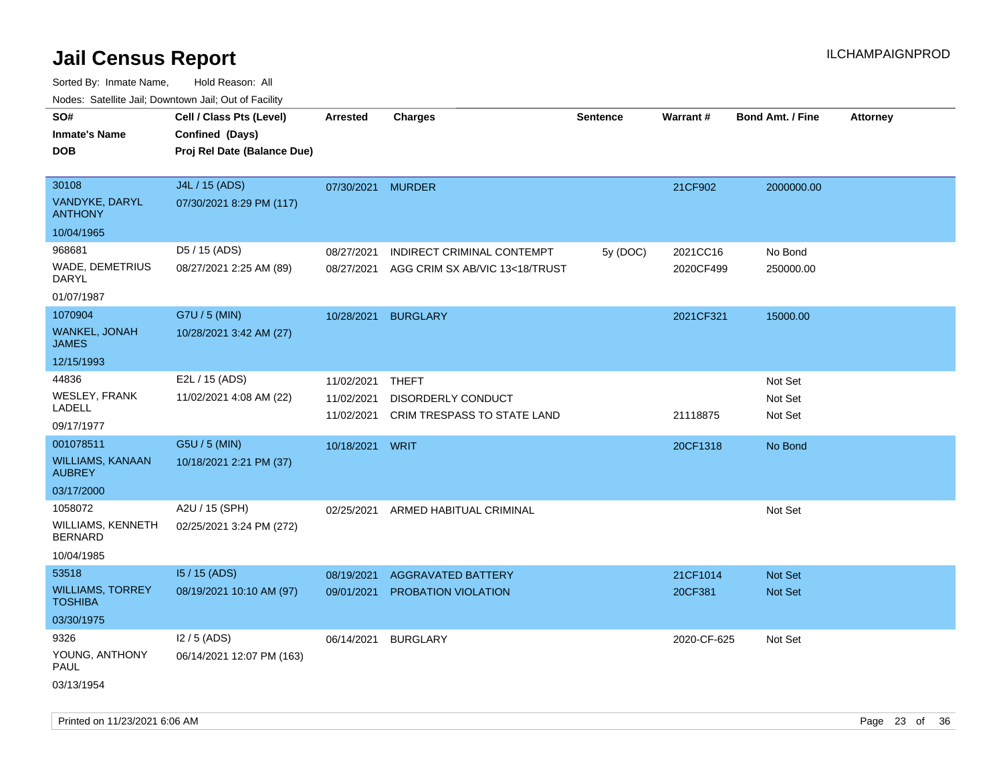| ivouss. Saleling Jali, Downtown Jali, Out of Facility |                             |                   |                                    |                 |                 |                         |                 |
|-------------------------------------------------------|-----------------------------|-------------------|------------------------------------|-----------------|-----------------|-------------------------|-----------------|
| SO#                                                   | Cell / Class Pts (Level)    | <b>Arrested</b>   | <b>Charges</b>                     | <b>Sentence</b> | <b>Warrant#</b> | <b>Bond Amt. / Fine</b> | <b>Attorney</b> |
| <b>Inmate's Name</b>                                  | Confined (Days)             |                   |                                    |                 |                 |                         |                 |
| <b>DOB</b>                                            | Proj Rel Date (Balance Due) |                   |                                    |                 |                 |                         |                 |
|                                                       |                             |                   |                                    |                 |                 |                         |                 |
| 30108                                                 | J4L / 15 (ADS)              | 07/30/2021 MURDER |                                    |                 | 21CF902         | 2000000.00              |                 |
| VANDYKE, DARYL<br><b>ANTHONY</b>                      | 07/30/2021 8:29 PM (117)    |                   |                                    |                 |                 |                         |                 |
| 10/04/1965                                            |                             |                   |                                    |                 |                 |                         |                 |
| 968681                                                | D5 / 15 (ADS)               | 08/27/2021        | INDIRECT CRIMINAL CONTEMPT         | 5y (DOC)        | 2021CC16        | No Bond                 |                 |
| <b>WADE, DEMETRIUS</b><br>DARYL                       | 08/27/2021 2:25 AM (89)     | 08/27/2021        | AGG CRIM SX AB/VIC 13<18/TRUST     |                 | 2020CF499       | 250000.00               |                 |
| 01/07/1987                                            |                             |                   |                                    |                 |                 |                         |                 |
| 1070904                                               | G7U / 5 (MIN)               | 10/28/2021        | <b>BURGLARY</b>                    |                 | 2021CF321       | 15000.00                |                 |
| WANKEL, JONAH<br><b>JAMES</b>                         | 10/28/2021 3:42 AM (27)     |                   |                                    |                 |                 |                         |                 |
| 12/15/1993                                            |                             |                   |                                    |                 |                 |                         |                 |
| 44836                                                 | E2L / 15 (ADS)              | 11/02/2021        | THEFT                              |                 |                 | Not Set                 |                 |
| <b>WESLEY, FRANK</b>                                  | 11/02/2021 4:08 AM (22)     | 11/02/2021        | DISORDERLY CONDUCT                 |                 |                 | Not Set                 |                 |
| LADELL                                                |                             | 11/02/2021        | <b>CRIM TRESPASS TO STATE LAND</b> |                 | 21118875        | Not Set                 |                 |
| 09/17/1977                                            |                             |                   |                                    |                 |                 |                         |                 |
| 001078511                                             | G5U / 5 (MIN)               | 10/18/2021 WRIT   |                                    |                 | 20CF1318        | No Bond                 |                 |
| <b>WILLIAMS, KANAAN</b><br><b>AUBREY</b>              | 10/18/2021 2:21 PM (37)     |                   |                                    |                 |                 |                         |                 |
| 03/17/2000                                            |                             |                   |                                    |                 |                 |                         |                 |
| 1058072                                               | A2U / 15 (SPH)              | 02/25/2021        | ARMED HABITUAL CRIMINAL            |                 |                 | Not Set                 |                 |
| <b>WILLIAMS, KENNETH</b><br><b>BERNARD</b>            | 02/25/2021 3:24 PM (272)    |                   |                                    |                 |                 |                         |                 |
| 10/04/1985                                            |                             |                   |                                    |                 |                 |                         |                 |
| 53518                                                 | 15 / 15 (ADS)               | 08/19/2021        | <b>AGGRAVATED BATTERY</b>          |                 | 21CF1014        | <b>Not Set</b>          |                 |
| <b>WILLIAMS, TORREY</b><br><b>TOSHIBA</b>             | 08/19/2021 10:10 AM (97)    | 09/01/2021        | PROBATION VIOLATION                |                 | 20CF381         | Not Set                 |                 |
| 03/30/1975                                            |                             |                   |                                    |                 |                 |                         |                 |
| 9326                                                  | $12/5$ (ADS)                | 06/14/2021        | <b>BURGLARY</b>                    |                 | 2020-CF-625     | Not Set                 |                 |
| YOUNG, ANTHONY<br>PAUL                                | 06/14/2021 12:07 PM (163)   |                   |                                    |                 |                 |                         |                 |
| 03/13/1954                                            |                             |                   |                                    |                 |                 |                         |                 |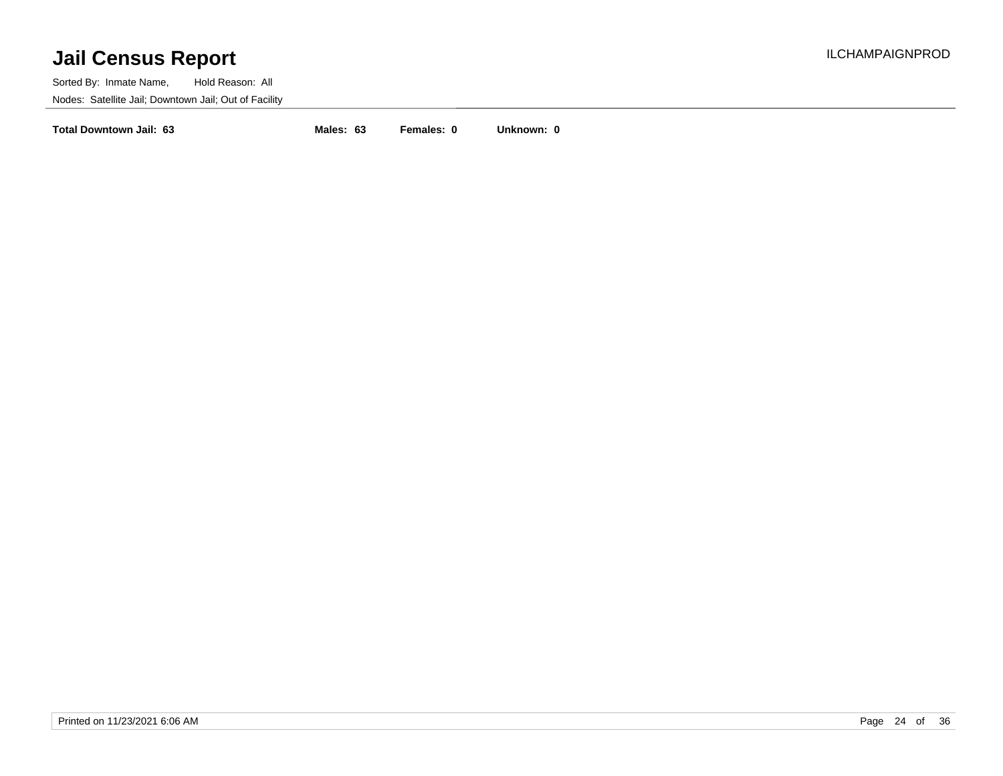Sorted By: Inmate Name, Hold Reason: All Nodes: Satellite Jail; Downtown Jail; Out of Facility

**Total Downtown Jail: 63 Males: 63 Females: 0 Unknown: 0**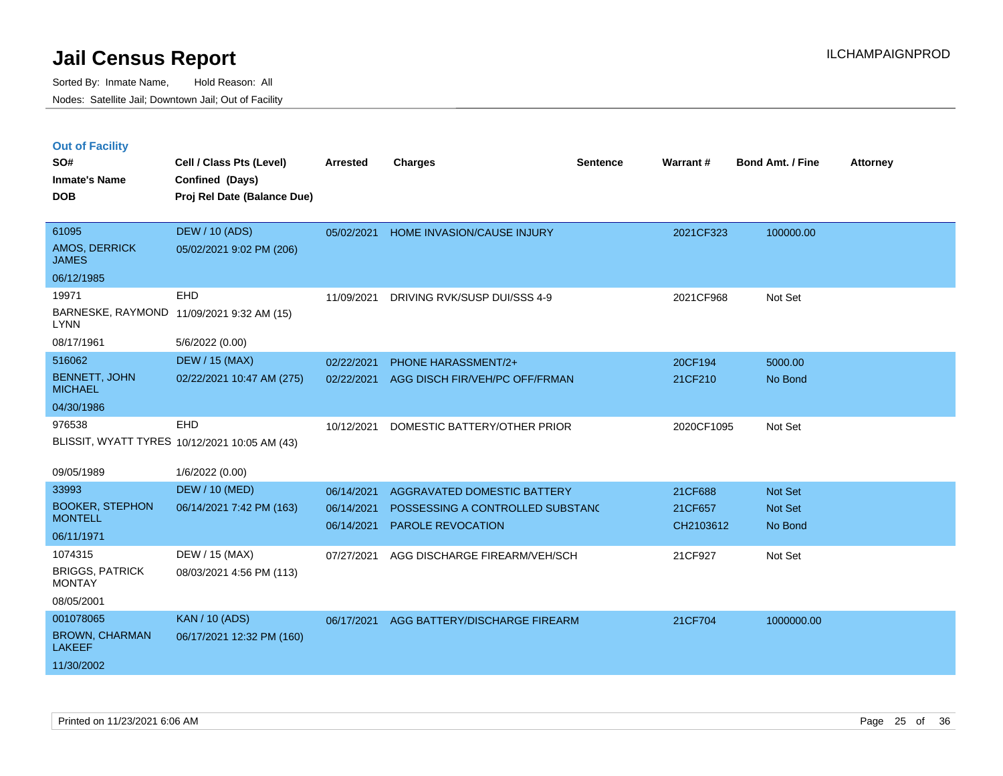|  |  | <b>Out of Facility</b> |
|--|--|------------------------|
|  |  |                        |

| SO#<br><b>Inmate's Name</b><br><b>DOB</b>                         | Cell / Class Pts (Level)<br>Confined (Days)<br>Proj Rel Date (Balance Due) | <b>Arrested</b>                        | <b>Charges</b>                                                                              | <b>Sentence</b> | Warrant#                        | <b>Bond Amt. / Fine</b>       | <b>Attorney</b> |
|-------------------------------------------------------------------|----------------------------------------------------------------------------|----------------------------------------|---------------------------------------------------------------------------------------------|-----------------|---------------------------------|-------------------------------|-----------------|
| 61095<br>AMOS, DERRICK<br><b>JAMES</b>                            | <b>DEW / 10 (ADS)</b><br>05/02/2021 9:02 PM (206)                          | 05/02/2021                             | HOME INVASION/CAUSE INJURY                                                                  |                 | 2021CF323                       | 100000.00                     |                 |
| 06/12/1985<br>19971<br><b>LYNN</b>                                | <b>EHD</b><br>BARNESKE, RAYMOND 11/09/2021 9:32 AM (15)                    | 11/09/2021                             | DRIVING RVK/SUSP DUI/SSS 4-9                                                                |                 | 2021CF968                       | Not Set                       |                 |
| 08/17/1961<br>516062                                              | 5/6/2022 (0.00)<br><b>DEW / 15 (MAX)</b>                                   |                                        |                                                                                             |                 |                                 |                               |                 |
| <b>BENNETT, JOHN</b><br><b>MICHAEL</b>                            | 02/22/2021 10:47 AM (275)                                                  | 02/22/2021<br>02/22/2021               | <b>PHONE HARASSMENT/2+</b><br>AGG DISCH FIR/VEH/PC OFF/FRMAN                                |                 | 20CF194<br>21CF210              | 5000.00<br>No Bond            |                 |
| 04/30/1986                                                        |                                                                            |                                        |                                                                                             |                 |                                 |                               |                 |
| 976538                                                            | EHD<br>BLISSIT, WYATT TYRES 10/12/2021 10:05 AM (43)                       | 10/12/2021                             | DOMESTIC BATTERY/OTHER PRIOR                                                                |                 | 2020CF1095                      | Not Set                       |                 |
| 09/05/1989                                                        | 1/6/2022 (0.00)                                                            |                                        |                                                                                             |                 |                                 |                               |                 |
| 33993<br><b>BOOKER, STEPHON</b><br><b>MONTELL</b><br>06/11/1971   | <b>DEW / 10 (MED)</b><br>06/14/2021 7:42 PM (163)                          | 06/14/2021<br>06/14/2021<br>06/14/2021 | AGGRAVATED DOMESTIC BATTERY<br>POSSESSING A CONTROLLED SUBSTANC<br><b>PAROLE REVOCATION</b> |                 | 21CF688<br>21CF657<br>CH2103612 | Not Set<br>Not Set<br>No Bond |                 |
| 1074315<br><b>BRIGGS, PATRICK</b><br><b>MONTAY</b><br>08/05/2001  | DEW / 15 (MAX)<br>08/03/2021 4:56 PM (113)                                 | 07/27/2021                             | AGG DISCHARGE FIREARM/VEH/SCH                                                               |                 | 21CF927                         | Not Set                       |                 |
| 001078065<br><b>BROWN, CHARMAN</b><br><b>LAKEEF</b><br>11/30/2002 | <b>KAN / 10 (ADS)</b><br>06/17/2021 12:32 PM (160)                         | 06/17/2021                             | AGG BATTERY/DISCHARGE FIREARM                                                               |                 | 21CF704                         | 1000000.00                    |                 |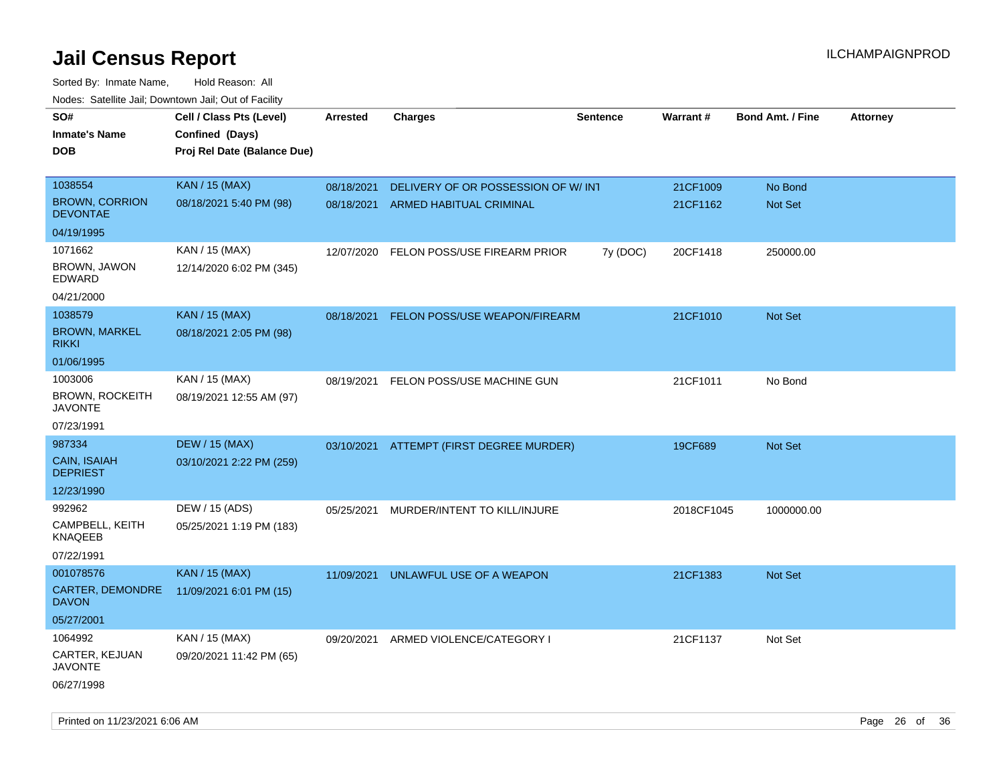| roaco. Catolino dall, Downtown dall, Out of Fability |                             |            |                                          |                 |            |                         |                 |
|------------------------------------------------------|-----------------------------|------------|------------------------------------------|-----------------|------------|-------------------------|-----------------|
| SO#                                                  | Cell / Class Pts (Level)    | Arrested   | <b>Charges</b>                           | <b>Sentence</b> | Warrant#   | <b>Bond Amt. / Fine</b> | <b>Attorney</b> |
| <b>Inmate's Name</b>                                 | Confined (Days)             |            |                                          |                 |            |                         |                 |
| <b>DOB</b>                                           | Proj Rel Date (Balance Due) |            |                                          |                 |            |                         |                 |
|                                                      |                             |            |                                          |                 |            |                         |                 |
| 1038554                                              | <b>KAN / 15 (MAX)</b>       | 08/18/2021 | DELIVERY OF OR POSSESSION OF W/ INT      |                 | 21CF1009   | No Bond                 |                 |
| <b>BROWN, CORRION</b><br><b>DEVONTAE</b>             | 08/18/2021 5:40 PM (98)     | 08/18/2021 | ARMED HABITUAL CRIMINAL                  |                 | 21CF1162   | Not Set                 |                 |
| 04/19/1995                                           |                             |            |                                          |                 |            |                         |                 |
| 1071662                                              | KAN / 15 (MAX)              | 12/07/2020 | FELON POSS/USE FIREARM PRIOR             | 7y (DOC)        | 20CF1418   | 250000.00               |                 |
| BROWN, JAWON<br>EDWARD                               | 12/14/2020 6:02 PM (345)    |            |                                          |                 |            |                         |                 |
| 04/21/2000                                           |                             |            |                                          |                 |            |                         |                 |
| 1038579                                              | <b>KAN / 15 (MAX)</b>       | 08/18/2021 | <b>FELON POSS/USE WEAPON/FIREARM</b>     |                 | 21CF1010   | Not Set                 |                 |
| <b>BROWN, MARKEL</b><br><b>RIKKI</b>                 | 08/18/2021 2:05 PM (98)     |            |                                          |                 |            |                         |                 |
| 01/06/1995                                           |                             |            |                                          |                 |            |                         |                 |
| 1003006                                              | KAN / 15 (MAX)              | 08/19/2021 | FELON POSS/USE MACHINE GUN               |                 | 21CF1011   | No Bond                 |                 |
| <b>BROWN, ROCKEITH</b><br><b>JAVONTE</b>             | 08/19/2021 12:55 AM (97)    |            |                                          |                 |            |                         |                 |
| 07/23/1991                                           |                             |            |                                          |                 |            |                         |                 |
| 987334                                               | <b>DEW / 15 (MAX)</b>       |            | 03/10/2021 ATTEMPT (FIRST DEGREE MURDER) |                 | 19CF689    | Not Set                 |                 |
| CAIN, ISAIAH<br><b>DEPRIEST</b>                      | 03/10/2021 2:22 PM (259)    |            |                                          |                 |            |                         |                 |
| 12/23/1990                                           |                             |            |                                          |                 |            |                         |                 |
| 992962                                               | DEW / 15 (ADS)              | 05/25/2021 | MURDER/INTENT TO KILL/INJURE             |                 | 2018CF1045 | 1000000.00              |                 |
| CAMPBELL, KEITH<br><b>KNAQEEB</b>                    | 05/25/2021 1:19 PM (183)    |            |                                          |                 |            |                         |                 |
| 07/22/1991                                           |                             |            |                                          |                 |            |                         |                 |
| 001078576                                            | <b>KAN / 15 (MAX)</b>       | 11/09/2021 | UNLAWFUL USE OF A WEAPON                 |                 | 21CF1383   | <b>Not Set</b>          |                 |
| <b>CARTER, DEMONDRE</b><br><b>DAVON</b>              | 11/09/2021 6:01 PM (15)     |            |                                          |                 |            |                         |                 |
| 05/27/2001                                           |                             |            |                                          |                 |            |                         |                 |
| 1064992                                              | KAN / 15 (MAX)              | 09/20/2021 | ARMED VIOLENCE/CATEGORY I                |                 | 21CF1137   | Not Set                 |                 |
| CARTER, KEJUAN<br><b>JAVONTE</b>                     | 09/20/2021 11:42 PM (65)    |            |                                          |                 |            |                         |                 |
| 06/27/1998                                           |                             |            |                                          |                 |            |                         |                 |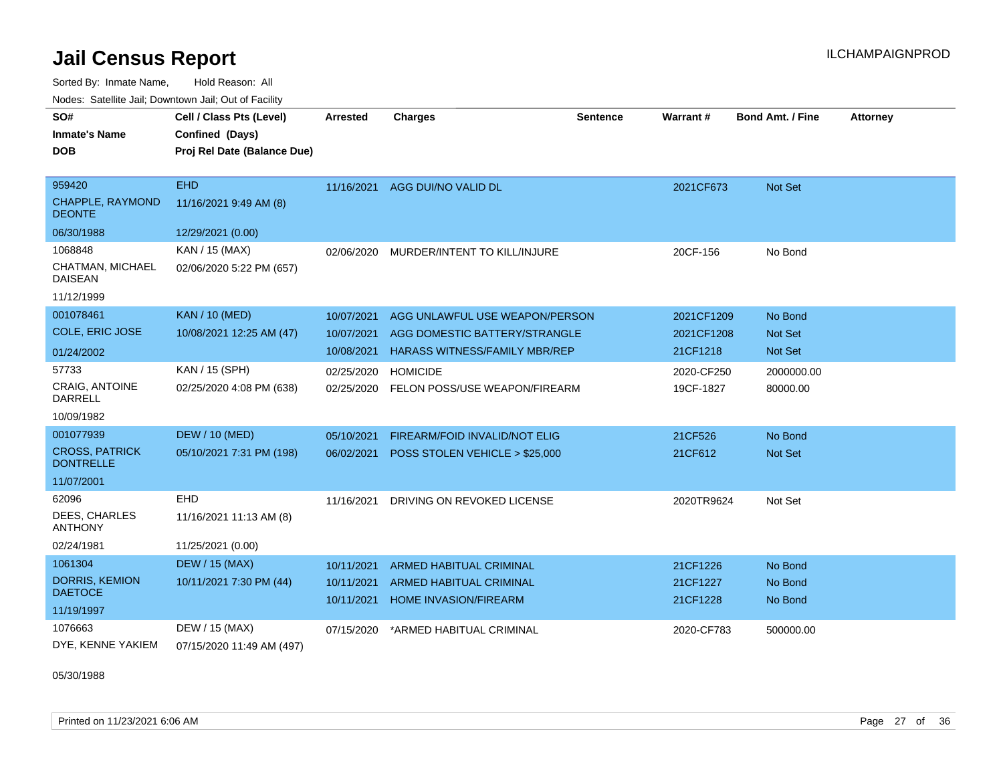Sorted By: Inmate Name, Hold Reason: All

|  | Nodes: Satellite Jail; Downtown Jail; Out of Facility |  |  |
|--|-------------------------------------------------------|--|--|
|  |                                                       |  |  |

| SO#<br><b>Inmate's Name</b>               | Cell / Class Pts (Level)<br>Confined (Days) | <b>Arrested</b> | <b>Charges</b>                       | <b>Sentence</b> | Warrant #  | <b>Bond Amt. / Fine</b> | <b>Attorney</b> |
|-------------------------------------------|---------------------------------------------|-----------------|--------------------------------------|-----------------|------------|-------------------------|-----------------|
| <b>DOB</b>                                | Proj Rel Date (Balance Due)                 |                 |                                      |                 |            |                         |                 |
|                                           |                                             |                 |                                      |                 |            |                         |                 |
| 959420                                    | <b>EHD</b>                                  |                 | 11/16/2021 AGG DUI/NO VALID DL       |                 | 2021CF673  | Not Set                 |                 |
| CHAPPLE, RAYMOND<br><b>DEONTE</b>         | 11/16/2021 9:49 AM (8)                      |                 |                                      |                 |            |                         |                 |
| 06/30/1988                                | 12/29/2021 (0.00)                           |                 |                                      |                 |            |                         |                 |
| 1068848                                   | KAN / 15 (MAX)                              | 02/06/2020      | MURDER/INTENT TO KILL/INJURE         |                 | 20CF-156   | No Bond                 |                 |
| CHATMAN, MICHAEL<br><b>DAISEAN</b>        | 02/06/2020 5:22 PM (657)                    |                 |                                      |                 |            |                         |                 |
| 11/12/1999                                |                                             |                 |                                      |                 |            |                         |                 |
| 001078461                                 | <b>KAN / 10 (MED)</b>                       | 10/07/2021      | AGG UNLAWFUL USE WEAPON/PERSON       |                 | 2021CF1209 | No Bond                 |                 |
| COLE, ERIC JOSE                           | 10/08/2021 12:25 AM (47)                    | 10/07/2021      | AGG DOMESTIC BATTERY/STRANGLE        |                 | 2021CF1208 | Not Set                 |                 |
| 01/24/2002                                |                                             | 10/08/2021      | <b>HARASS WITNESS/FAMILY MBR/REP</b> |                 | 21CF1218   | Not Set                 |                 |
| 57733                                     | KAN / 15 (SPH)                              | 02/25/2020      | <b>HOMICIDE</b>                      |                 | 2020-CF250 | 2000000.00              |                 |
| <b>CRAIG, ANTOINE</b><br><b>DARRELL</b>   | 02/25/2020 4:08 PM (638)                    | 02/25/2020      | FELON POSS/USE WEAPON/FIREARM        |                 | 19CF-1827  | 80000.00                |                 |
| 10/09/1982                                |                                             |                 |                                      |                 |            |                         |                 |
| 001077939                                 | <b>DEW / 10 (MED)</b>                       | 05/10/2021      | FIREARM/FOID INVALID/NOT ELIG        |                 | 21CF526    | No Bond                 |                 |
| <b>CROSS, PATRICK</b><br><b>DONTRELLE</b> | 05/10/2021 7:31 PM (198)                    | 06/02/2021      | POSS STOLEN VEHICLE > \$25,000       |                 | 21CF612    | Not Set                 |                 |
| 11/07/2001                                |                                             |                 |                                      |                 |            |                         |                 |
| 62096                                     | <b>EHD</b>                                  | 11/16/2021      | DRIVING ON REVOKED LICENSE           |                 | 2020TR9624 | Not Set                 |                 |
| DEES, CHARLES<br><b>ANTHONY</b>           | 11/16/2021 11:13 AM (8)                     |                 |                                      |                 |            |                         |                 |
| 02/24/1981                                | 11/25/2021 (0.00)                           |                 |                                      |                 |            |                         |                 |
| 1061304                                   | <b>DEW / 15 (MAX)</b>                       | 10/11/2021      | <b>ARMED HABITUAL CRIMINAL</b>       |                 | 21CF1226   | No Bond                 |                 |
| <b>DORRIS, KEMION</b>                     | 10/11/2021 7:30 PM (44)                     | 10/11/2021      | <b>ARMED HABITUAL CRIMINAL</b>       |                 | 21CF1227   | No Bond                 |                 |
| <b>DAETOCE</b>                            |                                             | 10/11/2021      | HOME INVASION/FIREARM                |                 | 21CF1228   | No Bond                 |                 |
| 11/19/1997                                |                                             |                 |                                      |                 |            |                         |                 |
| 1076663                                   | DEW / 15 (MAX)                              | 07/15/2020      | *ARMED HABITUAL CRIMINAL             |                 | 2020-CF783 | 500000.00               |                 |
| DYE, KENNE YAKIEM                         | 07/15/2020 11:49 AM (497)                   |                 |                                      |                 |            |                         |                 |

05/30/1988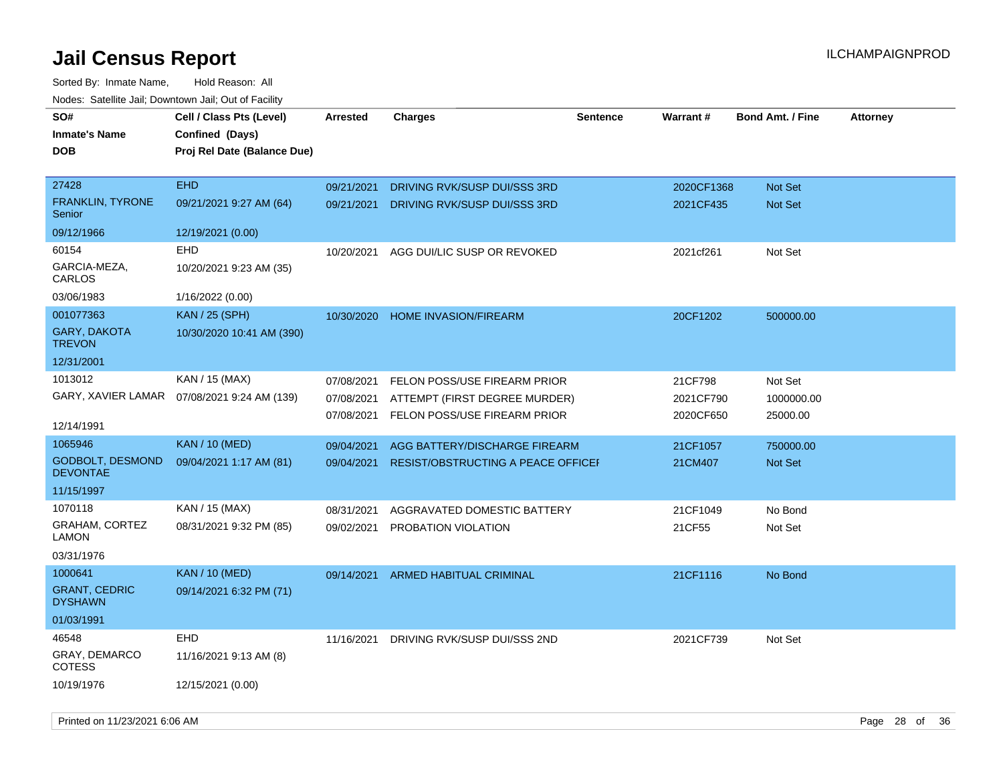| SO#                                    | Cell / Class Pts (Level)    | <b>Arrested</b> | <b>Charges</b>                            | <b>Sentence</b> | <b>Warrant#</b> | <b>Bond Amt. / Fine</b> | <b>Attorney</b> |
|----------------------------------------|-----------------------------|-----------------|-------------------------------------------|-----------------|-----------------|-------------------------|-----------------|
| <b>Inmate's Name</b>                   | Confined (Days)             |                 |                                           |                 |                 |                         |                 |
| <b>DOB</b>                             | Proj Rel Date (Balance Due) |                 |                                           |                 |                 |                         |                 |
|                                        |                             |                 |                                           |                 |                 |                         |                 |
| 27428                                  | <b>EHD</b>                  | 09/21/2021      | DRIVING RVK/SUSP DUI/SSS 3RD              |                 | 2020CF1368      | <b>Not Set</b>          |                 |
| <b>FRANKLIN, TYRONE</b><br>Senior      | 09/21/2021 9:27 AM (64)     | 09/21/2021      | DRIVING RVK/SUSP DUI/SSS 3RD              |                 | 2021CF435       | <b>Not Set</b>          |                 |
| 09/12/1966                             | 12/19/2021 (0.00)           |                 |                                           |                 |                 |                         |                 |
| 60154                                  | <b>EHD</b>                  | 10/20/2021      | AGG DUI/LIC SUSP OR REVOKED               |                 | 2021cf261       | Not Set                 |                 |
| GARCIA-MEZA,<br>CARLOS                 | 10/20/2021 9:23 AM (35)     |                 |                                           |                 |                 |                         |                 |
| 03/06/1983                             | 1/16/2022 (0.00)            |                 |                                           |                 |                 |                         |                 |
| 001077363                              | <b>KAN / 25 (SPH)</b>       | 10/30/2020      | <b>HOME INVASION/FIREARM</b>              |                 | 20CF1202        | 500000.00               |                 |
| <b>GARY, DAKOTA</b><br><b>TREVON</b>   | 10/30/2020 10:41 AM (390)   |                 |                                           |                 |                 |                         |                 |
| 12/31/2001                             |                             |                 |                                           |                 |                 |                         |                 |
| 1013012                                | KAN / 15 (MAX)              | 07/08/2021      | FELON POSS/USE FIREARM PRIOR              |                 | 21CF798         | Not Set                 |                 |
| GARY, XAVIER LAMAR                     | 07/08/2021 9:24 AM (139)    | 07/08/2021      | ATTEMPT (FIRST DEGREE MURDER)             |                 | 2021CF790       | 1000000.00              |                 |
| 12/14/1991                             |                             | 07/08/2021      | FELON POSS/USE FIREARM PRIOR              |                 | 2020CF650       | 25000.00                |                 |
| 1065946                                | <b>KAN / 10 (MED)</b>       |                 |                                           |                 |                 |                         |                 |
| <b>GODBOLT, DESMOND</b>                |                             | 09/04/2021      | AGG BATTERY/DISCHARGE FIREARM             |                 | 21CF1057        | 750000.00               |                 |
| <b>DEVONTAE</b>                        | 09/04/2021 1:17 AM (81)     | 09/04/2021      | <b>RESIST/OBSTRUCTING A PEACE OFFICEF</b> |                 | 21CM407         | <b>Not Set</b>          |                 |
| 11/15/1997                             |                             |                 |                                           |                 |                 |                         |                 |
| 1070118                                | KAN / 15 (MAX)              | 08/31/2021      | AGGRAVATED DOMESTIC BATTERY               |                 | 21CF1049        | No Bond                 |                 |
| GRAHAM, CORTEZ<br>LAMON                | 08/31/2021 9:32 PM (85)     | 09/02/2021      | PROBATION VIOLATION                       |                 | 21CF55          | Not Set                 |                 |
| 03/31/1976                             |                             |                 |                                           |                 |                 |                         |                 |
| 1000641                                | <b>KAN / 10 (MED)</b>       | 09/14/2021      | ARMED HABITUAL CRIMINAL                   |                 | 21CF1116        | No Bond                 |                 |
| <b>GRANT, CEDRIC</b><br><b>DYSHAWN</b> | 09/14/2021 6:32 PM (71)     |                 |                                           |                 |                 |                         |                 |
| 01/03/1991                             |                             |                 |                                           |                 |                 |                         |                 |
| 46548                                  | <b>EHD</b>                  | 11/16/2021      | DRIVING RVK/SUSP DUI/SSS 2ND              |                 | 2021CF739       | Not Set                 |                 |
| GRAY, DEMARCO<br><b>COTESS</b>         | 11/16/2021 9:13 AM (8)      |                 |                                           |                 |                 |                         |                 |
| 10/19/1976                             | 12/15/2021 (0.00)           |                 |                                           |                 |                 |                         |                 |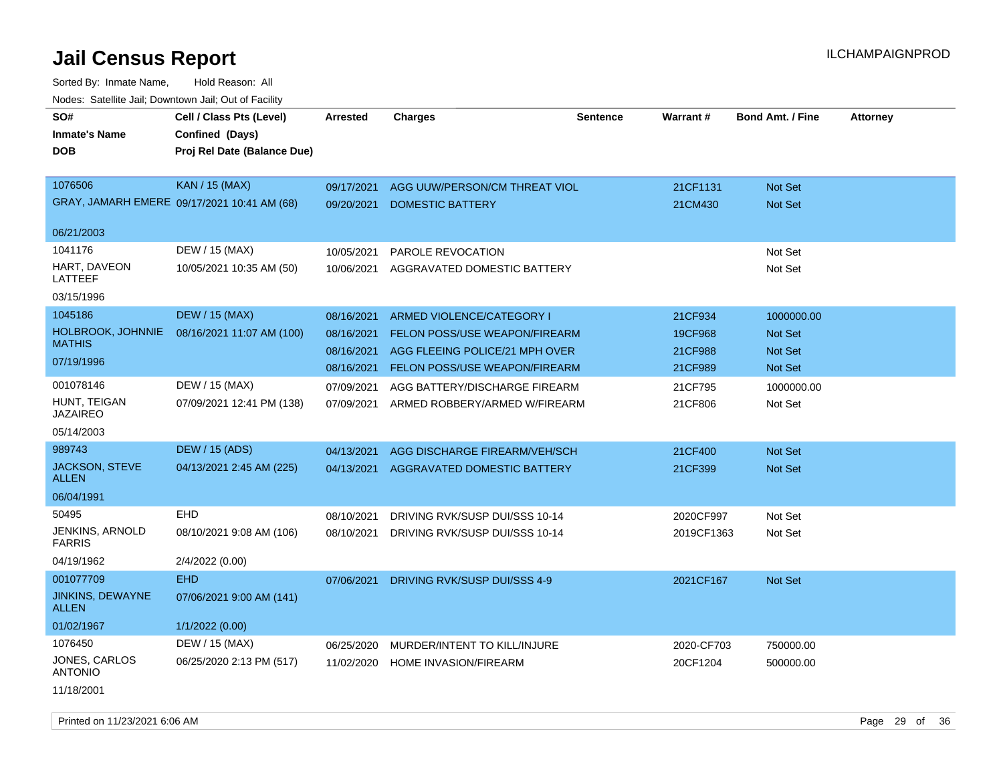Sorted By: Inmate Name, Hold Reason: All Nodes: Satellite Jail; Downtown Jail; Out of Facility

| SO#<br><b>Inmate's Name</b><br><b>DOB</b> | Cell / Class Pts (Level)<br>Confined (Days)<br>Proj Rel Date (Balance Due) | Arrested                 | <b>Charges</b>                                           | <b>Sentence</b> | <b>Warrant#</b>     | <b>Bond Amt. / Fine</b>   | <b>Attorney</b> |
|-------------------------------------------|----------------------------------------------------------------------------|--------------------------|----------------------------------------------------------|-----------------|---------------------|---------------------------|-----------------|
| 1076506                                   | <b>KAN / 15 (MAX)</b><br>GRAY, JAMARH EMERE 09/17/2021 10:41 AM (68)       | 09/17/2021<br>09/20/2021 | AGG UUW/PERSON/CM THREAT VIOL<br><b>DOMESTIC BATTERY</b> |                 | 21CF1131<br>21CM430 | <b>Not Set</b><br>Not Set |                 |
| 06/21/2003                                |                                                                            |                          |                                                          |                 |                     |                           |                 |
| 1041176                                   | DEW / 15 (MAX)                                                             | 10/05/2021               | PAROLE REVOCATION                                        |                 |                     | Not Set                   |                 |
| HART, DAVEON<br>LATTEEF                   | 10/05/2021 10:35 AM (50)                                                   | 10/06/2021               | AGGRAVATED DOMESTIC BATTERY                              |                 |                     | Not Set                   |                 |
| 03/15/1996                                |                                                                            |                          |                                                          |                 |                     |                           |                 |
| 1045186                                   | <b>DEW / 15 (MAX)</b>                                                      | 08/16/2021               | ARMED VIOLENCE/CATEGORY I                                |                 | 21CF934             | 1000000.00                |                 |
| HOLBROOK, JOHNNIE                         | 08/16/2021 11:07 AM (100)                                                  | 08/16/2021               | <b>FELON POSS/USE WEAPON/FIREARM</b>                     |                 | 19CF968             | <b>Not Set</b>            |                 |
| <b>MATHIS</b>                             |                                                                            | 08/16/2021               | AGG FLEEING POLICE/21 MPH OVER                           |                 | 21CF988             | <b>Not Set</b>            |                 |
| 07/19/1996                                |                                                                            | 08/16/2021               | <b>FELON POSS/USE WEAPON/FIREARM</b>                     |                 | 21CF989             | Not Set                   |                 |
| 001078146                                 | DEW / 15 (MAX)                                                             | 07/09/2021               | AGG BATTERY/DISCHARGE FIREARM                            |                 | 21CF795             | 1000000.00                |                 |
| HUNT, TEIGAN<br><b>JAZAIREO</b>           | 07/09/2021 12:41 PM (138)                                                  | 07/09/2021               | ARMED ROBBERY/ARMED W/FIREARM                            |                 | 21CF806             | Not Set                   |                 |
| 05/14/2003                                |                                                                            |                          |                                                          |                 |                     |                           |                 |
| 989743                                    | <b>DEW / 15 (ADS)</b>                                                      | 04/13/2021               | AGG DISCHARGE FIREARM/VEH/SCH                            |                 | 21CF400             | <b>Not Set</b>            |                 |
| <b>JACKSON, STEVE</b><br><b>ALLEN</b>     | 04/13/2021 2:45 AM (225)                                                   | 04/13/2021               | AGGRAVATED DOMESTIC BATTERY                              |                 | 21CF399             | Not Set                   |                 |
| 06/04/1991                                |                                                                            |                          |                                                          |                 |                     |                           |                 |
| 50495                                     | <b>EHD</b>                                                                 | 08/10/2021               | DRIVING RVK/SUSP DUI/SSS 10-14                           |                 | 2020CF997           | Not Set                   |                 |
| JENKINS, ARNOLD<br><b>FARRIS</b>          | 08/10/2021 9:08 AM (106)                                                   | 08/10/2021               | DRIVING RVK/SUSP DUI/SSS 10-14                           |                 | 2019CF1363          | Not Set                   |                 |
| 04/19/1962                                | 2/4/2022 (0.00)                                                            |                          |                                                          |                 |                     |                           |                 |
| 001077709                                 | <b>EHD</b>                                                                 | 07/06/2021               | DRIVING RVK/SUSP DUI/SSS 4-9                             |                 | 2021CF167           | Not Set                   |                 |
| JINKINS, DEWAYNE<br><b>ALLEN</b>          | 07/06/2021 9:00 AM (141)                                                   |                          |                                                          |                 |                     |                           |                 |
| 01/02/1967                                | 1/1/2022 (0.00)                                                            |                          |                                                          |                 |                     |                           |                 |
| 1076450                                   | DEW / 15 (MAX)                                                             | 06/25/2020               | MURDER/INTENT TO KILL/INJURE                             |                 | 2020-CF703          | 750000.00                 |                 |
| JONES, CARLOS<br><b>ANTONIO</b>           | 06/25/2020 2:13 PM (517)                                                   | 11/02/2020               | HOME INVASION/FIREARM                                    |                 | 20CF1204            | 500000.00                 |                 |
| 11/18/2001                                |                                                                            |                          |                                                          |                 |                     |                           |                 |

Printed on 11/23/2021 6:06 AM Page 29 of 36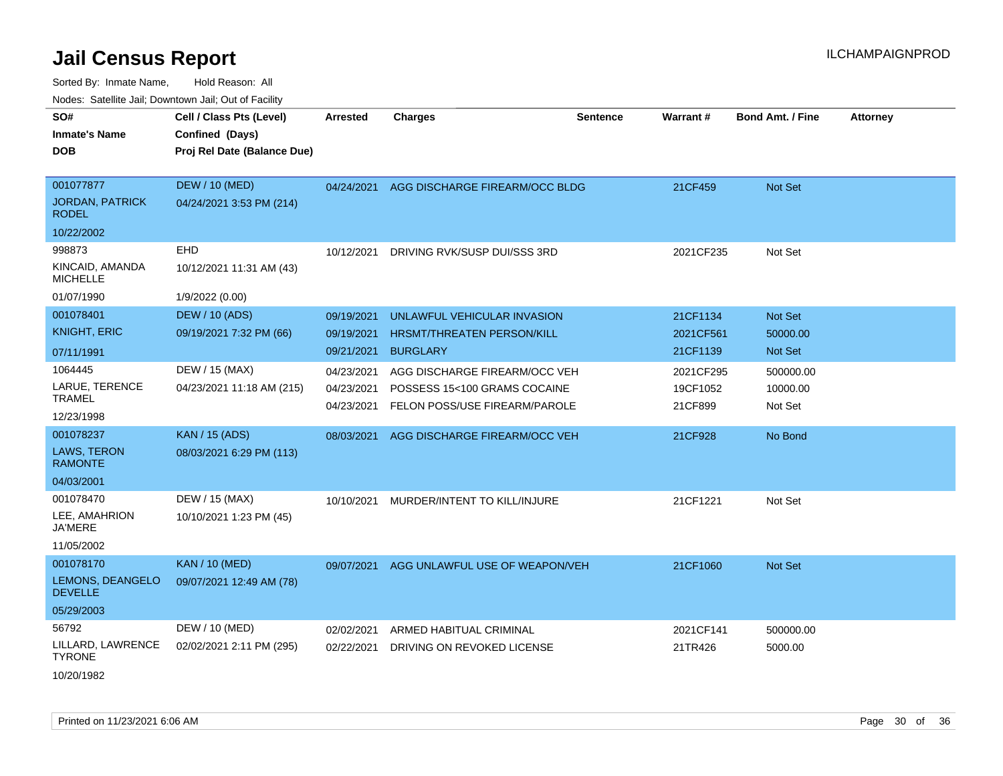| rougs. Calcing Jan, Downtown Jan, Out of Facility             |                                                                            |                                        |                                                                                                |                 |                                   |                                  |                 |
|---------------------------------------------------------------|----------------------------------------------------------------------------|----------------------------------------|------------------------------------------------------------------------------------------------|-----------------|-----------------------------------|----------------------------------|-----------------|
| SO#<br><b>Inmate's Name</b><br><b>DOB</b>                     | Cell / Class Pts (Level)<br>Confined (Days)<br>Proj Rel Date (Balance Due) | <b>Arrested</b>                        | <b>Charges</b>                                                                                 | <b>Sentence</b> | Warrant#                          | <b>Bond Amt. / Fine</b>          | <b>Attorney</b> |
| 001077877<br><b>JORDAN, PATRICK</b><br><b>RODEL</b>           | <b>DEW / 10 (MED)</b><br>04/24/2021 3:53 PM (214)                          | 04/24/2021                             | AGG DISCHARGE FIREARM/OCC BLDG                                                                 |                 | 21CF459                           | Not Set                          |                 |
| 10/22/2002                                                    |                                                                            |                                        |                                                                                                |                 |                                   |                                  |                 |
| 998873<br>KINCAID, AMANDA<br><b>MICHELLE</b><br>01/07/1990    | EHD<br>10/12/2021 11:31 AM (43)<br>1/9/2022 (0.00)                         | 10/12/2021                             | DRIVING RVK/SUSP DUI/SSS 3RD                                                                   |                 | 2021CF235                         | Not Set                          |                 |
| 001078401<br><b>KNIGHT, ERIC</b><br>07/11/1991                | <b>DEW / 10 (ADS)</b><br>09/19/2021 7:32 PM (66)                           | 09/19/2021<br>09/19/2021<br>09/21/2021 | UNLAWFUL VEHICULAR INVASION<br><b>HRSMT/THREATEN PERSON/KILL</b><br><b>BURGLARY</b>            |                 | 21CF1134<br>2021CF561<br>21CF1139 | Not Set<br>50000.00<br>Not Set   |                 |
| 1064445<br>LARUE, TERENCE<br>TRAMEL<br>12/23/1998             | DEW / 15 (MAX)<br>04/23/2021 11:18 AM (215)                                | 04/23/2021<br>04/23/2021<br>04/23/2021 | AGG DISCHARGE FIREARM/OCC VEH<br>POSSESS 15<100 GRAMS COCAINE<br>FELON POSS/USE FIREARM/PAROLE |                 | 2021CF295<br>19CF1052<br>21CF899  | 500000.00<br>10000.00<br>Not Set |                 |
| 001078237<br>LAWS, TERON<br><b>RAMONTE</b><br>04/03/2001      | <b>KAN / 15 (ADS)</b><br>08/03/2021 6:29 PM (113)                          | 08/03/2021                             | AGG DISCHARGE FIREARM/OCC VEH                                                                  |                 | 21CF928                           | No Bond                          |                 |
| 001078470<br>LEE, AMAHRION<br><b>JA'MERE</b><br>11/05/2002    | DEW / 15 (MAX)<br>10/10/2021 1:23 PM (45)                                  | 10/10/2021                             | MURDER/INTENT TO KILL/INJURE                                                                   |                 | 21CF1221                          | Not Set                          |                 |
| 001078170<br>LEMONS, DEANGELO<br><b>DEVELLE</b><br>05/29/2003 | <b>KAN / 10 (MED)</b><br>09/07/2021 12:49 AM (78)                          | 09/07/2021                             | AGG UNLAWFUL USE OF WEAPON/VEH                                                                 |                 | 21CF1060                          | <b>Not Set</b>                   |                 |
| 56792<br>LILLARD, LAWRENCE<br><b>TYRONE</b><br>10/20/1982     | DEW / 10 (MED)<br>02/02/2021 2:11 PM (295)                                 | 02/02/2021<br>02/22/2021               | ARMED HABITUAL CRIMINAL<br>DRIVING ON REVOKED LICENSE                                          |                 | 2021CF141<br>21TR426              | 500000.00<br>5000.00             |                 |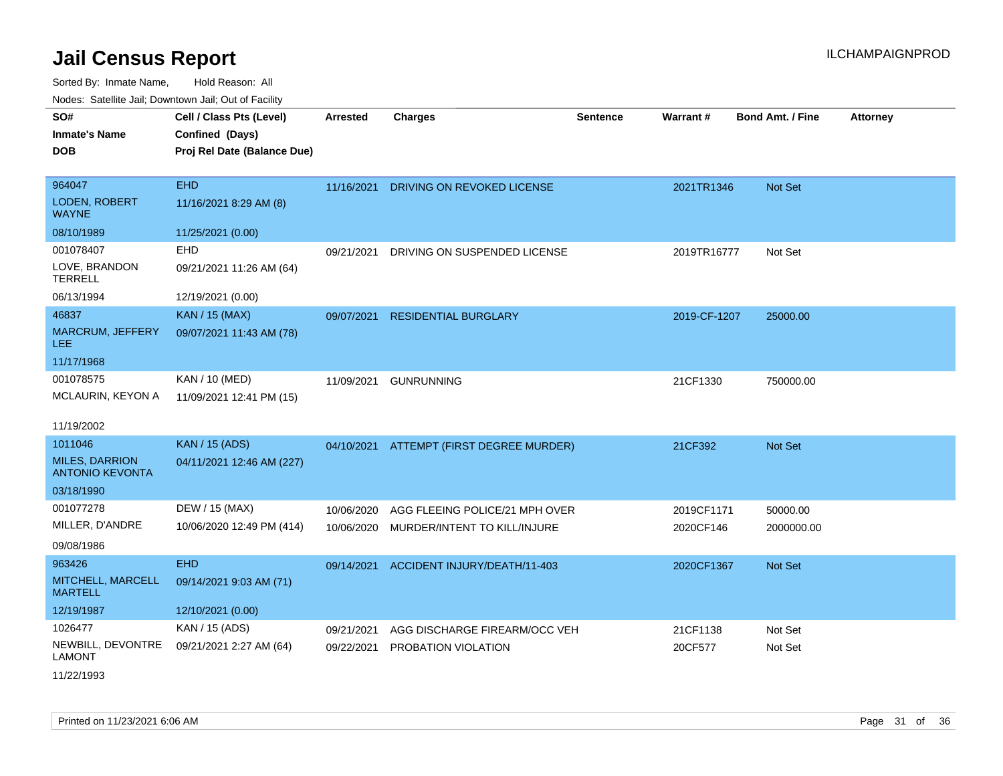Sorted By: Inmate Name, Hold Reason: All Nodes: Satellite Jail; Downtown Jail; Out of Facility

| SO#<br><b>Inmate's Name</b><br><b>DOB</b>       | Cell / Class Pts (Level)<br>Confined (Days)<br>Proj Rel Date (Balance Due) | <b>Arrested</b> | <b>Charges</b>                           | <b>Sentence</b> | Warrant#     | <b>Bond Amt. / Fine</b> | <b>Attorney</b> |
|-------------------------------------------------|----------------------------------------------------------------------------|-----------------|------------------------------------------|-----------------|--------------|-------------------------|-----------------|
| 964047                                          | <b>EHD</b>                                                                 | 11/16/2021      | DRIVING ON REVOKED LICENSE               |                 | 2021TR1346   | Not Set                 |                 |
| <b>LODEN, ROBERT</b><br><b>WAYNE</b>            | 11/16/2021 8:29 AM (8)                                                     |                 |                                          |                 |              |                         |                 |
| 08/10/1989                                      | 11/25/2021 (0.00)                                                          |                 |                                          |                 |              |                         |                 |
| 001078407                                       | EHD                                                                        | 09/21/2021      | DRIVING ON SUSPENDED LICENSE             |                 | 2019TR16777  | Not Set                 |                 |
| LOVE, BRANDON<br><b>TERRELL</b>                 | 09/21/2021 11:26 AM (64)                                                   |                 |                                          |                 |              |                         |                 |
| 06/13/1994                                      | 12/19/2021 (0.00)                                                          |                 |                                          |                 |              |                         |                 |
| 46837                                           | <b>KAN / 15 (MAX)</b>                                                      | 09/07/2021      | <b>RESIDENTIAL BURGLARY</b>              |                 | 2019-CF-1207 | 25000.00                |                 |
| MARCRUM, JEFFERY<br>LEE                         | 09/07/2021 11:43 AM (78)                                                   |                 |                                          |                 |              |                         |                 |
| 11/17/1968                                      |                                                                            |                 |                                          |                 |              |                         |                 |
| 001078575                                       | KAN / 10 (MED)                                                             | 11/09/2021      | <b>GUNRUNNING</b>                        |                 | 21CF1330     | 750000.00               |                 |
| MCLAURIN, KEYON A                               | 11/09/2021 12:41 PM (15)                                                   |                 |                                          |                 |              |                         |                 |
| 11/19/2002                                      |                                                                            |                 |                                          |                 |              |                         |                 |
| 1011046                                         | <b>KAN / 15 (ADS)</b>                                                      |                 | 04/10/2021 ATTEMPT (FIRST DEGREE MURDER) |                 | 21CF392      | <b>Not Set</b>          |                 |
| <b>MILES, DARRION</b><br><b>ANTONIO KEVONTA</b> | 04/11/2021 12:46 AM (227)                                                  |                 |                                          |                 |              |                         |                 |
| 03/18/1990                                      |                                                                            |                 |                                          |                 |              |                         |                 |
| 001077278                                       | DEW / 15 (MAX)                                                             | 10/06/2020      | AGG FLEEING POLICE/21 MPH OVER           |                 | 2019CF1171   | 50000.00                |                 |
| MILLER, D'ANDRE                                 | 10/06/2020 12:49 PM (414)                                                  | 10/06/2020      | MURDER/INTENT TO KILL/INJURE             |                 | 2020CF146    | 2000000.00              |                 |
| 09/08/1986                                      |                                                                            |                 |                                          |                 |              |                         |                 |
| 963426                                          | <b>EHD</b>                                                                 | 09/14/2021      | ACCIDENT INJURY/DEATH/11-403             |                 | 2020CF1367   | <b>Not Set</b>          |                 |
| MITCHELL, MARCELL<br><b>MARTELL</b>             | 09/14/2021 9:03 AM (71)                                                    |                 |                                          |                 |              |                         |                 |
| 12/19/1987                                      | 12/10/2021 (0.00)                                                          |                 |                                          |                 |              |                         |                 |
| 1026477                                         | KAN / 15 (ADS)                                                             | 09/21/2021      | AGG DISCHARGE FIREARM/OCC VEH            |                 | 21CF1138     | Not Set                 |                 |
| NEWBILL, DEVONTRE<br><b>LAMONT</b>              | 09/21/2021 2:27 AM (64)                                                    | 09/22/2021      | PROBATION VIOLATION                      |                 | 20CF577      | Not Set                 |                 |

11/22/1993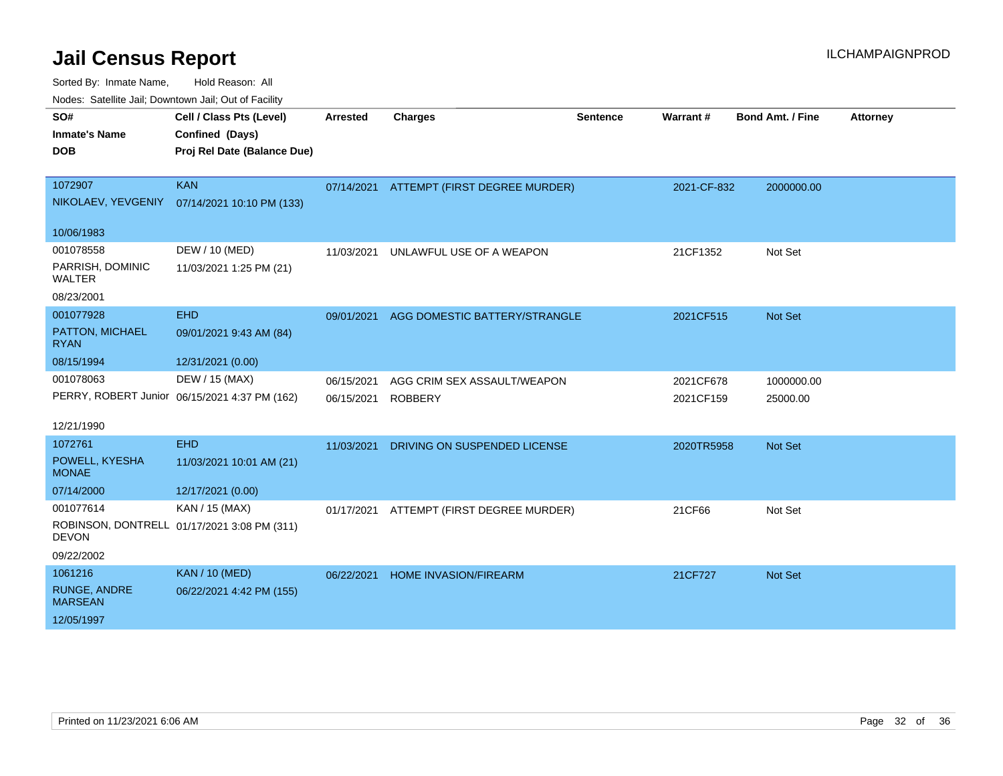Sorted By: Inmate Name, Hold Reason: All

Nodes: Satellite Jail; Downtown Jail; Out of Facility

| SO#<br><b>Inmate's Name</b><br><b>DOB</b> | Cell / Class Pts (Level)<br>Confined (Days)<br>Proj Rel Date (Balance Due) | <b>Arrested</b> | <b>Charges</b>                           | <b>Sentence</b> | <b>Warrant#</b> | <b>Bond Amt. / Fine</b> | <b>Attorney</b> |
|-------------------------------------------|----------------------------------------------------------------------------|-----------------|------------------------------------------|-----------------|-----------------|-------------------------|-----------------|
| 1072907                                   | <b>KAN</b>                                                                 |                 | 07/14/2021 ATTEMPT (FIRST DEGREE MURDER) |                 | 2021-CF-832     | 2000000.00              |                 |
| NIKOLAEV, YEVGENIY                        | 07/14/2021 10:10 PM (133)                                                  |                 |                                          |                 |                 |                         |                 |
| 10/06/1983                                |                                                                            |                 |                                          |                 |                 |                         |                 |
| 001078558                                 | DEW / 10 (MED)                                                             | 11/03/2021      | UNLAWFUL USE OF A WEAPON                 |                 | 21CF1352        | Not Set                 |                 |
| PARRISH, DOMINIC<br><b>WALTER</b>         | 11/03/2021 1:25 PM (21)                                                    |                 |                                          |                 |                 |                         |                 |
| 08/23/2001                                |                                                                            |                 |                                          |                 |                 |                         |                 |
| 001077928                                 | <b>EHD</b>                                                                 | 09/01/2021      | AGG DOMESTIC BATTERY/STRANGLE            |                 | 2021CF515       | Not Set                 |                 |
| PATTON, MICHAEL<br><b>RYAN</b>            | 09/01/2021 9:43 AM (84)                                                    |                 |                                          |                 |                 |                         |                 |
| 08/15/1994                                | 12/31/2021 (0.00)                                                          |                 |                                          |                 |                 |                         |                 |
| 001078063                                 | DEW / 15 (MAX)                                                             | 06/15/2021      | AGG CRIM SEX ASSAULT/WEAPON              |                 | 2021CF678       | 1000000.00              |                 |
|                                           | PERRY, ROBERT Junior 06/15/2021 4:37 PM (162)                              | 06/15/2021      | <b>ROBBERY</b>                           |                 | 2021CF159       | 25000.00                |                 |
| 12/21/1990                                |                                                                            |                 |                                          |                 |                 |                         |                 |
| 1072761                                   | <b>EHD</b>                                                                 | 11/03/2021      | DRIVING ON SUSPENDED LICENSE             |                 | 2020TR5958      | Not Set                 |                 |
| POWELL, KYESHA<br><b>MONAE</b>            | 11/03/2021 10:01 AM (21)                                                   |                 |                                          |                 |                 |                         |                 |
| 07/14/2000                                | 12/17/2021 (0.00)                                                          |                 |                                          |                 |                 |                         |                 |
| 001077614                                 | KAN / 15 (MAX)                                                             | 01/17/2021      | ATTEMPT (FIRST DEGREE MURDER)            |                 | 21CF66          | Not Set                 |                 |
| <b>DEVON</b>                              | ROBINSON, DONTRELL 01/17/2021 3:08 PM (311)                                |                 |                                          |                 |                 |                         |                 |
| 09/22/2002                                |                                                                            |                 |                                          |                 |                 |                         |                 |
| 1061216                                   | <b>KAN / 10 (MED)</b>                                                      | 06/22/2021      | HOME INVASION/FIREARM                    |                 | 21CF727         | Not Set                 |                 |
| <b>RUNGE, ANDRE</b><br><b>MARSEAN</b>     | 06/22/2021 4:42 PM (155)                                                   |                 |                                          |                 |                 |                         |                 |
| 12/05/1997                                |                                                                            |                 |                                          |                 |                 |                         |                 |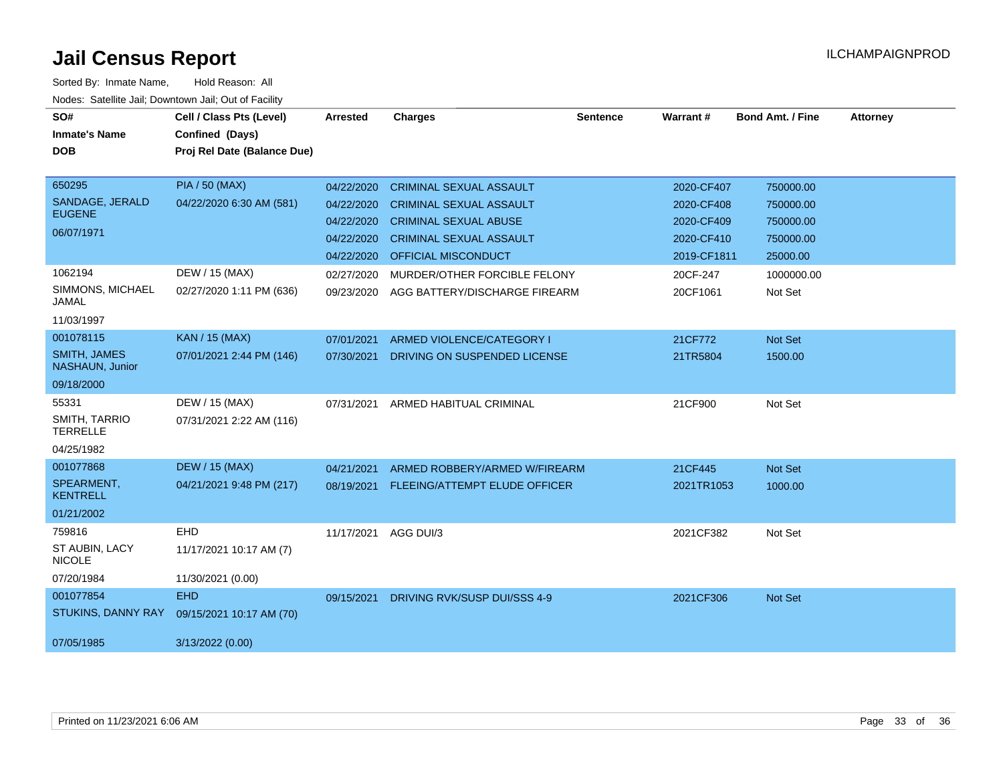| SO#                                    | Cell / Class Pts (Level)    | Arrested   | <b>Charges</b>                       | <b>Sentence</b> | Warrant#    | <b>Bond Amt. / Fine</b> | <b>Attorney</b> |
|----------------------------------------|-----------------------------|------------|--------------------------------------|-----------------|-------------|-------------------------|-----------------|
| <b>Inmate's Name</b>                   | Confined (Days)             |            |                                      |                 |             |                         |                 |
| <b>DOB</b>                             | Proj Rel Date (Balance Due) |            |                                      |                 |             |                         |                 |
|                                        |                             |            |                                      |                 |             |                         |                 |
| 650295                                 | <b>PIA / 50 (MAX)</b>       | 04/22/2020 | <b>CRIMINAL SEXUAL ASSAULT</b>       |                 | 2020-CF407  | 750000.00               |                 |
| SANDAGE, JERALD                        |                             |            |                                      |                 |             |                         |                 |
| <b>EUGENE</b>                          | 04/22/2020 6:30 AM (581)    | 04/22/2020 | <b>CRIMINAL SEXUAL ASSAULT</b>       |                 | 2020-CF408  | 750000.00               |                 |
| 06/07/1971                             |                             | 04/22/2020 | <b>CRIMINAL SEXUAL ABUSE</b>         |                 | 2020-CF409  | 750000.00               |                 |
|                                        |                             | 04/22/2020 | <b>CRIMINAL SEXUAL ASSAULT</b>       |                 | 2020-CF410  | 750000.00               |                 |
|                                        |                             |            | 04/22/2020 OFFICIAL MISCONDUCT       |                 | 2019-CF1811 | 25000.00                |                 |
| 1062194                                | DEW / 15 (MAX)              | 02/27/2020 | MURDER/OTHER FORCIBLE FELONY         |                 | 20CF-247    | 1000000.00              |                 |
| SIMMONS, MICHAEL<br>JAMAL              | 02/27/2020 1:11 PM (636)    | 09/23/2020 | AGG BATTERY/DISCHARGE FIREARM        |                 | 20CF1061    | Not Set                 |                 |
| 11/03/1997                             |                             |            |                                      |                 |             |                         |                 |
| 001078115                              | <b>KAN / 15 (MAX)</b>       | 07/01/2021 | ARMED VIOLENCE/CATEGORY I            |                 | 21CF772     | Not Set                 |                 |
| <b>SMITH, JAMES</b><br>NASHAUN, Junior | 07/01/2021 2:44 PM (146)    | 07/30/2021 | DRIVING ON SUSPENDED LICENSE         |                 | 21TR5804    | 1500.00                 |                 |
| 09/18/2000                             |                             |            |                                      |                 |             |                         |                 |
| 55331                                  | DEW / 15 (MAX)              | 07/31/2021 | ARMED HABITUAL CRIMINAL              |                 | 21CF900     | Not Set                 |                 |
| SMITH, TARRIO<br><b>TERRELLE</b>       | 07/31/2021 2:22 AM (116)    |            |                                      |                 |             |                         |                 |
| 04/25/1982                             |                             |            |                                      |                 |             |                         |                 |
| 001077868                              | <b>DEW / 15 (MAX)</b>       | 04/21/2021 | ARMED ROBBERY/ARMED W/FIREARM        |                 | 21CF445     | <b>Not Set</b>          |                 |
| SPEARMENT,<br><b>KENTRELL</b>          | 04/21/2021 9:48 PM (217)    | 08/19/2021 | <b>FLEEING/ATTEMPT ELUDE OFFICER</b> |                 | 2021TR1053  | 1000.00                 |                 |
| 01/21/2002                             |                             |            |                                      |                 |             |                         |                 |
| 759816                                 | <b>EHD</b>                  | 11/17/2021 | AGG DUI/3                            |                 | 2021CF382   | Not Set                 |                 |
| ST AUBIN, LACY<br><b>NICOLE</b>        | 11/17/2021 10:17 AM (7)     |            |                                      |                 |             |                         |                 |
| 07/20/1984                             | 11/30/2021 (0.00)           |            |                                      |                 |             |                         |                 |
| 001077854                              | <b>EHD</b>                  | 09/15/2021 | DRIVING RVK/SUSP DUI/SSS 4-9         |                 | 2021CF306   | <b>Not Set</b>          |                 |
| <b>STUKINS, DANNY RAY</b>              | 09/15/2021 10:17 AM (70)    |            |                                      |                 |             |                         |                 |
| 07/05/1985                             | 3/13/2022 (0.00)            |            |                                      |                 |             |                         |                 |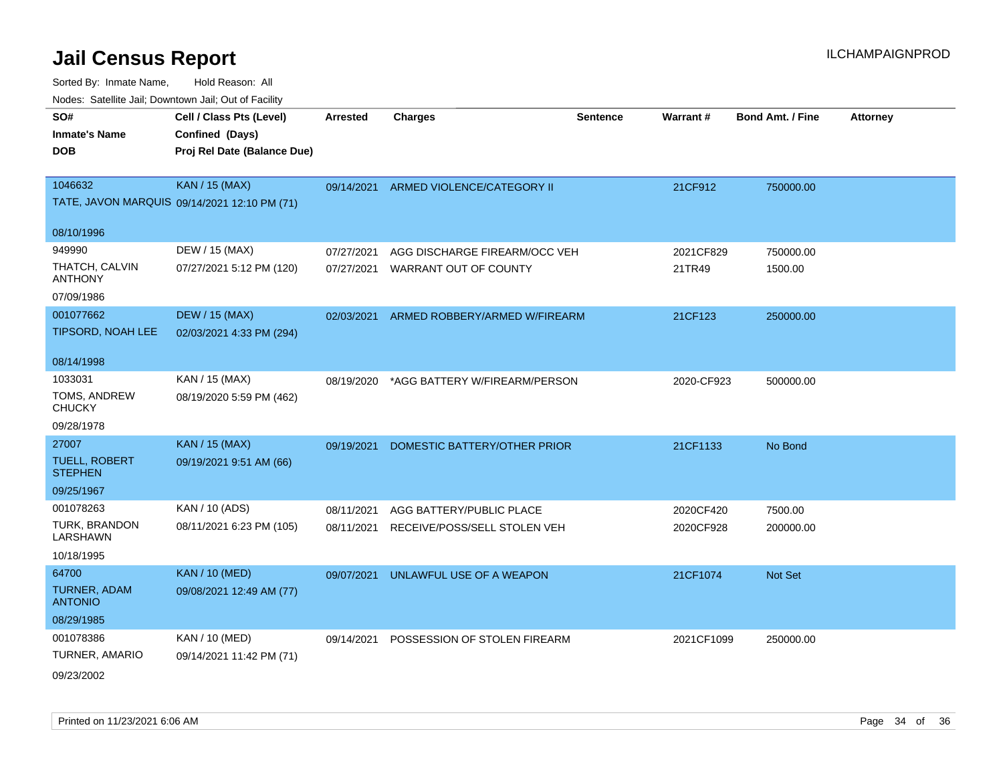| SO#                                    | Cell / Class Pts (Level)                     | <b>Arrested</b> | <b>Charges</b>                           | <b>Sentence</b> | Warrant#   | <b>Bond Amt. / Fine</b> | <b>Attorney</b> |
|----------------------------------------|----------------------------------------------|-----------------|------------------------------------------|-----------------|------------|-------------------------|-----------------|
| <b>Inmate's Name</b>                   | Confined (Days)                              |                 |                                          |                 |            |                         |                 |
| <b>DOB</b>                             | Proj Rel Date (Balance Due)                  |                 |                                          |                 |            |                         |                 |
|                                        |                                              |                 |                                          |                 |            |                         |                 |
| 1046632                                | <b>KAN / 15 (MAX)</b>                        |                 | 09/14/2021 ARMED VIOLENCE/CATEGORY II    |                 | 21CF912    | 750000.00               |                 |
|                                        | TATE, JAVON MARQUIS 09/14/2021 12:10 PM (71) |                 |                                          |                 |            |                         |                 |
| 08/10/1996                             |                                              |                 |                                          |                 |            |                         |                 |
| 949990                                 | DEW / 15 (MAX)                               | 07/27/2021      | AGG DISCHARGE FIREARM/OCC VEH            |                 | 2021CF829  | 750000.00               |                 |
| THATCH, CALVIN<br><b>ANTHONY</b>       | 07/27/2021 5:12 PM (120)                     | 07/27/2021      | WARRANT OUT OF COUNTY                    |                 | 21TR49     | 1500.00                 |                 |
| 07/09/1986                             |                                              |                 |                                          |                 |            |                         |                 |
| 001077662                              | <b>DEW / 15 (MAX)</b>                        | 02/03/2021      | ARMED ROBBERY/ARMED W/FIREARM            |                 | 21CF123    | 250000.00               |                 |
| TIPSORD, NOAH LEE                      | 02/03/2021 4:33 PM (294)                     |                 |                                          |                 |            |                         |                 |
|                                        |                                              |                 |                                          |                 |            |                         |                 |
| 08/14/1998                             |                                              |                 |                                          |                 |            |                         |                 |
| 1033031                                | KAN / 15 (MAX)                               |                 | 08/19/2020 *AGG BATTERY W/FIREARM/PERSON |                 | 2020-CF923 | 500000.00               |                 |
| TOMS, ANDREW<br><b>CHUCKY</b>          | 08/19/2020 5:59 PM (462)                     |                 |                                          |                 |            |                         |                 |
| 09/28/1978                             |                                              |                 |                                          |                 |            |                         |                 |
| 27007                                  | <b>KAN / 15 (MAX)</b>                        | 09/19/2021      | DOMESTIC BATTERY/OTHER PRIOR             |                 | 21CF1133   | No Bond                 |                 |
| <b>TUELL, ROBERT</b><br><b>STEPHEN</b> | 09/19/2021 9:51 AM (66)                      |                 |                                          |                 |            |                         |                 |
| 09/25/1967                             |                                              |                 |                                          |                 |            |                         |                 |
| 001078263                              | KAN / 10 (ADS)                               | 08/11/2021      | AGG BATTERY/PUBLIC PLACE                 |                 | 2020CF420  | 7500.00                 |                 |
| TURK, BRANDON<br>LARSHAWN              | 08/11/2021 6:23 PM (105)                     | 08/11/2021      | RECEIVE/POSS/SELL STOLEN VEH             |                 | 2020CF928  | 200000.00               |                 |
| 10/18/1995                             |                                              |                 |                                          |                 |            |                         |                 |
| 64700                                  | <b>KAN / 10 (MED)</b>                        | 09/07/2021      | UNLAWFUL USE OF A WEAPON                 |                 | 21CF1074   | Not Set                 |                 |
| TURNER, ADAM<br><b>ANTONIO</b>         | 09/08/2021 12:49 AM (77)                     |                 |                                          |                 |            |                         |                 |
| 08/29/1985                             |                                              |                 |                                          |                 |            |                         |                 |
| 001078386                              | KAN / 10 (MED)                               | 09/14/2021      | POSSESSION OF STOLEN FIREARM             |                 | 2021CF1099 | 250000.00               |                 |
| TURNER, AMARIO                         | 09/14/2021 11:42 PM (71)                     |                 |                                          |                 |            |                         |                 |
| 09/23/2002                             |                                              |                 |                                          |                 |            |                         |                 |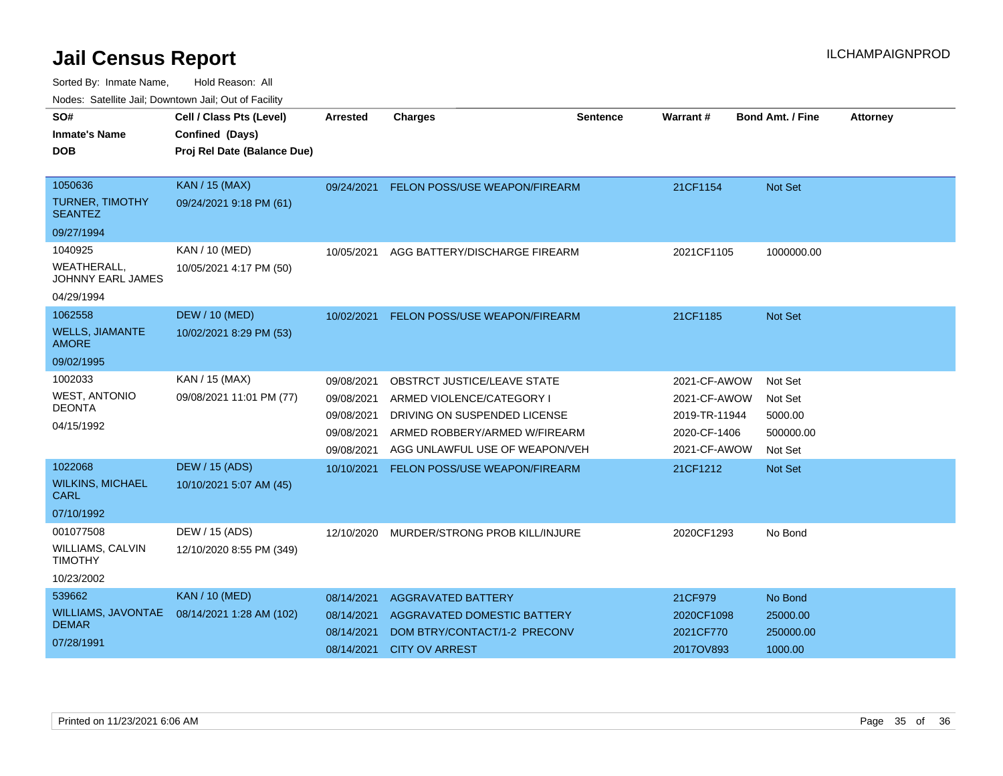| SO#                                           | Cell / Class Pts (Level)    | Arrested   | <b>Charges</b>                       | <b>Sentence</b> | Warrant#      | <b>Bond Amt. / Fine</b> | <b>Attorney</b> |
|-----------------------------------------------|-----------------------------|------------|--------------------------------------|-----------------|---------------|-------------------------|-----------------|
| <b>Inmate's Name</b>                          | Confined (Days)             |            |                                      |                 |               |                         |                 |
| DOB                                           | Proj Rel Date (Balance Due) |            |                                      |                 |               |                         |                 |
|                                               |                             |            |                                      |                 |               |                         |                 |
| 1050636                                       | <b>KAN / 15 (MAX)</b>       | 09/24/2021 | <b>FELON POSS/USE WEAPON/FIREARM</b> |                 | 21CF1154      | <b>Not Set</b>          |                 |
| <b>TURNER, TIMOTHY</b><br><b>SEANTEZ</b>      | 09/24/2021 9:18 PM (61)     |            |                                      |                 |               |                         |                 |
| 09/27/1994                                    |                             |            |                                      |                 |               |                         |                 |
| 1040925                                       | KAN / 10 (MED)              | 10/05/2021 | AGG BATTERY/DISCHARGE FIREARM        |                 | 2021CF1105    | 1000000.00              |                 |
| <b>WEATHERALL</b><br><b>JOHNNY EARL JAMES</b> | 10/05/2021 4:17 PM (50)     |            |                                      |                 |               |                         |                 |
| 04/29/1994                                    |                             |            |                                      |                 |               |                         |                 |
| 1062558                                       | <b>DEW / 10 (MED)</b>       | 10/02/2021 | FELON POSS/USE WEAPON/FIREARM        |                 | 21CF1185      | <b>Not Set</b>          |                 |
| <b>WELLS, JIAMANTE</b><br><b>AMORE</b>        | 10/02/2021 8:29 PM (53)     |            |                                      |                 |               |                         |                 |
| 09/02/1995                                    |                             |            |                                      |                 |               |                         |                 |
| 1002033                                       | KAN / 15 (MAX)              | 09/08/2021 | OBSTRCT JUSTICE/LEAVE STATE          |                 | 2021-CF-AWOW  | Not Set                 |                 |
| <b>WEST, ANTONIO</b>                          | 09/08/2021 11:01 PM (77)    | 09/08/2021 | ARMED VIOLENCE/CATEGORY I            |                 | 2021-CF-AWOW  | Not Set                 |                 |
| <b>DEONTA</b>                                 |                             | 09/08/2021 | DRIVING ON SUSPENDED LICENSE         |                 | 2019-TR-11944 | 5000.00                 |                 |
| 04/15/1992                                    |                             | 09/08/2021 | ARMED ROBBERY/ARMED W/FIREARM        |                 | 2020-CF-1406  | 500000.00               |                 |
|                                               |                             | 09/08/2021 | AGG UNLAWFUL USE OF WEAPON/VEH       |                 | 2021-CF-AWOW  | Not Set                 |                 |
| 1022068                                       | <b>DEW / 15 (ADS)</b>       | 10/10/2021 | FELON POSS/USE WEAPON/FIREARM        |                 | 21CF1212      | <b>Not Set</b>          |                 |
| <b>WILKINS, MICHAEL</b><br>CARL               | 10/10/2021 5:07 AM (45)     |            |                                      |                 |               |                         |                 |
| 07/10/1992                                    |                             |            |                                      |                 |               |                         |                 |
| 001077508                                     | DEW / 15 (ADS)              | 12/10/2020 | MURDER/STRONG PROB KILL/INJURE       |                 | 2020CF1293    | No Bond                 |                 |
| WILLIAMS, CALVIN<br><b>TIMOTHY</b>            | 12/10/2020 8:55 PM (349)    |            |                                      |                 |               |                         |                 |
| 10/23/2002                                    |                             |            |                                      |                 |               |                         |                 |
| 539662                                        | <b>KAN / 10 (MED)</b>       | 08/14/2021 | <b>AGGRAVATED BATTERY</b>            |                 | 21CF979       | No Bond                 |                 |
| WILLIAMS, JAVONTAE                            | 08/14/2021 1:28 AM (102)    | 08/14/2021 | AGGRAVATED DOMESTIC BATTERY          |                 | 2020CF1098    | 25000.00                |                 |
| <b>DEMAR</b>                                  |                             | 08/14/2021 | DOM BTRY/CONTACT/1-2 PRECONV         |                 | 2021CF770     | 250000.00               |                 |
| 07/28/1991                                    |                             | 08/14/2021 | <b>CITY OV ARREST</b>                |                 | 2017OV893     | 1000.00                 |                 |